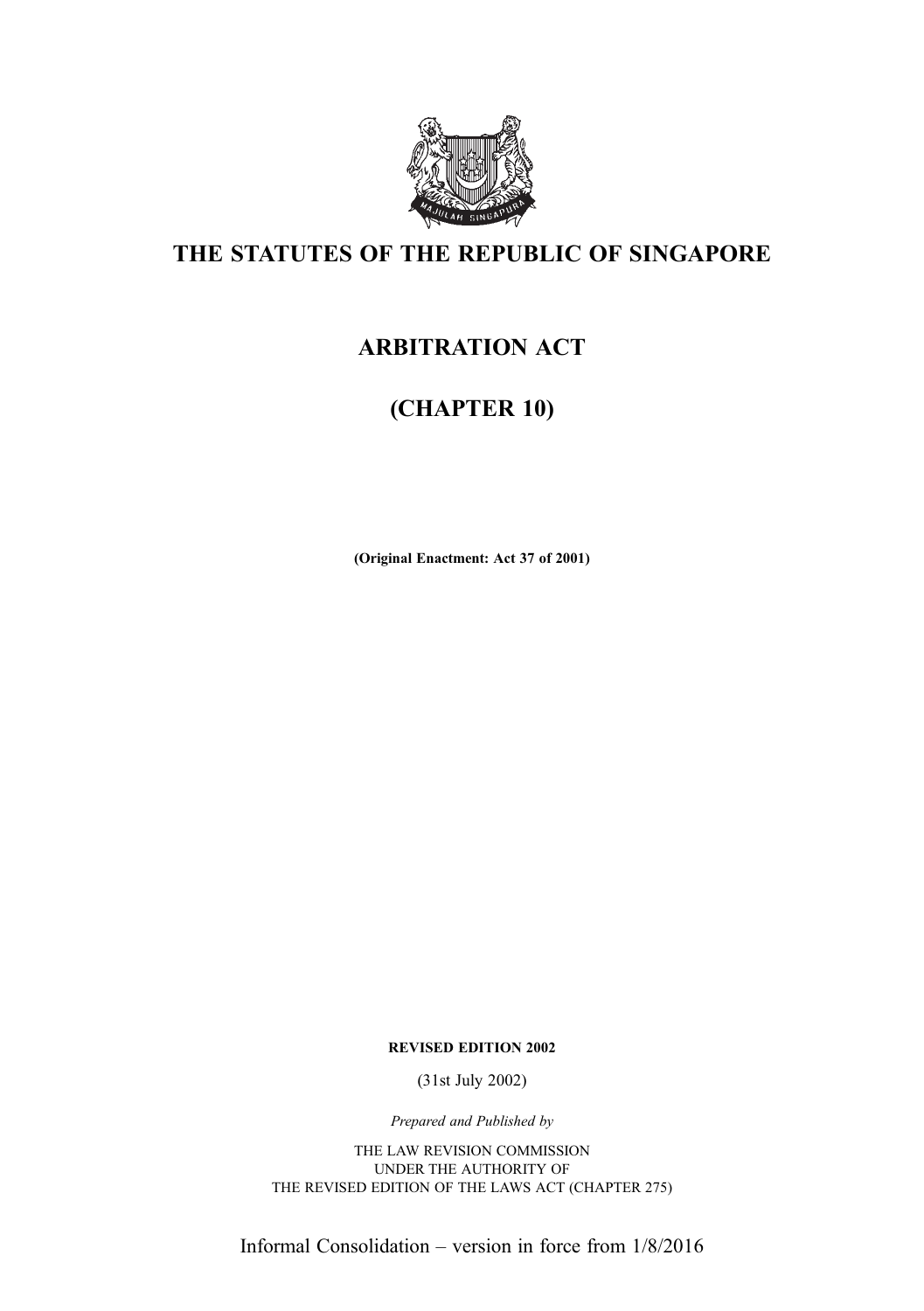

# THE STATUTES OF THE REPUBLIC OF SINGAPORE

# ARBITRATION ACT

# (CHAPTER 10)

(Original Enactment: Act 37 of 2001)

#### REVISED EDITION 2002

(31st July 2002)

Prepared and Published by

THE LAW REVISION COMMISSION UNDER THE AUTHORITY OF THE REVISED EDITION OF THE LAWS ACT (CHAPTER 275)

Informal Consolidation – version in force from 1/8/2016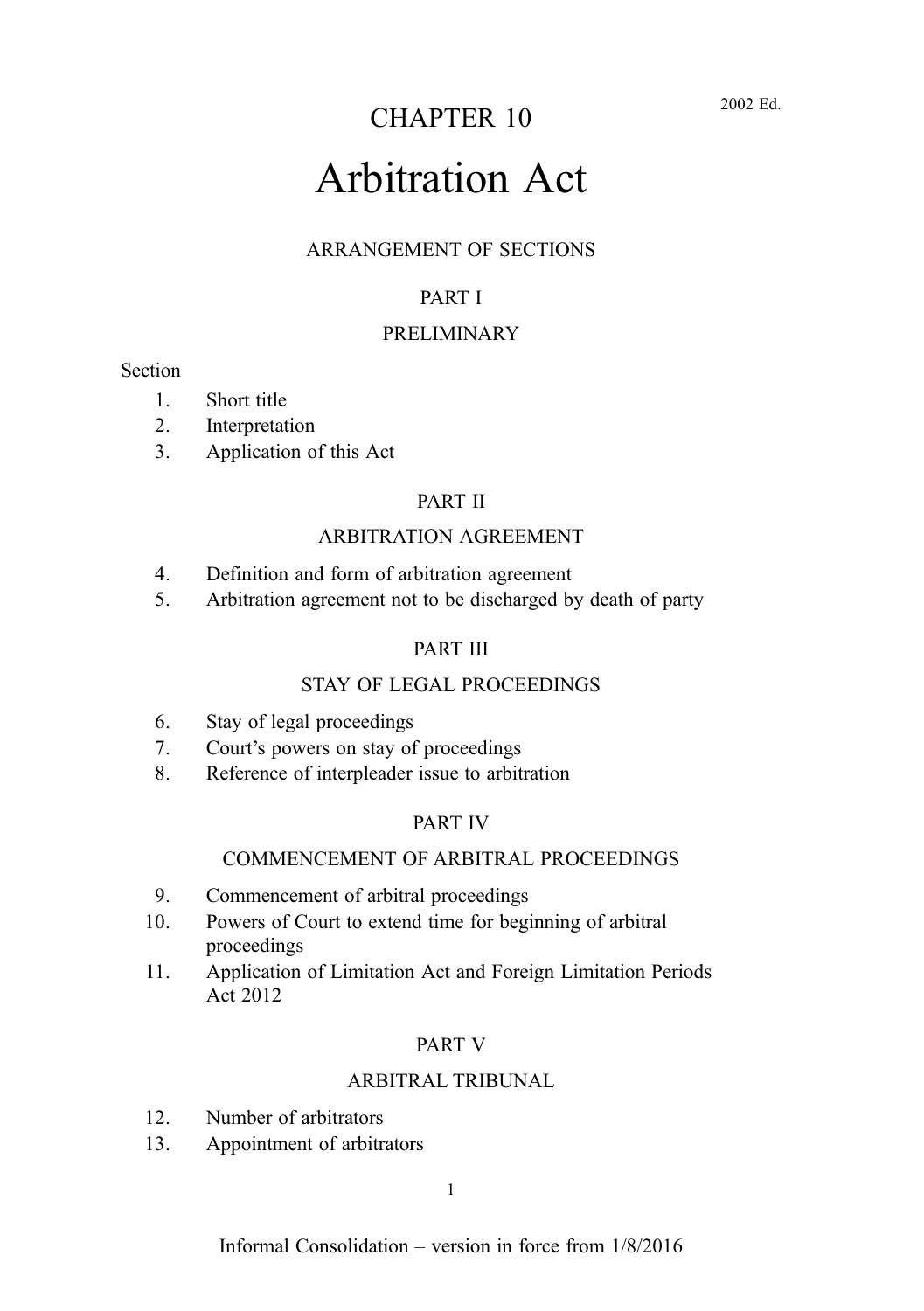# Arbitration Act

#### ARRANGEMENT OF SECTIONS

#### PART I

#### PRELIMINARY

#### **Section**

- 1. Short title
- 2. Interpretation
- 3. Application of this Act

#### PART II

#### ARBITRATION AGREEMENT

- 4. Definition and form of arbitration agreement
- 5. Arbitration agreement not to be discharged by death of party

#### PART III

#### STAY OF LEGAL PROCEEDINGS

- 6. Stay of legal proceedings
- 7. Court's powers on stay of proceedings
- 8. Reference of interpleader issue to arbitration

#### PART IV

#### COMMENCEMENT OF ARBITRAL PROCEEDINGS

- 9. Commencement of arbitral proceedings
- 10. Powers of Court to extend time for beginning of arbitral proceedings
- 11. Application of Limitation Act and Foreign Limitation Periods Act 2012

#### PART V

#### ARBITRAL TRIBUNAL

- 12. Number of arbitrators
- 13. Appointment of arbitrators

1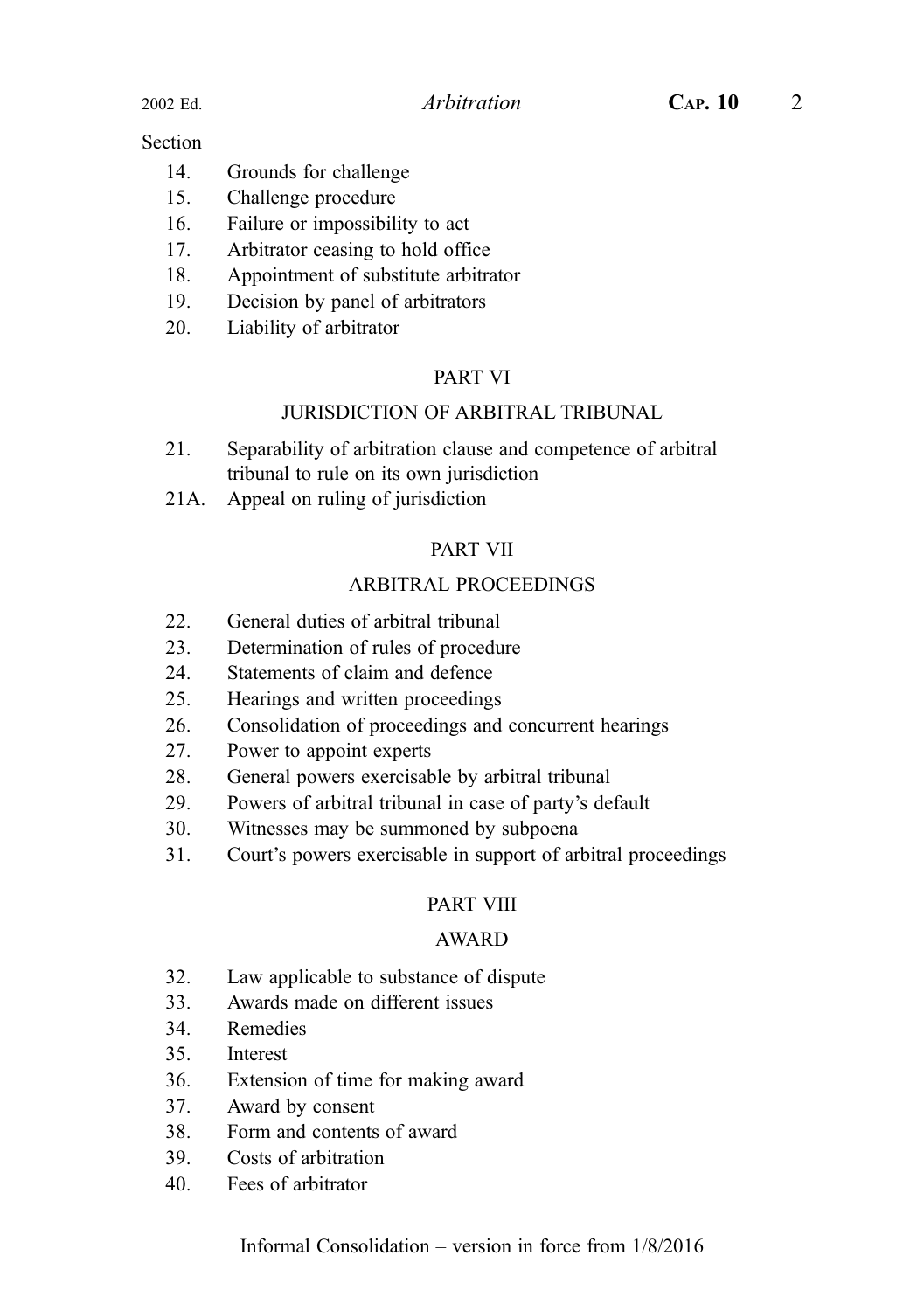#### **Section**

- 14. Grounds for challenge
- 15. Challenge procedure
- 16. Failure or impossibility to act
- 17. Arbitrator ceasing to hold office
- 18. Appointment of substitute arbitrator
- 19. Decision by panel of arbitrators
- 20. Liability of arbitrator

#### PART VI

#### JURISDICTION OF ARBITRAL TRIBUNAL

- 21. Separability of arbitration clause and competence of arbitral tribunal to rule on its own jurisdiction
- 21A. Appeal on ruling of jurisdiction

#### PART VII

#### ARBITRAL PROCEEDINGS

- 22. General duties of arbitral tribunal
- 23. Determination of rules of procedure
- 24. Statements of claim and defence
- 25. Hearings and written proceedings
- 26. Consolidation of proceedings and concurrent hearings
- 27. Power to appoint experts
- 28. General powers exercisable by arbitral tribunal
- 29. Powers of arbitral tribunal in case of party's default
- 30. Witnesses may be summoned by subpoena
- 31. Court's powers exercisable in support of arbitral proceedings

#### PART VIII

#### AWARD

- 32. Law applicable to substance of dispute
- 33. Awards made on different issues
- 34. Remedies
- 35. Interest
- 36. Extension of time for making award
- 37. Award by consent
- 38. Form and contents of award
- 39. Costs of arbitration
- 40. Fees of arbitrator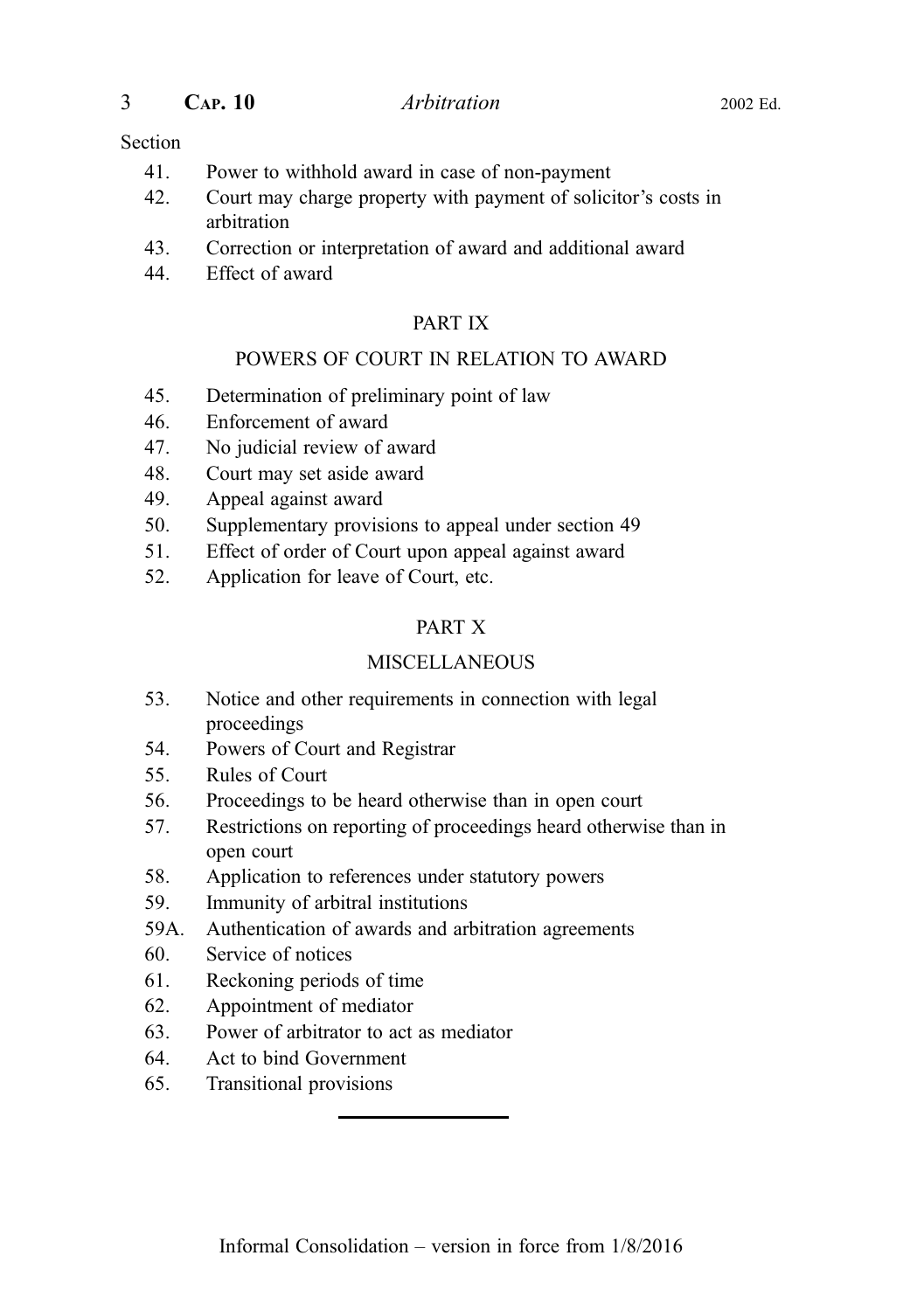| <b>CAP. 10</b> |  |
|----------------|--|
|                |  |

#### Arbitration 2002 Ed.

#### Section

- 41. Power to withhold award in case of non-payment
- 42. Court may charge property with payment of solicitor's costs in arbitration
- 43. Correction or interpretation of award and additional award
- 44. Effect of award

#### PART IX

#### POWERS OF COURT IN RELATION TO AWARD

- 45. Determination of preliminary point of law
- 46. Enforcement of award
- 47. No judicial review of award
- 48. Court may set aside award
- 49. Appeal against award
- 50. Supplementary provisions to appeal under section 49
- 51. Effect of order of Court upon appeal against award
- 52. Application for leave of Court, etc.

#### PART X

#### **MISCELLANEOUS**

- 53. Notice and other requirements in connection with legal proceedings
- 54. Powers of Court and Registrar
- 55. Rules of Court
- 56. Proceedings to be heard otherwise than in open court
- 57. Restrictions on reporting of proceedings heard otherwise than in open court
- 58. Application to references under statutory powers
- 59. Immunity of arbitral institutions
- 59A. Authentication of awards and arbitration agreements
- 60. Service of notices
- 61. Reckoning periods of time
- 62. Appointment of mediator
- 63. Power of arbitrator to act as mediator
- 64. Act to bind Government
- 65. Transitional provisions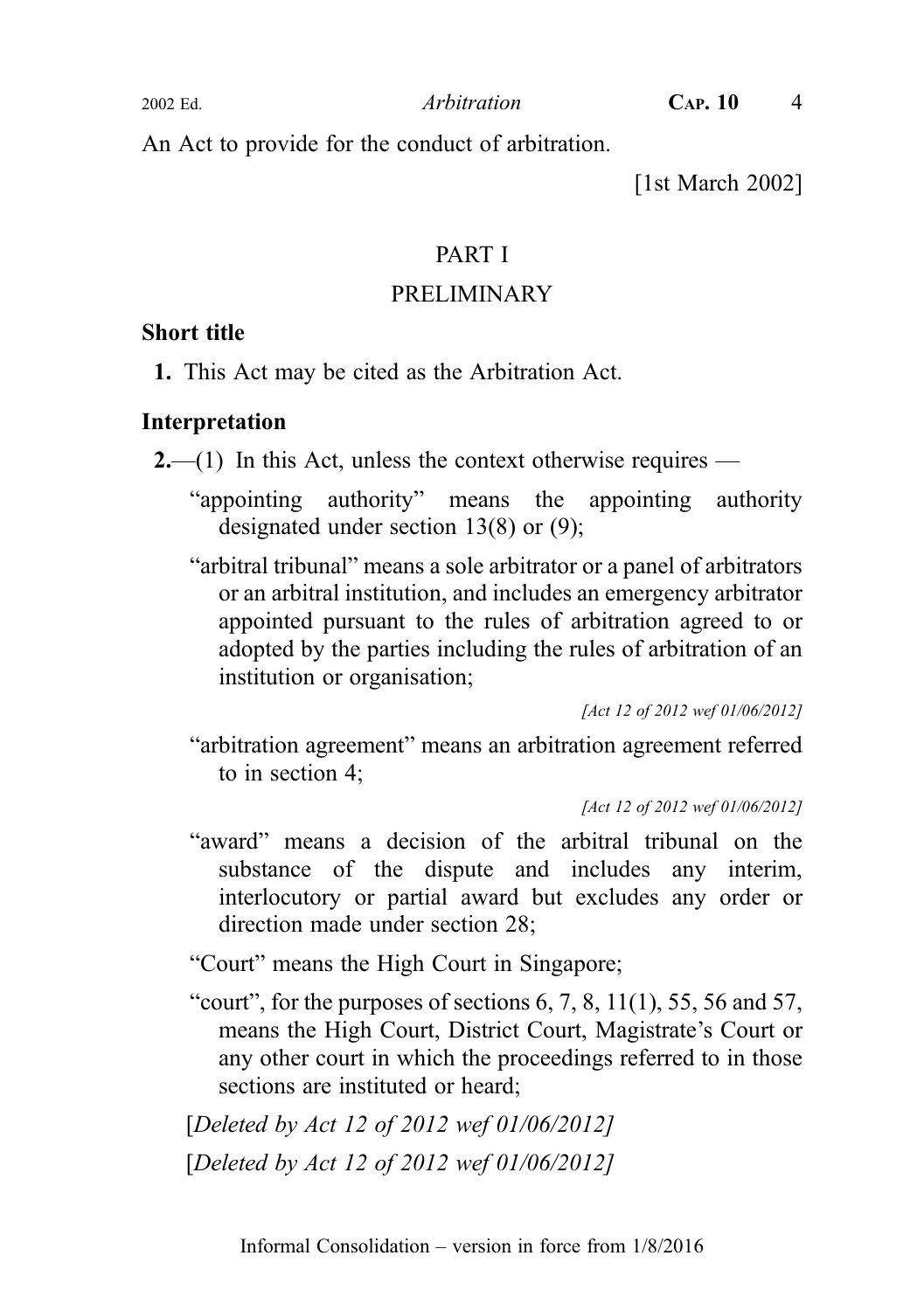An Act to provide for the conduct of arbitration.

[1st March 2002]

### PART I

### PRELIMINARY

#### Short title

1. This Act may be cited as the Arbitration Act.

# Interpretation

 $2$ —(1) In this Act, unless the context otherwise requires —

- "appointing authority" means the appointing authority designated under section 13(8) or (9);
- "arbitral tribunal" means a sole arbitrator or a panel of arbitrators or an arbitral institution, and includes an emergency arbitrator appointed pursuant to the rules of arbitration agreed to or adopted by the parties including the rules of arbitration of an institution or organisation;

[Act 12 of 2012 wef 01/06/2012]

"arbitration agreement" means an arbitration agreement referred to in section 4;

[Act 12 of 2012 wef 01/06/2012]

- "award" means a decision of the arbitral tribunal on the substance of the dispute and includes any interim, interlocutory or partial award but excludes any order or direction made under section 28;
- "Court" means the High Court in Singapore;
- "court", for the purposes of sections  $6, 7, 8, 11(1), 55, 56$  and  $57$ , means the High Court, District Court, Magistrate's Court or any other court in which the proceedings referred to in those sections are instituted or heard;

[Deleted by Act 12 of 2012 wef 01/06/2012] [Deleted by Act 12 of 2012 wef 01/06/2012]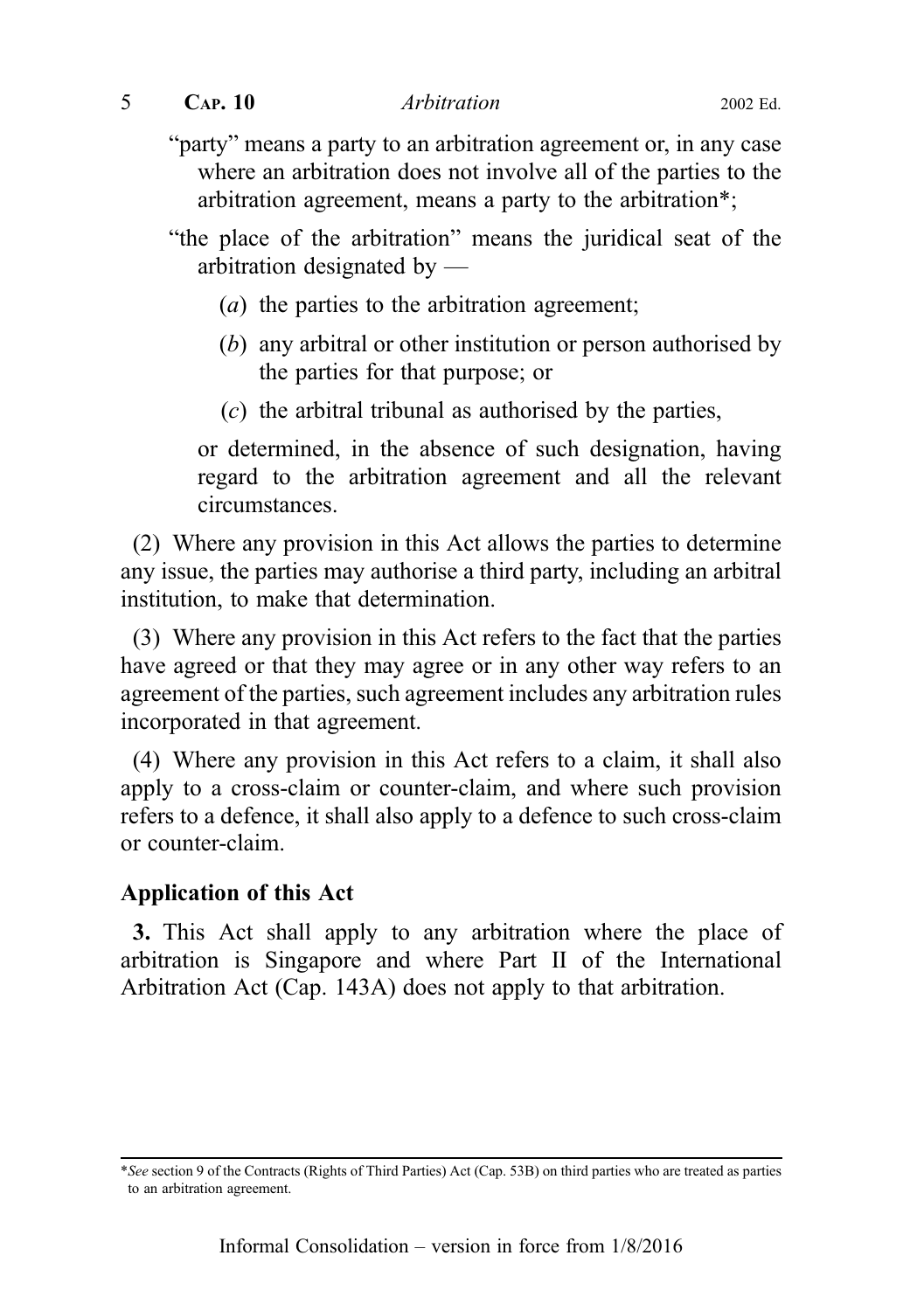"party" means a party to an arbitration agreement or, in any case where an arbitration does not involve all of the parties to the arbitration agreement, means a party to the arbitration\*;

"the place of the arbitration" means the juridical seat of the arbitration designated by —

- (a) the parties to the arbitration agreement;
- (b) any arbitral or other institution or person authorised by the parties for that purpose; or
- (c) the arbitral tribunal as authorised by the parties,

or determined, in the absence of such designation, having regard to the arbitration agreement and all the relevant circumstances.

(2) Where any provision in this Act allows the parties to determine any issue, the parties may authorise a third party, including an arbitral institution, to make that determination.

(3) Where any provision in this Act refers to the fact that the parties have agreed or that they may agree or in any other way refers to an agreement of the parties, such agreement includes any arbitration rules incorporated in that agreement.

(4) Where any provision in this Act refers to a claim, it shall also apply to a cross-claim or counter-claim, and where such provision refers to a defence, it shall also apply to a defence to such cross-claim or counter-claim.

#### Application of this Act

3. This Act shall apply to any arbitration where the place of arbitration is Singapore and where Part II of the International Arbitration Act (Cap. 143A) does not apply to that arbitration.

<sup>\*</sup>See section 9 of the Contracts (Rights of Third Parties) Act (Cap. 53B) on third parties who are treated as parties to an arbitration agreement.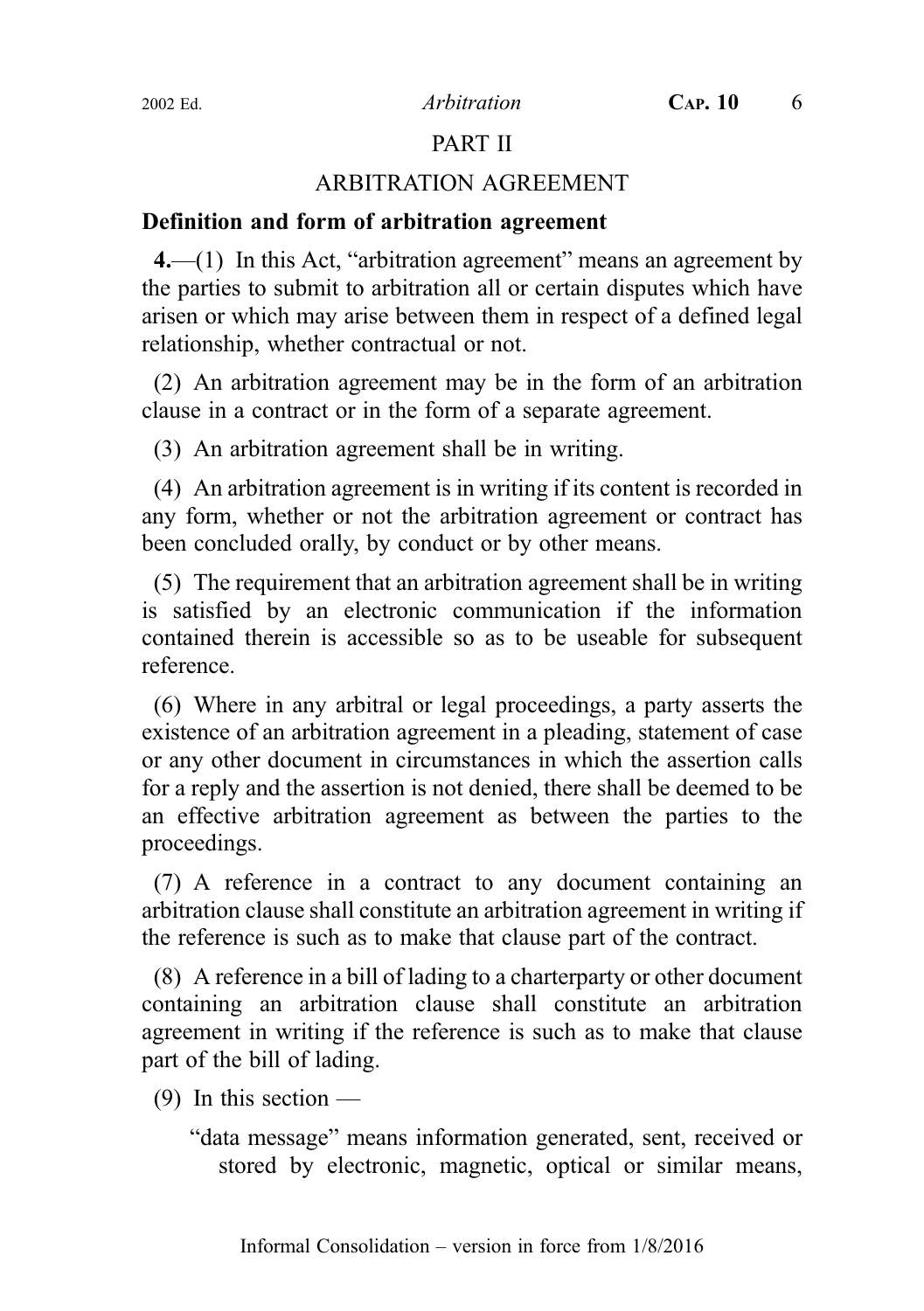# PART II

#### ARBITRATION AGREEMENT

#### Definition and form of arbitration agreement

4.—(1) In this Act, "arbitration agreement" means an agreement by the parties to submit to arbitration all or certain disputes which have arisen or which may arise between them in respect of a defined legal relationship, whether contractual or not.

(2) An arbitration agreement may be in the form of an arbitration clause in a contract or in the form of a separate agreement.

(3) An arbitration agreement shall be in writing.

(4) An arbitration agreement is in writing if its content is recorded in any form, whether or not the arbitration agreement or contract has been concluded orally, by conduct or by other means.

(5) The requirement that an arbitration agreement shall be in writing is satisfied by an electronic communication if the information contained therein is accessible so as to be useable for subsequent reference.

(6) Where in any arbitral or legal proceedings, a party asserts the existence of an arbitration agreement in a pleading, statement of case or any other document in circumstances in which the assertion calls for a reply and the assertion is not denied, there shall be deemed to be an effective arbitration agreement as between the parties to the proceedings.

(7) A reference in a contract to any document containing an arbitration clause shall constitute an arbitration agreement in writing if the reference is such as to make that clause part of the contract.

(8) A reference in a bill of lading to a charterparty or other document containing an arbitration clause shall constitute an arbitration agreement in writing if the reference is such as to make that clause part of the bill of lading.

(9) In this section  $-$ 

"data message" means information generated, sent, received or stored by electronic, magnetic, optical or similar means,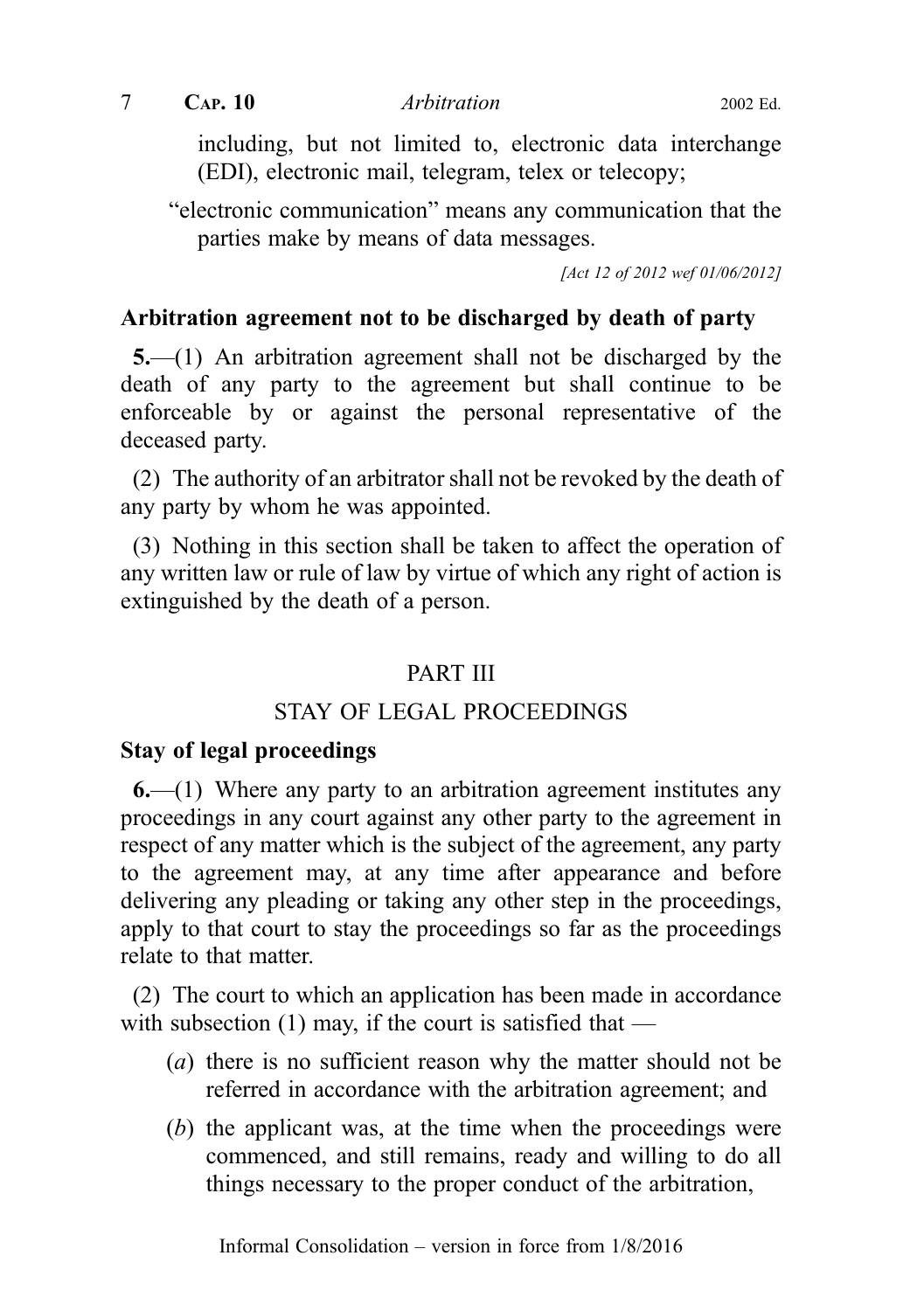7 **CAP. 10** *Arbitration* 2002 Ed.

including, but not limited to, electronic data interchange (EDI), electronic mail, telegram, telex or telecopy;

"electronic communication" means any communication that the parties make by means of data messages.

[Act 12 of 2012 wef 01/06/2012]

#### Arbitration agreement not to be discharged by death of party

5.—(1) An arbitration agreement shall not be discharged by the death of any party to the agreement but shall continue to be enforceable by or against the personal representative of the deceased party.

(2) The authority of an arbitrator shall not be revoked by the death of any party by whom he was appointed.

(3) Nothing in this section shall be taken to affect the operation of any written law or rule of law by virtue of which any right of action is extinguished by the death of a person.

#### PART III

#### STAY OF LEGAL PROCEEDINGS

#### Stay of legal proceedings

6.—(1) Where any party to an arbitration agreement institutes any proceedings in any court against any other party to the agreement in respect of any matter which is the subject of the agreement, any party to the agreement may, at any time after appearance and before delivering any pleading or taking any other step in the proceedings, apply to that court to stay the proceedings so far as the proceedings relate to that matter.

(2) The court to which an application has been made in accordance with subsection  $(1)$  may, if the court is satisfied that —

- (a) there is no sufficient reason why the matter should not be referred in accordance with the arbitration agreement; and
- (b) the applicant was, at the time when the proceedings were commenced, and still remains, ready and willing to do all things necessary to the proper conduct of the arbitration,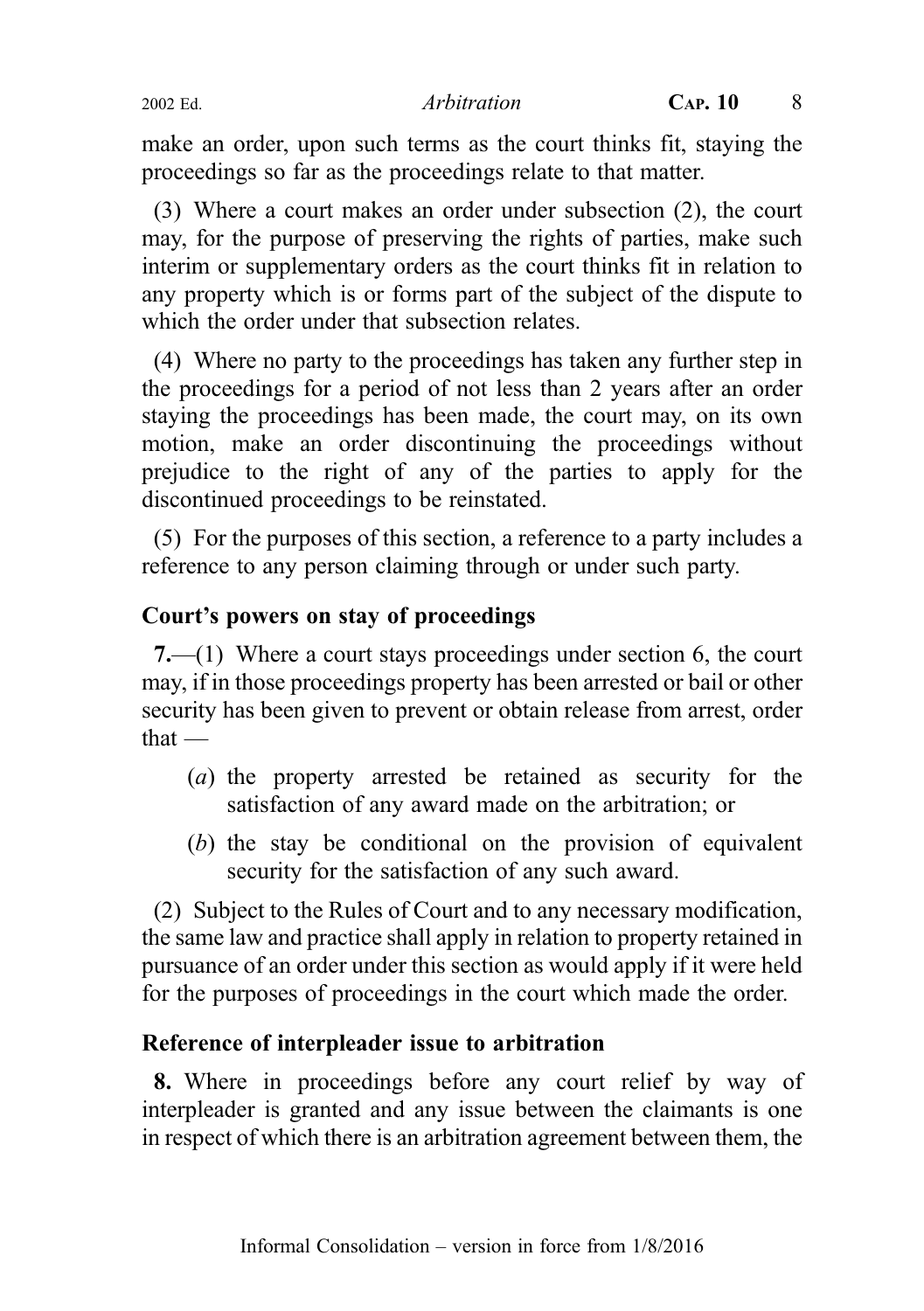make an order, upon such terms as the court thinks fit, staying the proceedings so far as the proceedings relate to that matter.

(3) Where a court makes an order under subsection (2), the court may, for the purpose of preserving the rights of parties, make such interim or supplementary orders as the court thinks fit in relation to any property which is or forms part of the subject of the dispute to which the order under that subsection relates.

(4) Where no party to the proceedings has taken any further step in the proceedings for a period of not less than 2 years after an order staying the proceedings has been made, the court may, on its own motion, make an order discontinuing the proceedings without prejudice to the right of any of the parties to apply for the discontinued proceedings to be reinstated.

(5) For the purposes of this section, a reference to a party includes a reference to any person claiming through or under such party.

# Court's powers on stay of proceedings

7.—(1) Where a court stays proceedings under section 6, the court may, if in those proceedings property has been arrested or bail or other security has been given to prevent or obtain release from arrest, order that —

- (a) the property arrested be retained as security for the satisfaction of any award made on the arbitration; or
- (b) the stay be conditional on the provision of equivalent security for the satisfaction of any such award.

(2) Subject to the Rules of Court and to any necessary modification, the same law and practice shall apply in relation to property retained in pursuance of an order under this section as would apply if it were held for the purposes of proceedings in the court which made the order.

# Reference of interpleader issue to arbitration

8. Where in proceedings before any court relief by way of interpleader is granted and any issue between the claimants is one in respect of which there is an arbitration agreement between them, the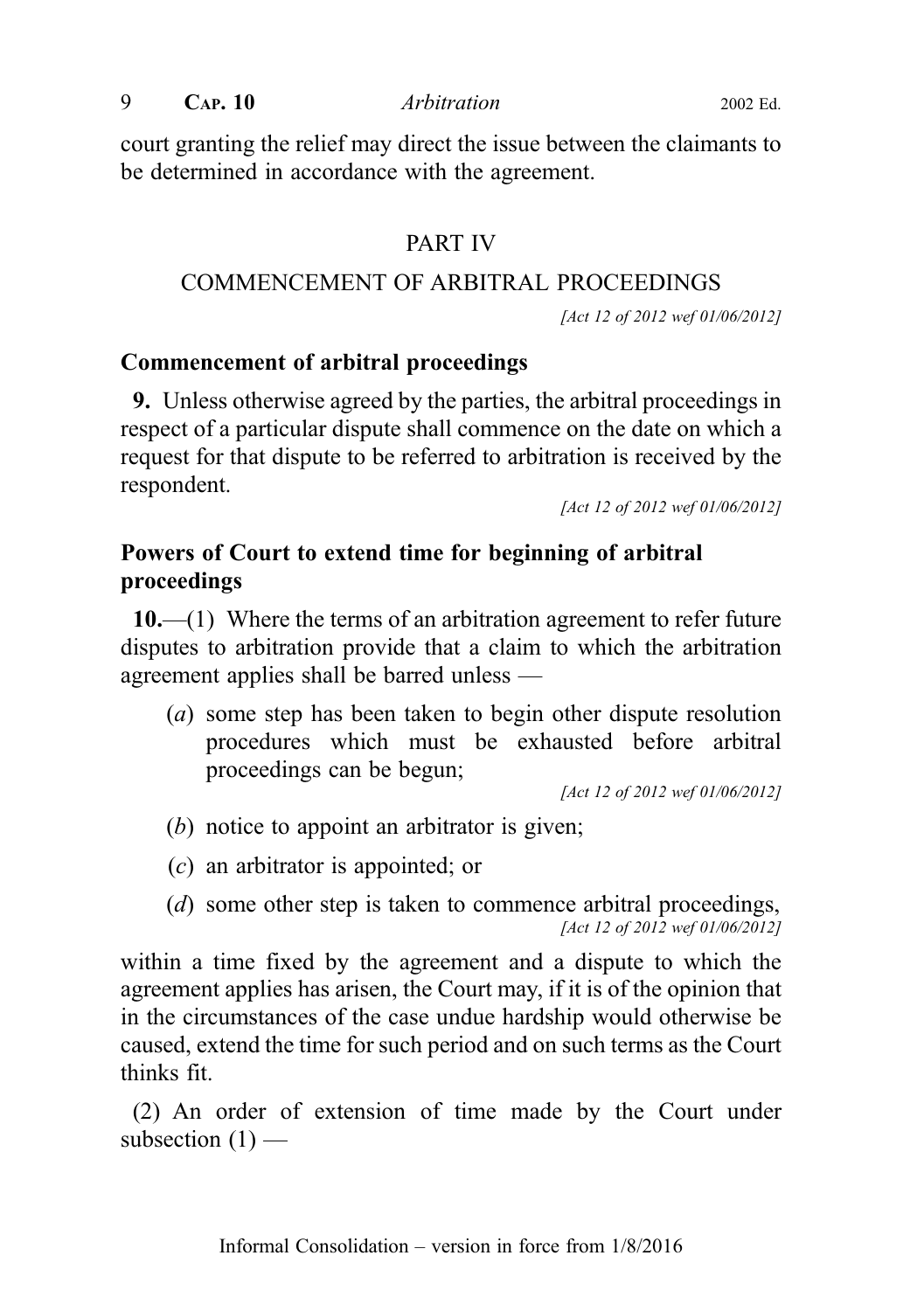9 **CAP. 10** *Arbitration* 2002 Ed.

court granting the relief may direct the issue between the claimants to be determined in accordance with the agreement.

### PART IV

#### COMMENCEMENT OF ARBITRAL PROCEEDINGS

[Act 12 of 2012 wef 01/06/2012]

#### Commencement of arbitral proceedings

9. Unless otherwise agreed by the parties, the arbitral proceedings in respect of a particular dispute shall commence on the date on which a request for that dispute to be referred to arbitration is received by the respondent.

[Act 12 of 2012 wef 01/06/2012]

### Powers of Court to extend time for beginning of arbitral proceedings

10.—(1) Where the terms of an arbitration agreement to refer future disputes to arbitration provide that a claim to which the arbitration agreement applies shall be barred unless —

(a) some step has been taken to begin other dispute resolution procedures which must be exhausted before arbitral proceedings can be begun;

[Act 12 of 2012 wef 01/06/2012]

(b) notice to appoint an arbitrator is given;

(c) an arbitrator is appointed; or

(d) some other step is taken to commence arbitral proceedings, [Act 12 of 2012 wef 01/06/2012]

within a time fixed by the agreement and a dispute to which the agreement applies has arisen, the Court may, if it is of the opinion that in the circumstances of the case undue hardship would otherwise be caused, extend the time for such period and on such terms as the Court thinks fit.

(2) An order of extension of time made by the Court under subsection  $(1)$  —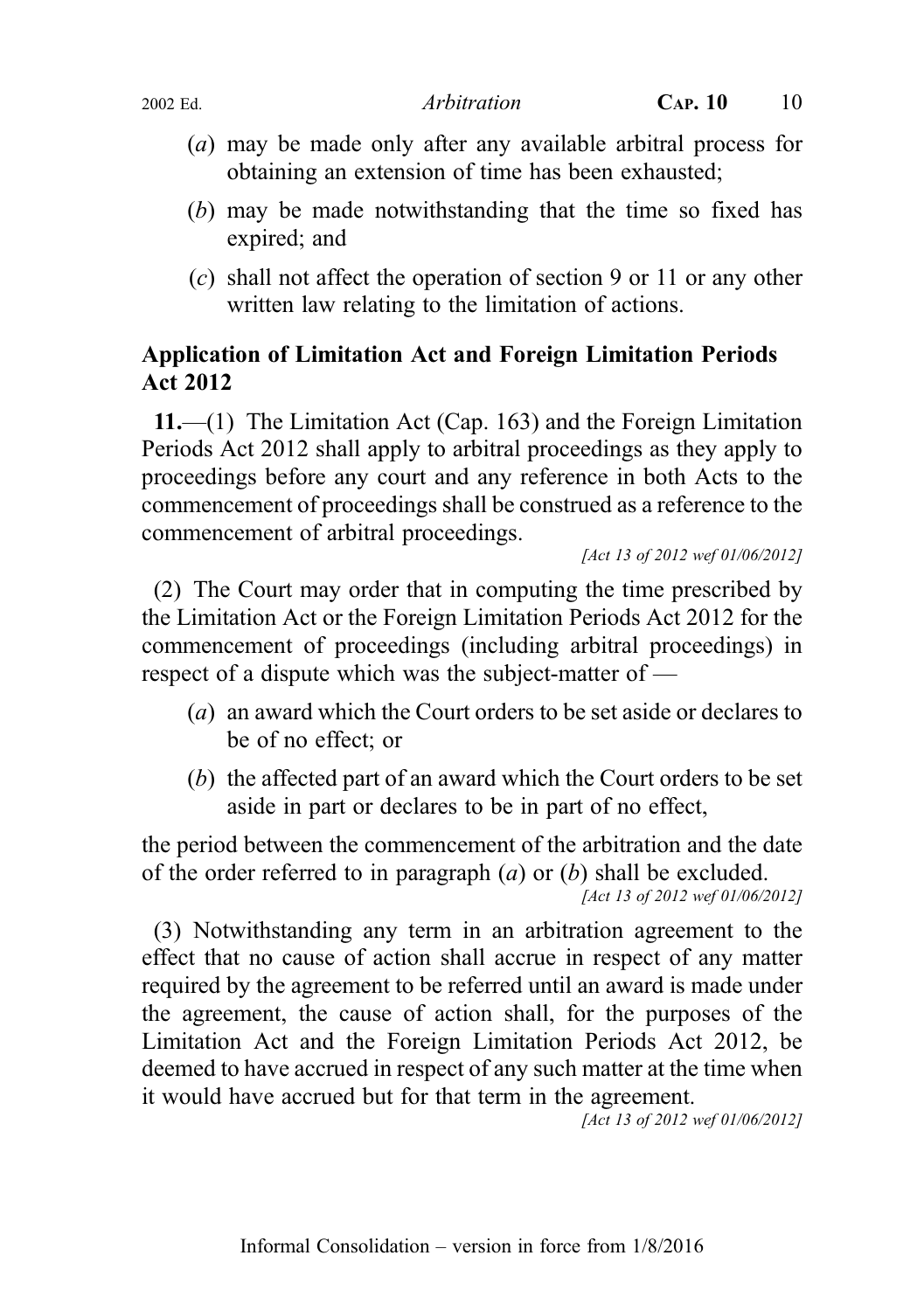- (a) may be made only after any available arbitral process for obtaining an extension of time has been exhausted;
- (b) may be made notwithstanding that the time so fixed has expired; and
- (c) shall not affect the operation of section 9 or 11 or any other written law relating to the limitation of actions.

# Application of Limitation Act and Foreign Limitation Periods Act 2012

11.—(1) The Limitation Act (Cap. 163) and the Foreign Limitation Periods Act 2012 shall apply to arbitral proceedings as they apply to proceedings before any court and any reference in both Acts to the commencement of proceedings shall be construed as a reference to the commencement of arbitral proceedings.

```
[Act 13 of 2012 wef 01/06/2012]
```
(2) The Court may order that in computing the time prescribed by the Limitation Act or the Foreign Limitation Periods Act 2012 for the commencement of proceedings (including arbitral proceedings) in respect of a dispute which was the subject-matter of —

- (a) an award which the Court orders to be set aside or declares to be of no effect; or
- (b) the affected part of an award which the Court orders to be set aside in part or declares to be in part of no effect,

the period between the commencement of the arbitration and the date of the order referred to in paragraph  $(a)$  or  $(b)$  shall be excluded. [Act 13 of 2012 wef 01/06/2012]

(3) Notwithstanding any term in an arbitration agreement to the effect that no cause of action shall accrue in respect of any matter required by the agreement to be referred until an award is made under the agreement, the cause of action shall, for the purposes of the Limitation Act and the Foreign Limitation Periods Act 2012, be deemed to have accrued in respect of any such matter at the time when it would have accrued but for that term in the agreement.

[Act 13 of 2012 wef 01/06/2012]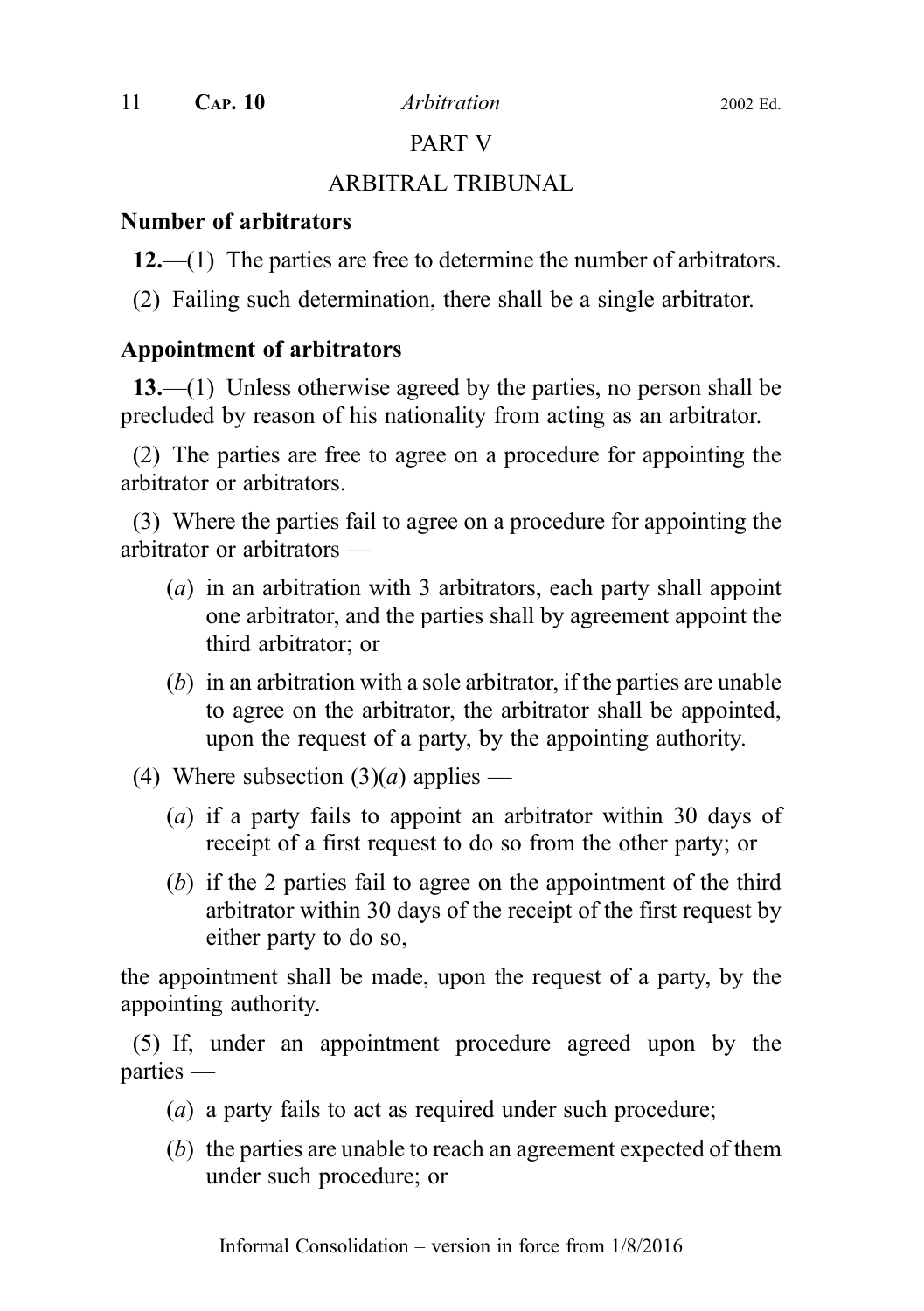#### PART V

# ARBITRAL TRIBUNAL

#### Number of arbitrators

- 12.—(1) The parties are free to determine the number of arbitrators.
- (2) Failing such determination, there shall be a single arbitrator.

# Appointment of arbitrators

13.—(1) Unless otherwise agreed by the parties, no person shall be precluded by reason of his nationality from acting as an arbitrator.

(2) The parties are free to agree on a procedure for appointing the arbitrator or arbitrators.

(3) Where the parties fail to agree on a procedure for appointing the arbitrator or arbitrators —

- (a) in an arbitration with 3 arbitrators, each party shall appoint one arbitrator, and the parties shall by agreement appoint the third arbitrator; or
- (b) in an arbitration with a sole arbitrator, if the parties are unable to agree on the arbitrator, the arbitrator shall be appointed, upon the request of a party, by the appointing authority.
- (4) Where subsection  $(3)(a)$  applies
	- (a) if a party fails to appoint an arbitrator within 30 days of receipt of a first request to do so from the other party; or
	- (b) if the 2 parties fail to agree on the appointment of the third arbitrator within 30 days of the receipt of the first request by either party to do so,

the appointment shall be made, upon the request of a party, by the appointing authority.

(5) If, under an appointment procedure agreed upon by the parties —

- (a) a party fails to act as required under such procedure;
- (b) the parties are unable to reach an agreement expected of them under such procedure; or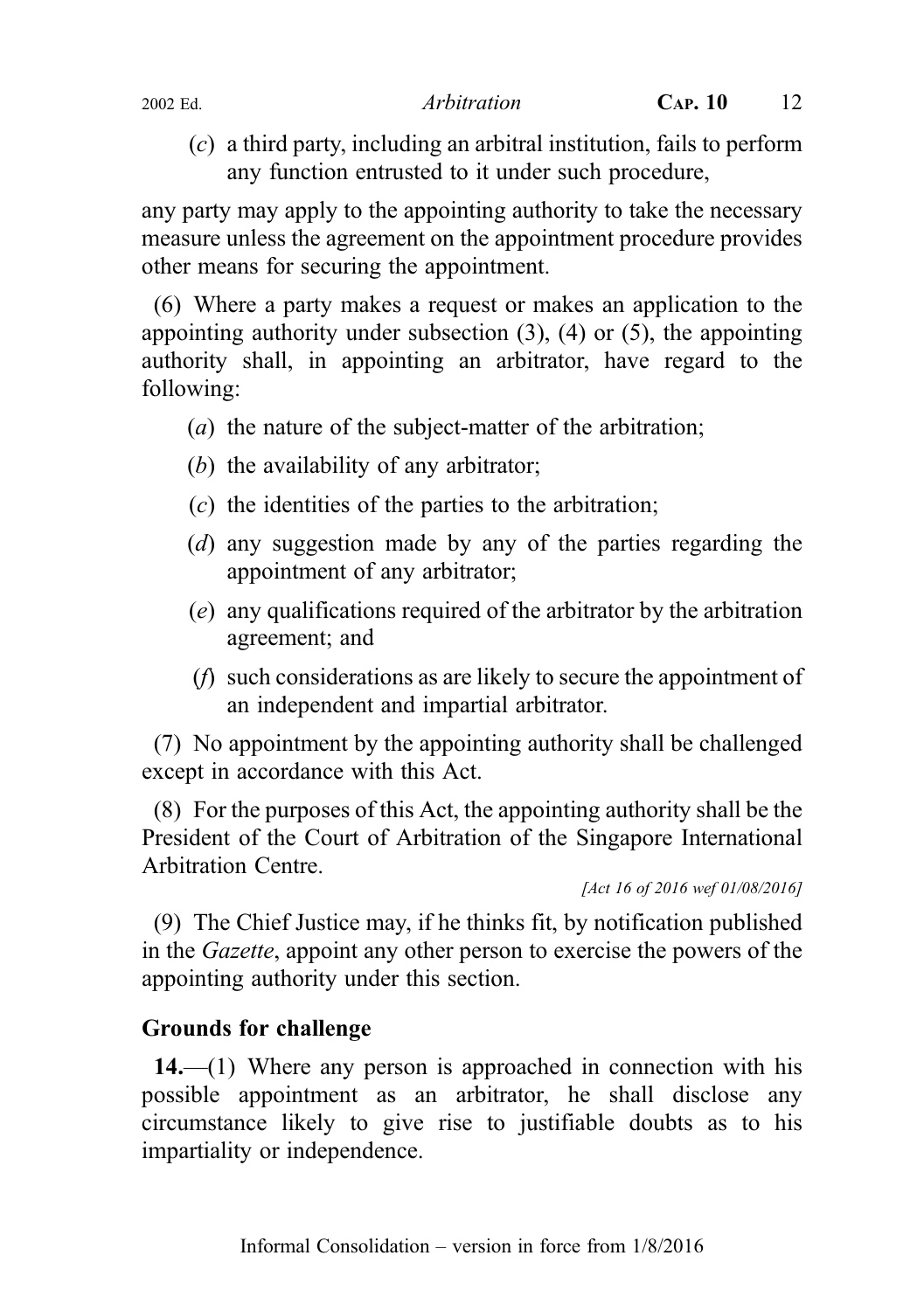- - (c) a third party, including an arbitral institution, fails to perform any function entrusted to it under such procedure,

any party may apply to the appointing authority to take the necessary measure unless the agreement on the appointment procedure provides other means for securing the appointment.

(6) Where a party makes a request or makes an application to the appointing authority under subsection  $(3)$ ,  $(4)$  or  $(5)$ , the appointing authority shall, in appointing an arbitrator, have regard to the following:

- (a) the nature of the subject-matter of the arbitration;
- (b) the availability of any arbitrator:
- (c) the identities of the parties to the arbitration;
- (d) any suggestion made by any of the parties regarding the appointment of any arbitrator;
- (e) any qualifications required of the arbitrator by the arbitration agreement; and
- (f) such considerations as are likely to secure the appointment of an independent and impartial arbitrator.

(7) No appointment by the appointing authority shall be challenged except in accordance with this Act.

(8) For the purposes of this Act, the appointing authority shall be the President of the Court of Arbitration of the Singapore International Arbitration Centre.

(9) The Chief Justice may, if he thinks fit, by notification published in the Gazette, appoint any other person to exercise the powers of the appointing authority under this section.

# Grounds for challenge

14.—(1) Where any person is approached in connection with his possible appointment as an arbitrator, he shall disclose any circumstance likely to give rise to justifiable doubts as to his impartiality or independence.

<sup>[</sup>Act 16 of 2016 wef 01/08/2016]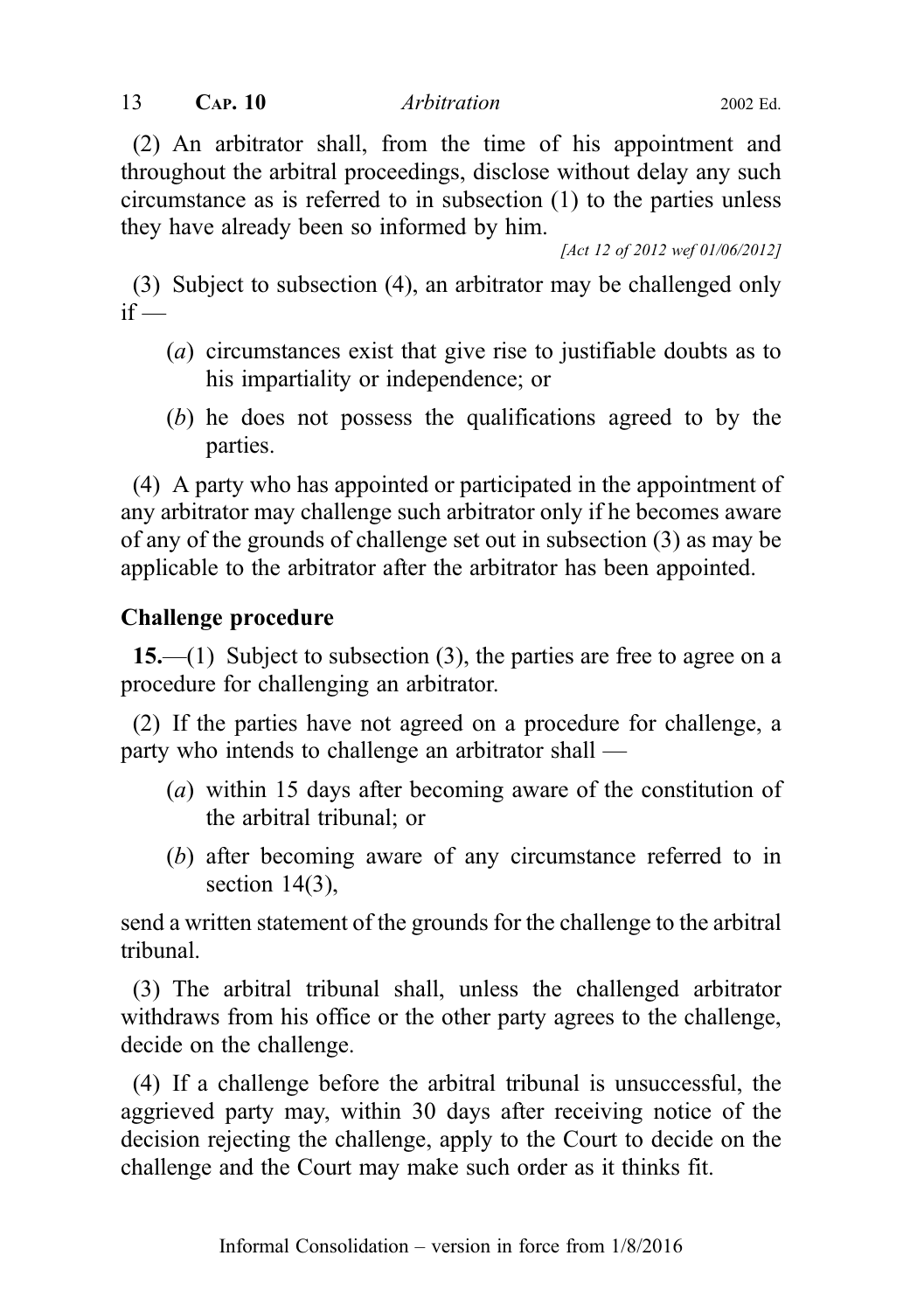(2) An arbitrator shall, from the time of his appointment and throughout the arbitral proceedings, disclose without delay any such circumstance as is referred to in subsection (1) to the parties unless they have already been so informed by him.

[Act 12 of 2012 wef 01/06/2012]

(3) Subject to subsection (4), an arbitrator may be challenged only  $if -$ 

- (a) circumstances exist that give rise to justifiable doubts as to his impartiality or independence; or
- (b) he does not possess the qualifications agreed to by the parties.

(4) A party who has appointed or participated in the appointment of any arbitrator may challenge such arbitrator only if he becomes aware of any of the grounds of challenge set out in subsection (3) as may be applicable to the arbitrator after the arbitrator has been appointed.

#### Challenge procedure

15.—(1) Subject to subsection (3), the parties are free to agree on a procedure for challenging an arbitrator.

(2) If the parties have not agreed on a procedure for challenge, a party who intends to challenge an arbitrator shall —

- (a) within 15 days after becoming aware of the constitution of the arbitral tribunal; or
- (b) after becoming aware of any circumstance referred to in section 14(3),

send a written statement of the grounds for the challenge to the arbitral tribunal.

(3) The arbitral tribunal shall, unless the challenged arbitrator withdraws from his office or the other party agrees to the challenge, decide on the challenge.

(4) If a challenge before the arbitral tribunal is unsuccessful, the aggrieved party may, within 30 days after receiving notice of the decision rejecting the challenge, apply to the Court to decide on the challenge and the Court may make such order as it thinks fit.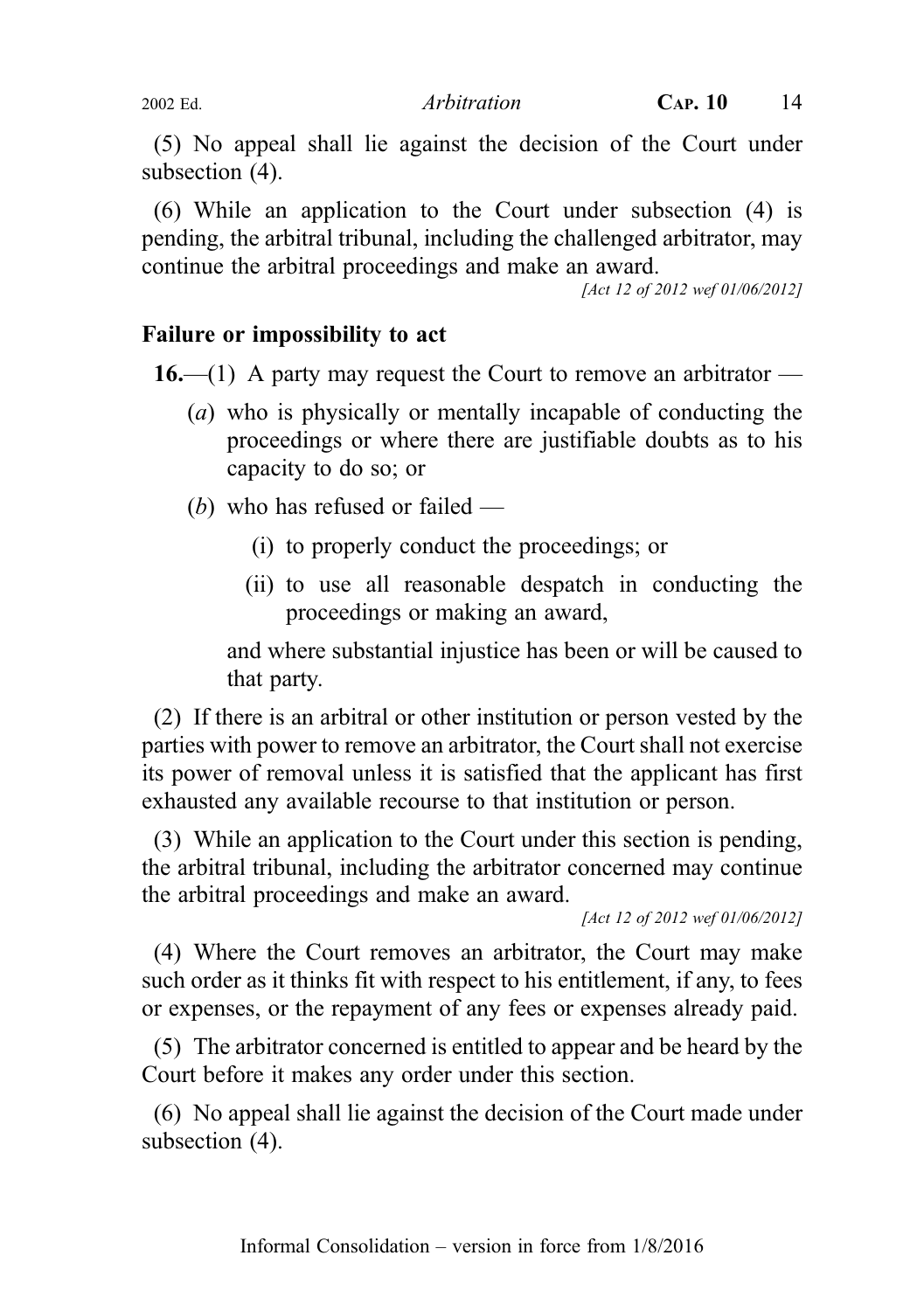(5) No appeal shall lie against the decision of the Court under subsection (4).

(6) While an application to the Court under subsection (4) is pending, the arbitral tribunal, including the challenged arbitrator, may continue the arbitral proceedings and make an award.

[Act 12 of 2012 wef 01/06/2012]

#### Failure or impossibility to act

16.—(1) A party may request the Court to remove an arbitrator —

- (a) who is physically or mentally incapable of conducting the proceedings or where there are justifiable doubts as to his capacity to do so; or
- (b) who has refused or failed  $-$ 
	- (i) to properly conduct the proceedings; or
	- (ii) to use all reasonable despatch in conducting the proceedings or making an award,

and where substantial injustice has been or will be caused to that party.

(2) If there is an arbitral or other institution or person vested by the parties with power to remove an arbitrator, the Court shall not exercise its power of removal unless it is satisfied that the applicant has first exhausted any available recourse to that institution or person.

(3) While an application to the Court under this section is pending, the arbitral tribunal, including the arbitrator concerned may continue the arbitral proceedings and make an award.

[Act 12 of 2012 wef 01/06/2012]

(4) Where the Court removes an arbitrator, the Court may make such order as it thinks fit with respect to his entitlement, if any, to fees or expenses, or the repayment of any fees or expenses already paid.

(5) The arbitrator concerned is entitled to appear and be heard by the Court before it makes any order under this section.

(6) No appeal shall lie against the decision of the Court made under subsection (4).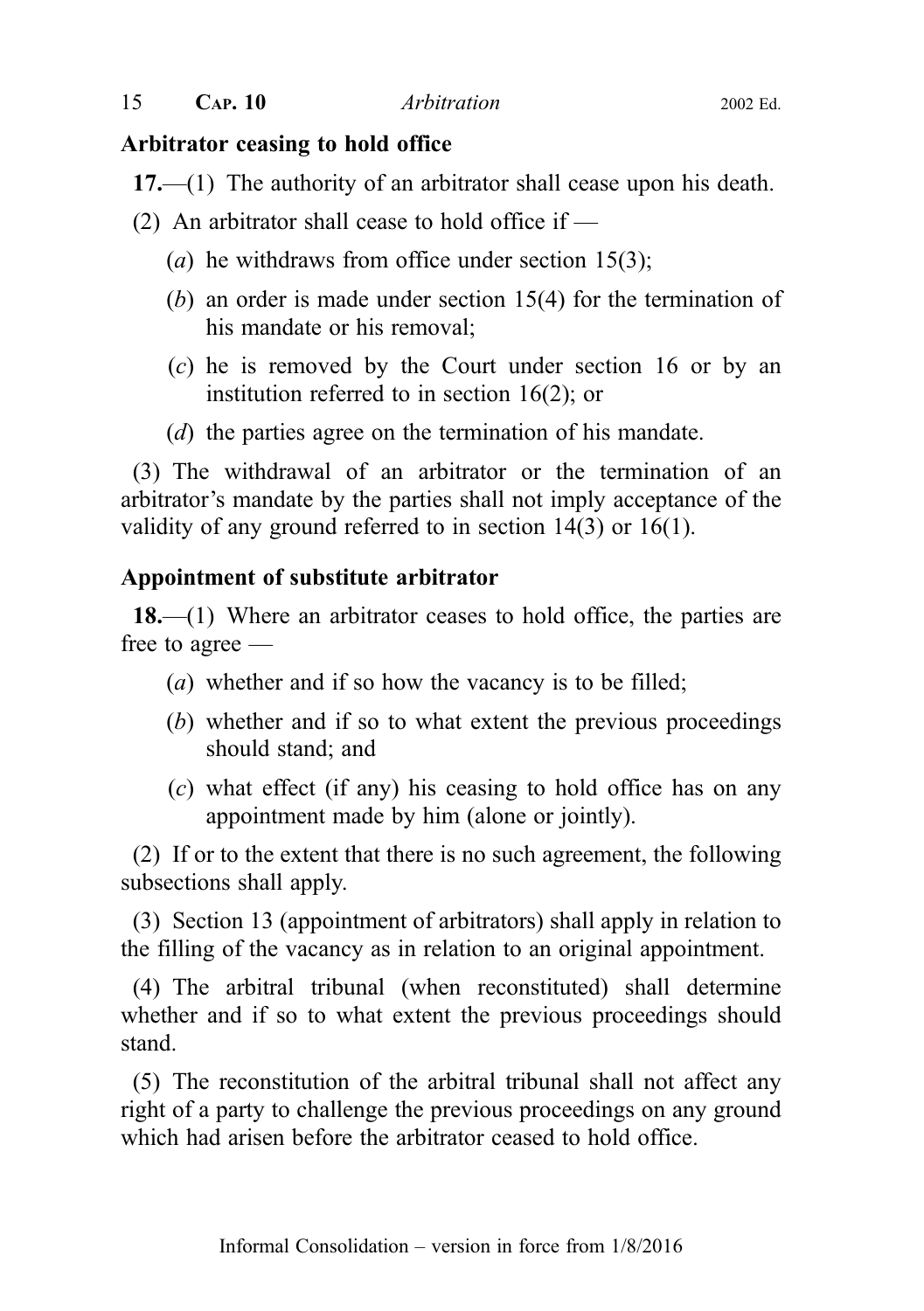#### Arbitrator ceasing to hold office

17.—(1) The authority of an arbitrator shall cease upon his death.

(2) An arbitrator shall cease to hold office if  $-$ 

- (*a*) he withdraws from office under section 15(3);
- (b) an order is made under section 15(4) for the termination of his mandate or his removal;
- (c) he is removed by the Court under section 16 or by an institution referred to in section 16(2); or
- (d) the parties agree on the termination of his mandate.

(3) The withdrawal of an arbitrator or the termination of an arbitrator's mandate by the parties shall not imply acceptance of the validity of any ground referred to in section 14(3) or 16(1).

#### Appointment of substitute arbitrator

18.—(1) Where an arbitrator ceases to hold office, the parties are free to agree —

- (a) whether and if so how the vacancy is to be filled;
- (b) whether and if so to what extent the previous proceedings should stand; and
- (c) what effect (if any) his ceasing to hold office has on any appointment made by him (alone or jointly).

(2) If or to the extent that there is no such agreement, the following subsections shall apply.

(3) Section 13 (appointment of arbitrators) shall apply in relation to the filling of the vacancy as in relation to an original appointment.

(4) The arbitral tribunal (when reconstituted) shall determine whether and if so to what extent the previous proceedings should stand.

(5) The reconstitution of the arbitral tribunal shall not affect any right of a party to challenge the previous proceedings on any ground which had arisen before the arbitrator ceased to hold office.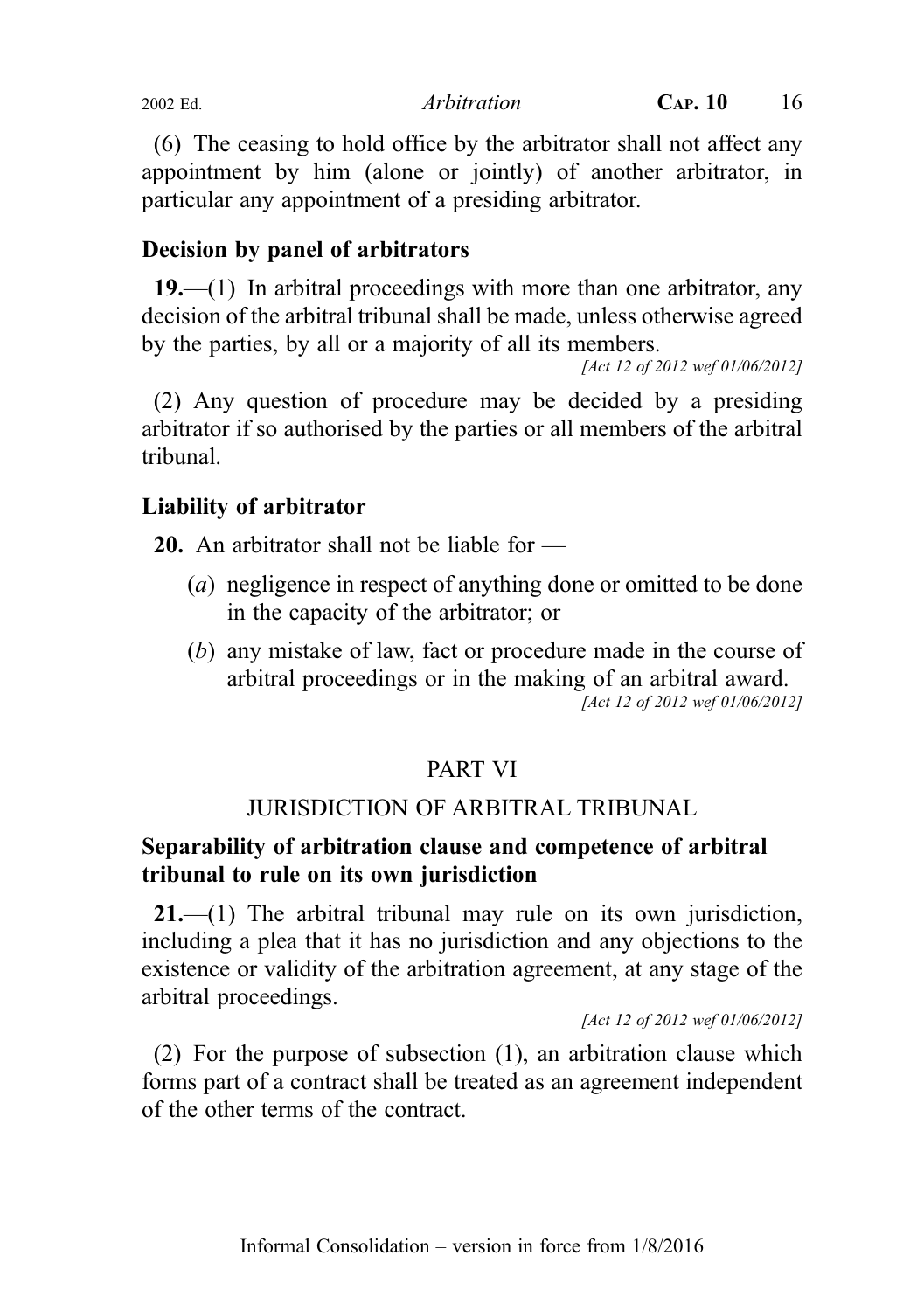(6) The ceasing to hold office by the arbitrator shall not affect any appointment by him (alone or jointly) of another arbitrator, in particular any appointment of a presiding arbitrator.

# Decision by panel of arbitrators

 $19$ ,—(1) In arbitral proceedings with more than one arbitrator, any decision of the arbitral tribunal shall be made, unless otherwise agreed by the parties, by all or a majority of all its members.

[Act 12 of 2012 wef 01/06/2012]

(2) Any question of procedure may be decided by a presiding arbitrator if so authorised by the parties or all members of the arbitral tribunal.

# Liability of arbitrator

20. An arbitrator shall not be liable for —

- (a) negligence in respect of anything done or omitted to be done in the capacity of the arbitrator; or
- (b) any mistake of law, fact or procedure made in the course of arbitral proceedings or in the making of an arbitral award. [Act 12 of 2012 wef 01/06/2012]

# PART VI

# JURISDICTION OF ARBITRAL TRIBUNAL

# Separability of arbitration clause and competence of arbitral tribunal to rule on its own jurisdiction

21.—(1) The arbitral tribunal may rule on its own jurisdiction, including a plea that it has no jurisdiction and any objections to the existence or validity of the arbitration agreement, at any stage of the arbitral proceedings.

[Act 12 of 2012 wef 01/06/2012]

(2) For the purpose of subsection (1), an arbitration clause which forms part of a contract shall be treated as an agreement independent of the other terms of the contract.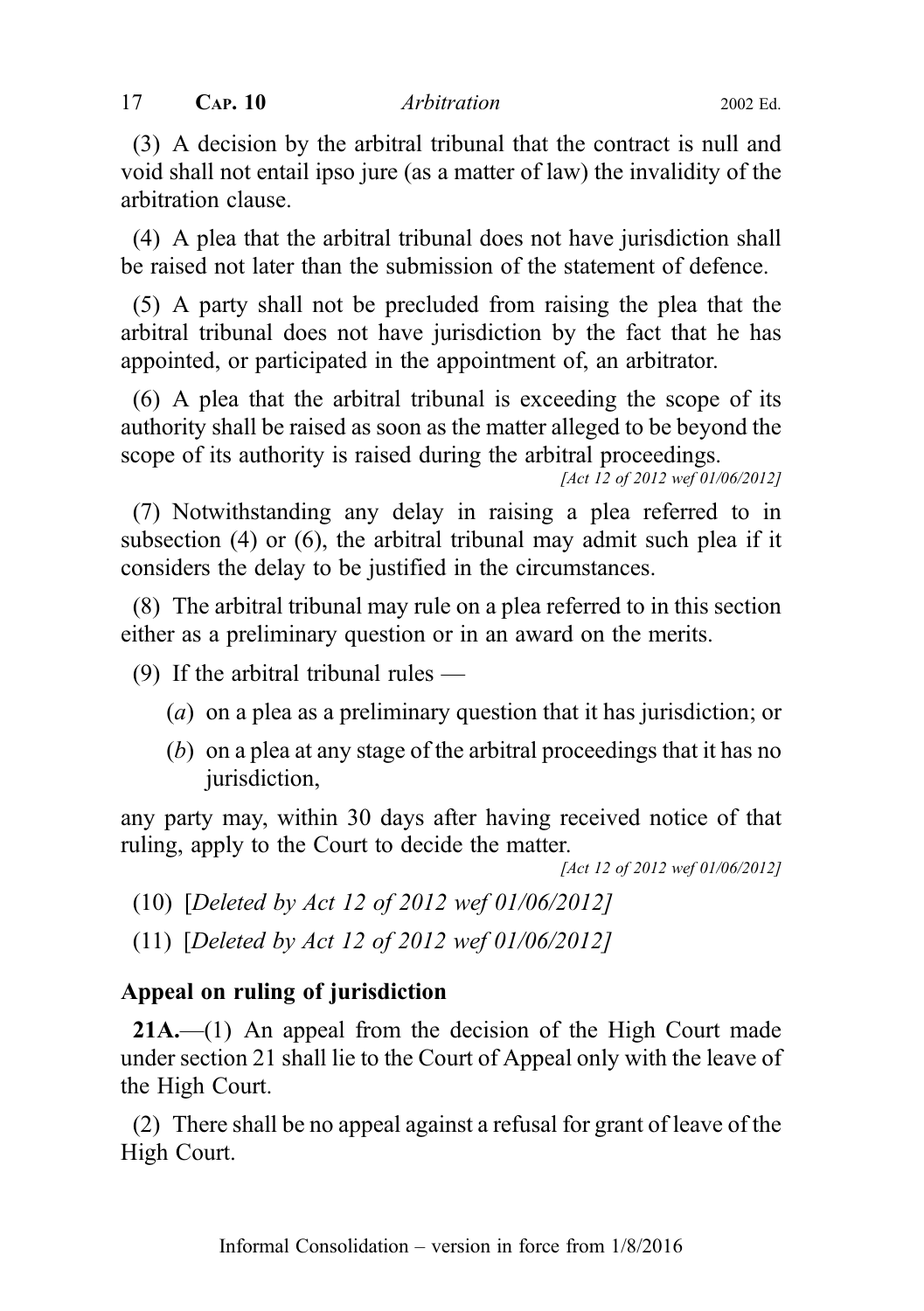(3) A decision by the arbitral tribunal that the contract is null and void shall not entail ipso jure (as a matter of law) the invalidity of the arbitration clause.

(4) A plea that the arbitral tribunal does not have jurisdiction shall be raised not later than the submission of the statement of defence.

(5) A party shall not be precluded from raising the plea that the arbitral tribunal does not have jurisdiction by the fact that he has appointed, or participated in the appointment of, an arbitrator.

(6) A plea that the arbitral tribunal is exceeding the scope of its authority shall be raised as soon as the matter alleged to be beyond the scope of its authority is raised during the arbitral proceedings.

(7) Notwithstanding any delay in raising a plea referred to in subsection (4) or (6), the arbitral tribunal may admit such plea if it considers the delay to be justified in the circumstances.

(8) The arbitral tribunal may rule on a plea referred to in this section either as a preliminary question or in an award on the merits.

(9) If the arbitral tribunal rules —

- (a) on a plea as a preliminary question that it has jurisdiction; or
- (b) on a plea at any stage of the arbitral proceedings that it has no jurisdiction,

any party may, within 30 days after having received notice of that ruling, apply to the Court to decide the matter.

[Act 12 of 2012 wef 01/06/2012]

- (10) [Deleted by Act 12 of 2012 wef 01/06/2012]
- (11) [Deleted by Act 12 of 2012 wef 01/06/2012]

# Appeal on ruling of jurisdiction

21A.—(1) An appeal from the decision of the High Court made under section 21 shall lie to the Court of Appeal only with the leave of the High Court.

(2) There shall be no appeal against a refusal for grant of leave of the High Court.

<sup>[</sup>Act 12 of 2012 wef 01/06/2012]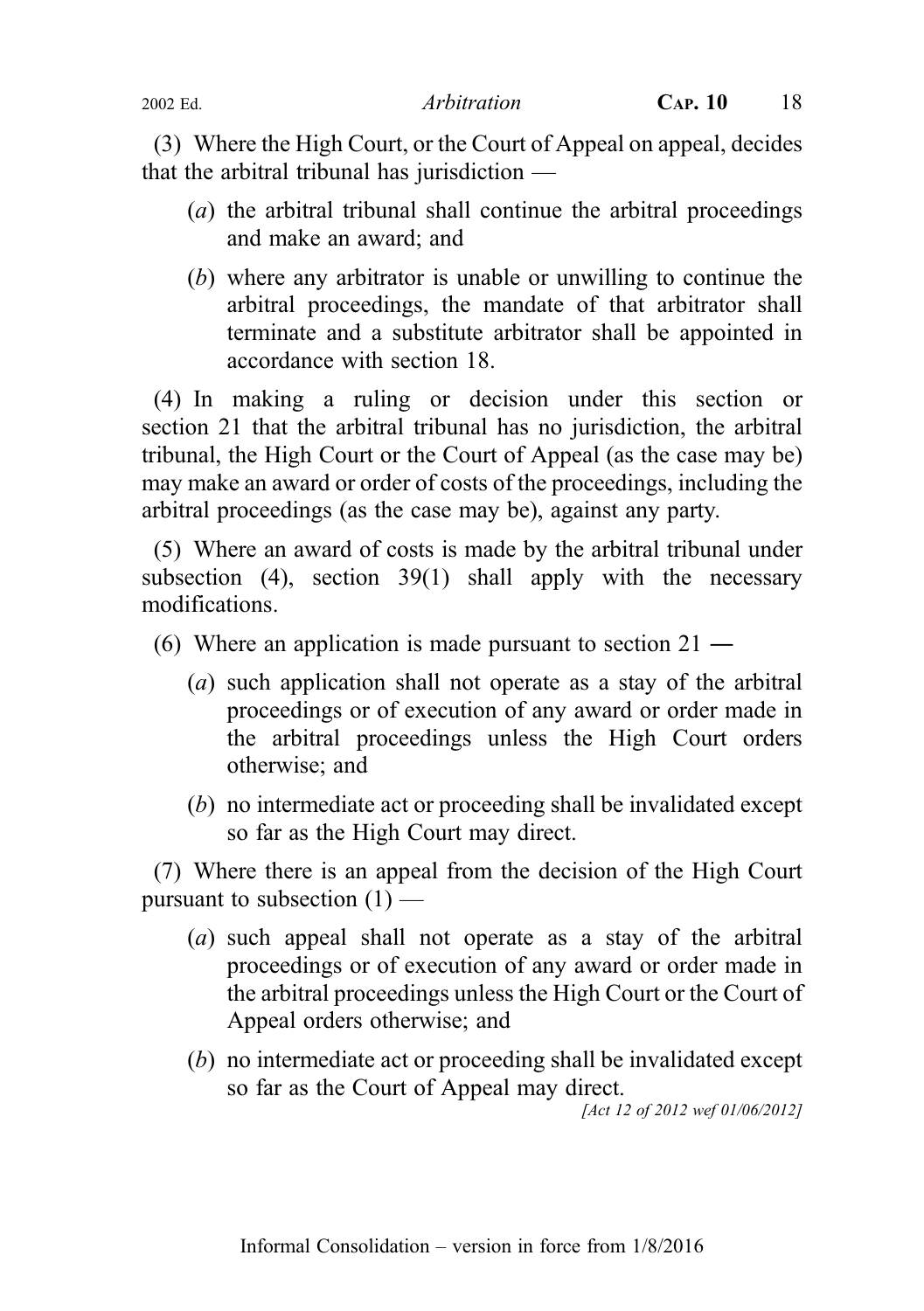(3) Where the High Court, or the Court of Appeal on appeal, decides that the arbitral tribunal has jurisdiction —

- (a) the arbitral tribunal shall continue the arbitral proceedings and make an award; and
- (b) where any arbitrator is unable or unwilling to continue the arbitral proceedings, the mandate of that arbitrator shall terminate and a substitute arbitrator shall be appointed in accordance with section 18.

(4) In making a ruling or decision under this section or section 21 that the arbitral tribunal has no jurisdiction, the arbitral tribunal, the High Court or the Court of Appeal (as the case may be) may make an award or order of costs of the proceedings, including the arbitral proceedings (as the case may be), against any party.

(5) Where an award of costs is made by the arbitral tribunal under subsection  $(4)$ , section  $39(1)$  shall apply with the necessary modifications.

(6) Where an application is made pursuant to section  $21 -$ 

- (a) such application shall not operate as a stay of the arbitral proceedings or of execution of any award or order made in the arbitral proceedings unless the High Court orders otherwise; and
- (b) no intermediate act or proceeding shall be invalidated except so far as the High Court may direct.

(7) Where there is an appeal from the decision of the High Court pursuant to subsection  $(1)$  —

- (a) such appeal shall not operate as a stay of the arbitral proceedings or of execution of any award or order made in the arbitral proceedings unless the High Court or the Court of Appeal orders otherwise; and
- (b) no intermediate act or proceeding shall be invalidated except so far as the Court of Appeal may direct.

[Act 12 of 2012 wef 01/06/2012]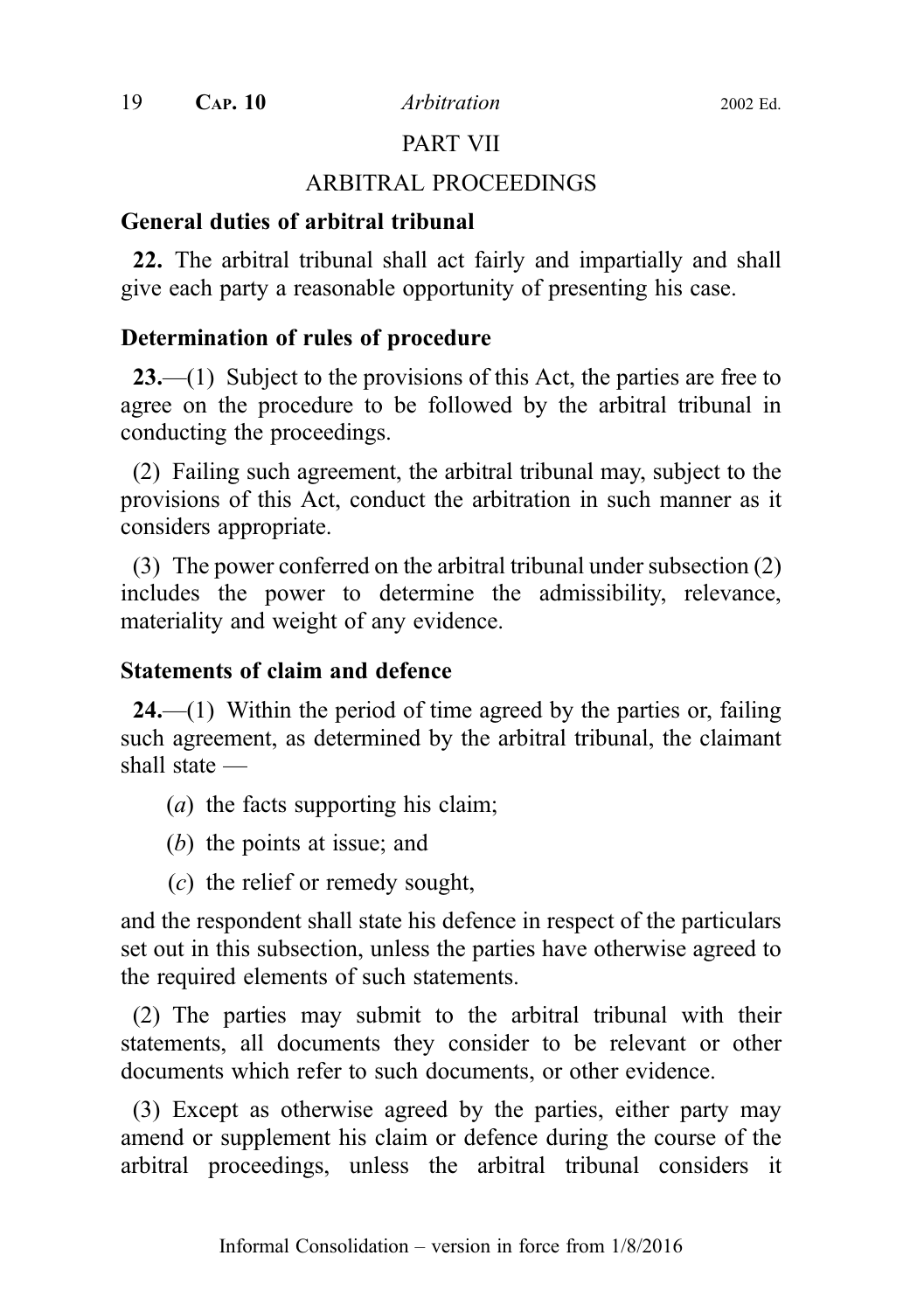#### PART VII

#### ARBITRAL PROCEEDINGS

#### General duties of arbitral tribunal

22. The arbitral tribunal shall act fairly and impartially and shall give each party a reasonable opportunity of presenting his case.

#### Determination of rules of procedure

 $23$ —(1) Subject to the provisions of this Act, the parties are free to agree on the procedure to be followed by the arbitral tribunal in conducting the proceedings.

(2) Failing such agreement, the arbitral tribunal may, subject to the provisions of this Act, conduct the arbitration in such manner as it considers appropriate.

(3) The power conferred on the arbitral tribunal under subsection (2) includes the power to determine the admissibility, relevance, materiality and weight of any evidence.

#### Statements of claim and defence

 $24$ ,—(1) Within the period of time agreed by the parties or, failing such agreement, as determined by the arbitral tribunal, the claimant shall state —

- (a) the facts supporting his claim;
- (b) the points at issue; and
- (c) the relief or remedy sought,

and the respondent shall state his defence in respect of the particulars set out in this subsection, unless the parties have otherwise agreed to the required elements of such statements.

(2) The parties may submit to the arbitral tribunal with their statements, all documents they consider to be relevant or other documents which refer to such documents, or other evidence.

(3) Except as otherwise agreed by the parties, either party may amend or supplement his claim or defence during the course of the arbitral proceedings, unless the arbitral tribunal considers it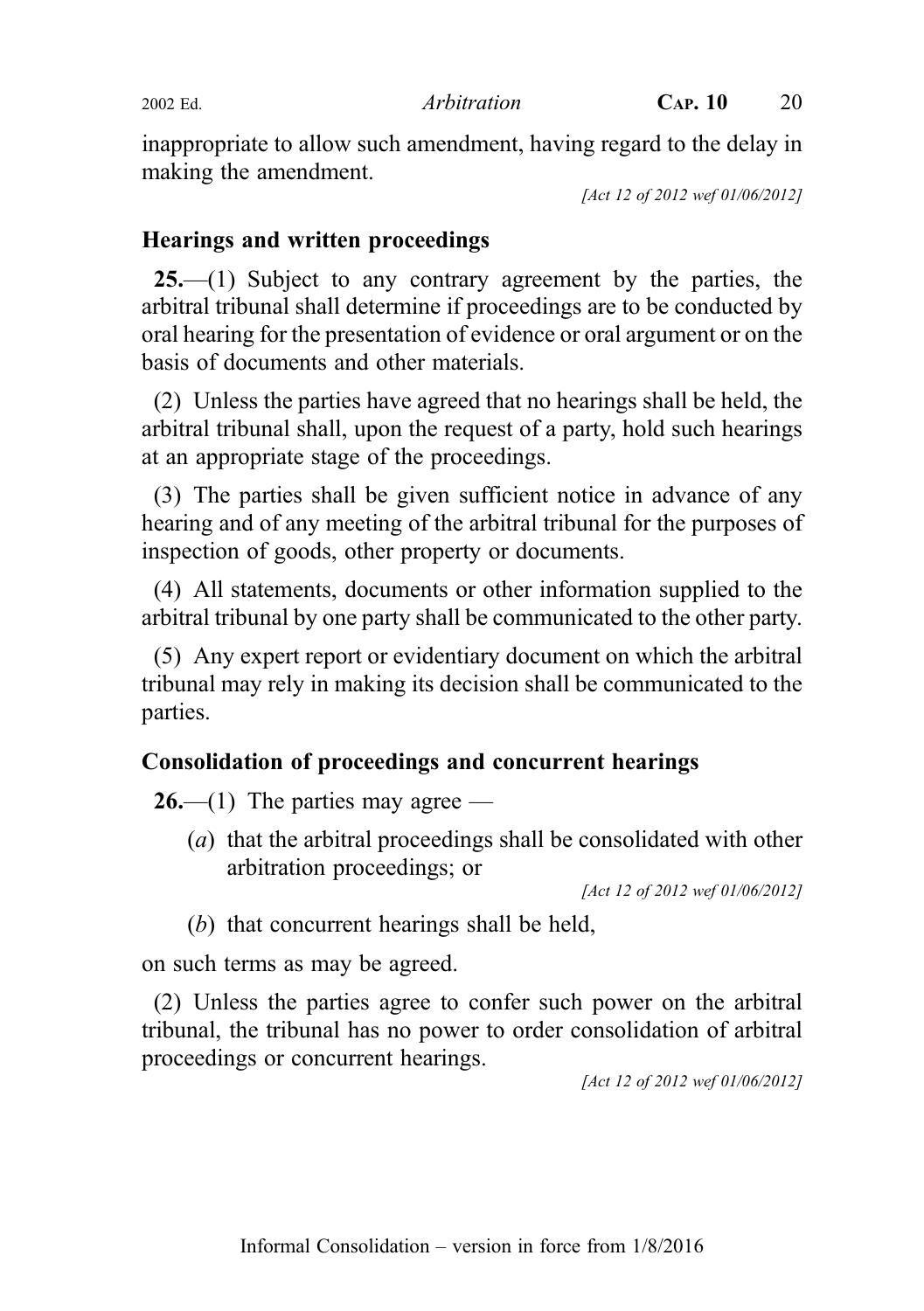inappropriate to allow such amendment, having regard to the delay in making the amendment.

[Act 12 of 2012 wef 01/06/2012]

# Hearings and written proceedings

25.—(1) Subject to any contrary agreement by the parties, the arbitral tribunal shall determine if proceedings are to be conducted by oral hearing for the presentation of evidence or oral argument or on the basis of documents and other materials.

(2) Unless the parties have agreed that no hearings shall be held, the arbitral tribunal shall, upon the request of a party, hold such hearings at an appropriate stage of the proceedings.

(3) The parties shall be given sufficient notice in advance of any hearing and of any meeting of the arbitral tribunal for the purposes of inspection of goods, other property or documents.

(4) All statements, documents or other information supplied to the arbitral tribunal by one party shall be communicated to the other party.

(5) Any expert report or evidentiary document on which the arbitral tribunal may rely in making its decision shall be communicated to the parties.

# Consolidation of proceedings and concurrent hearings

**26.—(1)** The parties may agree —

(a) that the arbitral proceedings shall be consolidated with other arbitration proceedings; or

[Act 12 of 2012 wef 01/06/2012]

(b) that concurrent hearings shall be held,

on such terms as may be agreed.

(2) Unless the parties agree to confer such power on the arbitral tribunal, the tribunal has no power to order consolidation of arbitral proceedings or concurrent hearings.

[Act 12 of 2012 wef 01/06/2012]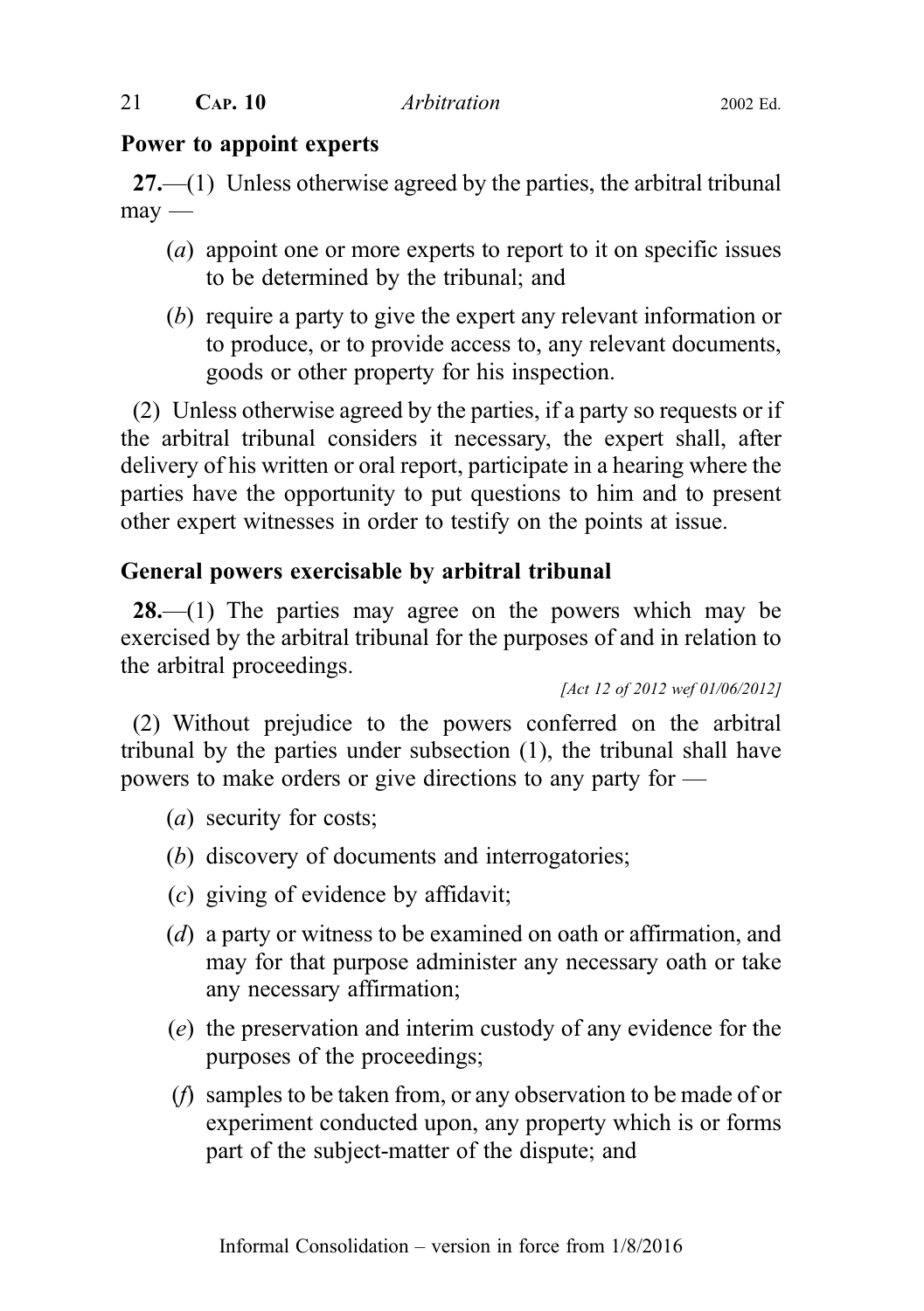#### Power to appoint experts

27.—(1) Unless otherwise agreed by the parties, the arbitral tribunal  $may$ —

- (a) appoint one or more experts to report to it on specific issues to be determined by the tribunal; and
- (b) require a party to give the expert any relevant information or to produce, or to provide access to, any relevant documents, goods or other property for his inspection.

(2) Unless otherwise agreed by the parties, if a party so requests or if the arbitral tribunal considers it necessary, the expert shall, after delivery of his written or oral report, participate in a hearing where the parties have the opportunity to put questions to him and to present other expert witnesses in order to testify on the points at issue.

# General powers exercisable by arbitral tribunal

**28.**—(1) The parties may agree on the powers which may be exercised by the arbitral tribunal for the purposes of and in relation to the arbitral proceedings.

[Act 12 of 2012 wef 01/06/2012]

(2) Without prejudice to the powers conferred on the arbitral tribunal by the parties under subsection (1), the tribunal shall have powers to make orders or give directions to any party for —

- (a) security for costs;
- (b) discovery of documents and interrogatories;
- (c) giving of evidence by affidavit;
- (d) a party or witness to be examined on oath or affirmation, and may for that purpose administer any necessary oath or take any necessary affirmation;
- (e) the preservation and interim custody of any evidence for the purposes of the proceedings;
- (f) samples to be taken from, or any observation to be made of or experiment conducted upon, any property which is or forms part of the subject-matter of the dispute; and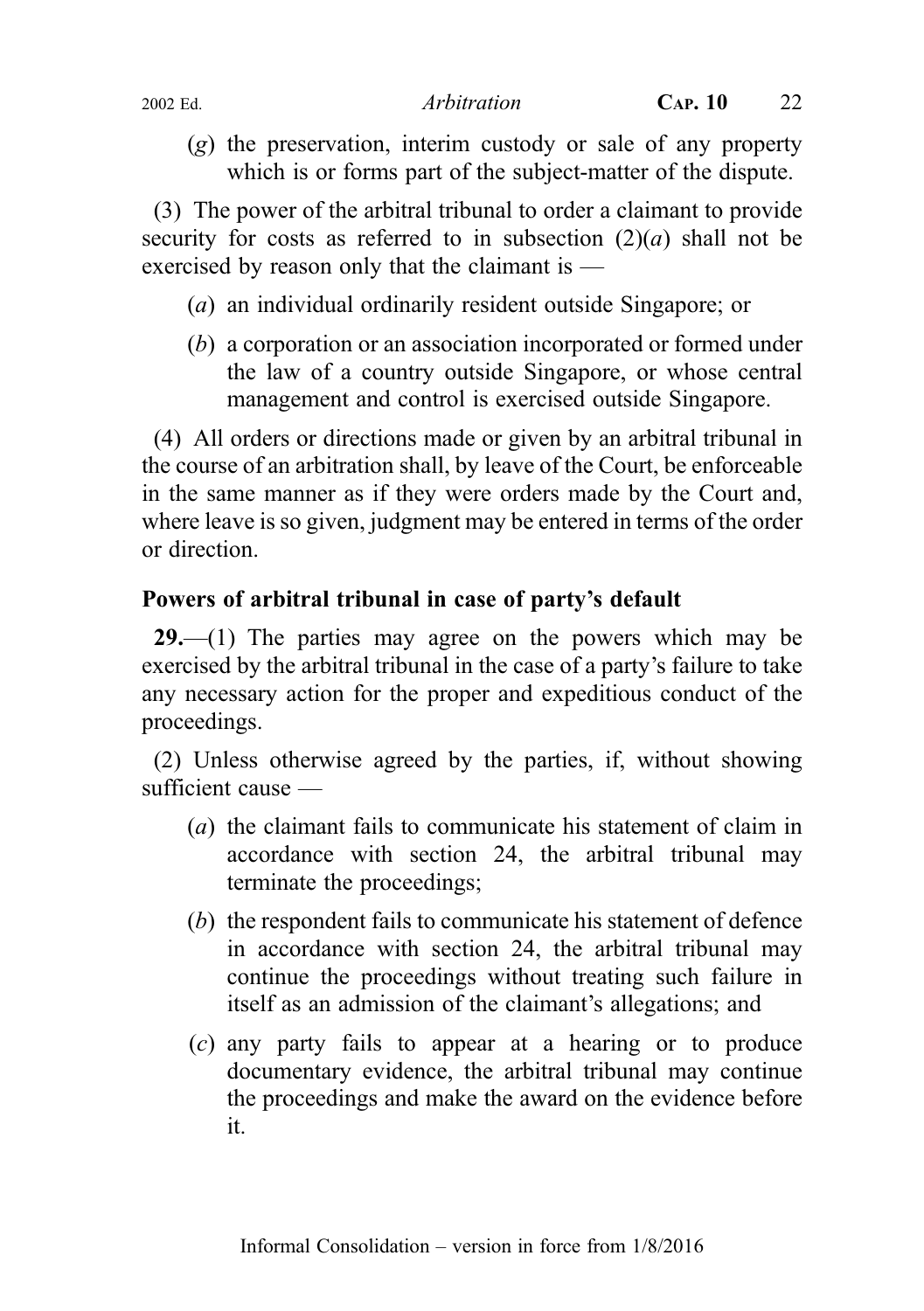(g) the preservation, interim custody or sale of any property which is or forms part of the subject-matter of the dispute.

(3) The power of the arbitral tribunal to order a claimant to provide security for costs as referred to in subsection  $(2)(a)$  shall not be exercised by reason only that the claimant is —

- (a) an individual ordinarily resident outside Singapore; or
- (b) a corporation or an association incorporated or formed under the law of a country outside Singapore, or whose central management and control is exercised outside Singapore.

(4) All orders or directions made or given by an arbitral tribunal in the course of an arbitration shall, by leave of the Court, be enforceable in the same manner as if they were orders made by the Court and, where leave is so given, judgment may be entered in terms of the order or direction.

# Powers of arbitral tribunal in case of party's default

29.—(1) The parties may agree on the powers which may be exercised by the arbitral tribunal in the case of a party's failure to take any necessary action for the proper and expeditious conduct of the proceedings.

(2) Unless otherwise agreed by the parties, if, without showing sufficient cause —

- (a) the claimant fails to communicate his statement of claim in accordance with section 24, the arbitral tribunal may terminate the proceedings;
- (b) the respondent fails to communicate his statement of defence in accordance with section 24, the arbitral tribunal may continue the proceedings without treating such failure in itself as an admission of the claimant's allegations; and
- (c) any party fails to appear at a hearing or to produce documentary evidence, the arbitral tribunal may continue the proceedings and make the award on the evidence before it.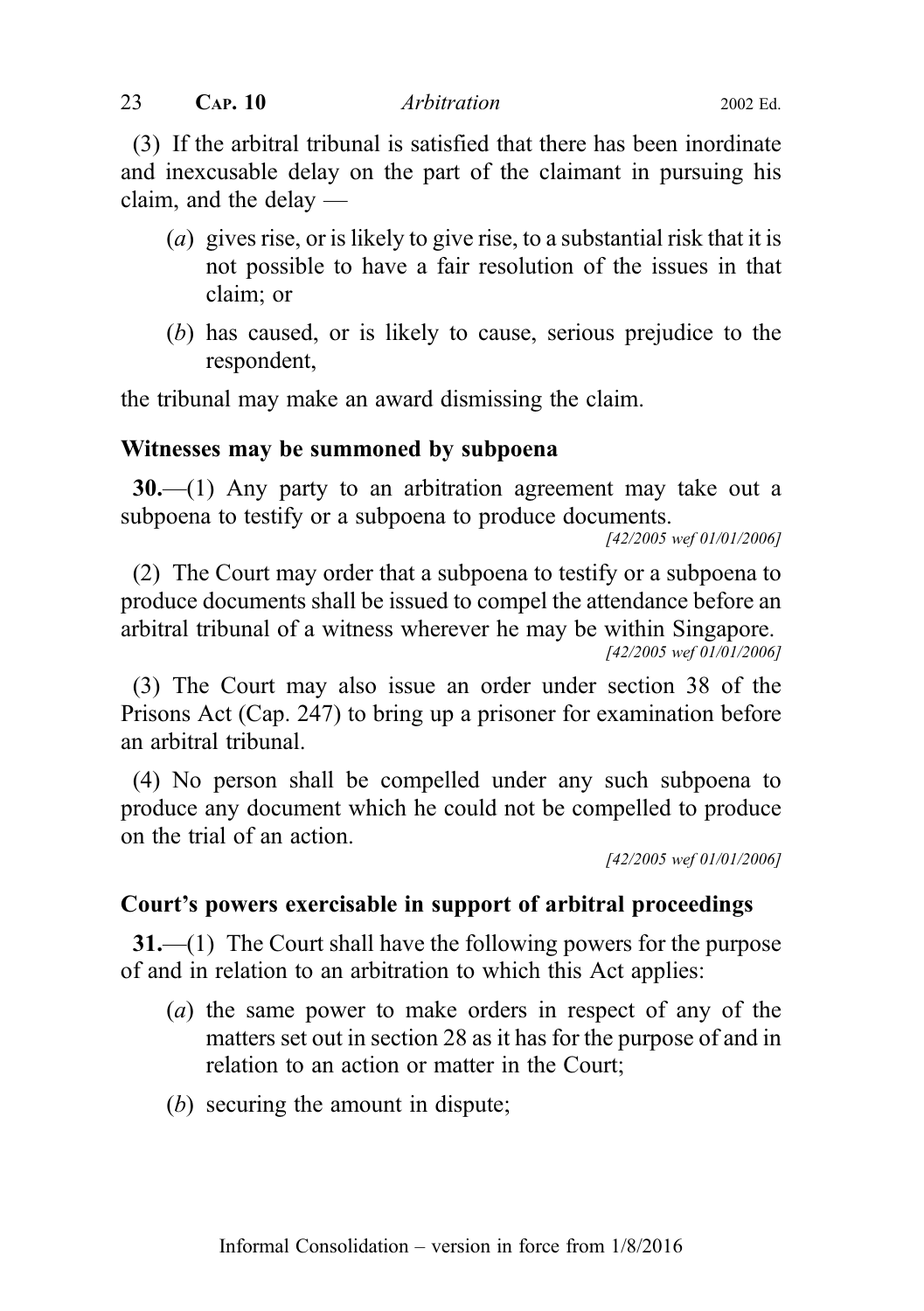(3) If the arbitral tribunal is satisfied that there has been inordinate and inexcusable delay on the part of the claimant in pursuing his claim, and the delay —

- (a) gives rise, or is likely to give rise, to a substantial risk that it is not possible to have a fair resolution of the issues in that claim; or
- (b) has caused, or is likely to cause, serious prejudice to the respondent,

the tribunal may make an award dismissing the claim.

#### Witnesses may be summoned by subpoena

30.—(1) Any party to an arbitration agreement may take out a subpoena to testify or a subpoena to produce documents.

[42/2005 wef 01/01/2006]

(2) The Court may order that a subpoena to testify or a subpoena to produce documents shall be issued to compel the attendance before an arbitral tribunal of a witness wherever he may be within Singapore. [42/2005 wef 01/01/2006]

(3) The Court may also issue an order under section 38 of the Prisons Act (Cap. 247) to bring up a prisoner for examination before an arbitral tribunal.

(4) No person shall be compelled under any such subpoena to produce any document which he could not be compelled to produce on the trial of an action.

[42/2005 wef 01/01/2006]

#### Court's powers exercisable in support of arbitral proceedings

31.—(1) The Court shall have the following powers for the purpose of and in relation to an arbitration to which this Act applies:

- (a) the same power to make orders in respect of any of the matters set out in section 28 as it has for the purpose of and in relation to an action or matter in the Court;
- (b) securing the amount in dispute;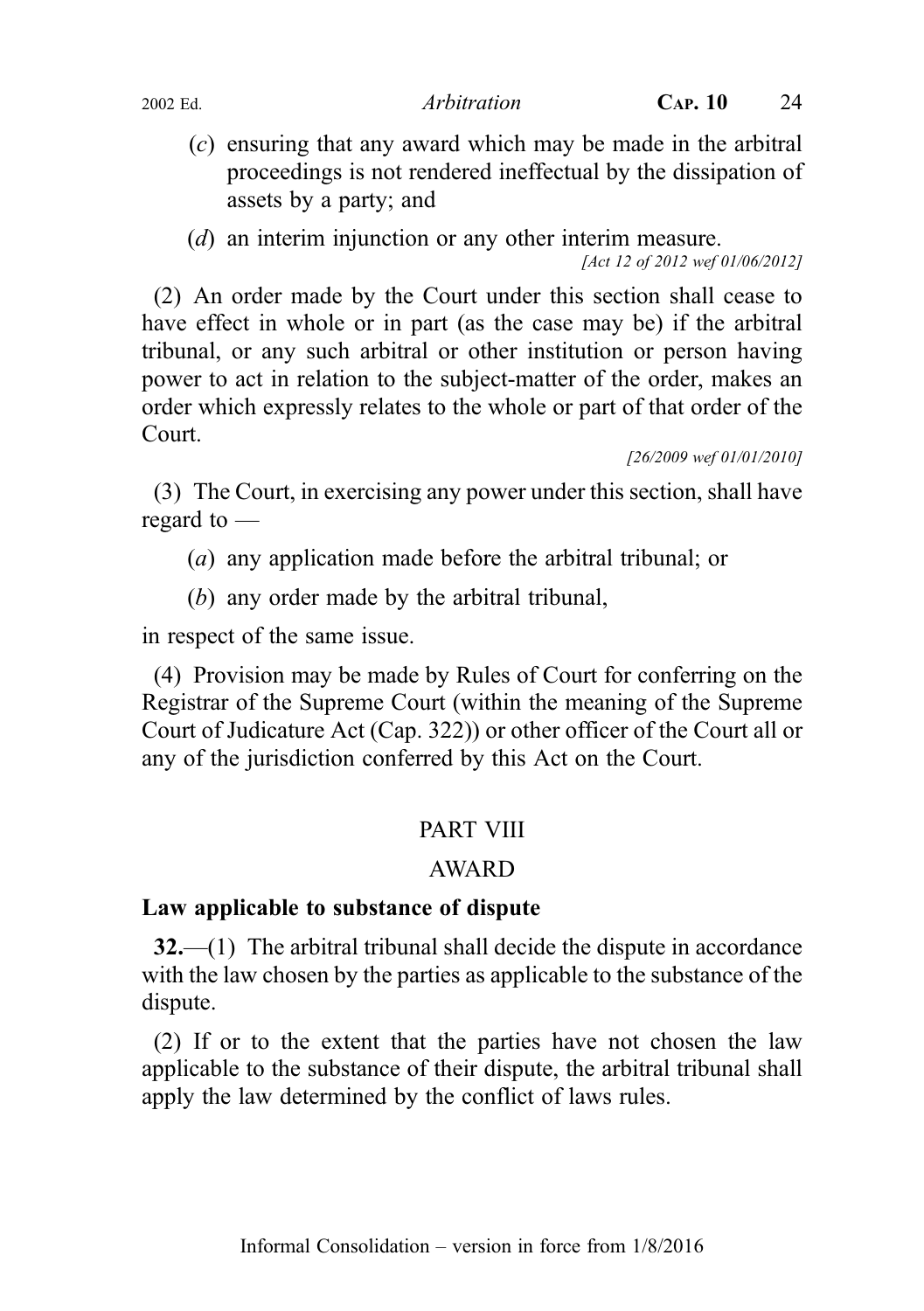- (c) ensuring that any award which may be made in the arbitral proceedings is not rendered ineffectual by the dissipation of assets by a party; and
- (*d*) an interim injunction or any other interim measure.

[Act 12 of 2012 wef 01/06/2012]

(2) An order made by the Court under this section shall cease to have effect in whole or in part (as the case may be) if the arbitral tribunal, or any such arbitral or other institution or person having power to act in relation to the subject-matter of the order, makes an order which expressly relates to the whole or part of that order of the Court.

[26/2009 wef 01/01/2010]

(3) The Court, in exercising any power under this section, shall have regard to —

- (a) any application made before the arbitral tribunal; or
- (b) any order made by the arbitral tribunal,

in respect of the same issue.

(4) Provision may be made by Rules of Court for conferring on the Registrar of the Supreme Court (within the meaning of the Supreme Court of Judicature Act (Cap. 322)) or other officer of the Court all or any of the jurisdiction conferred by this Act on the Court.

#### PART VIII

#### AWARD

#### Law applicable to substance of dispute

32.—(1) The arbitral tribunal shall decide the dispute in accordance with the law chosen by the parties as applicable to the substance of the dispute.

(2) If or to the extent that the parties have not chosen the law applicable to the substance of their dispute, the arbitral tribunal shall apply the law determined by the conflict of laws rules.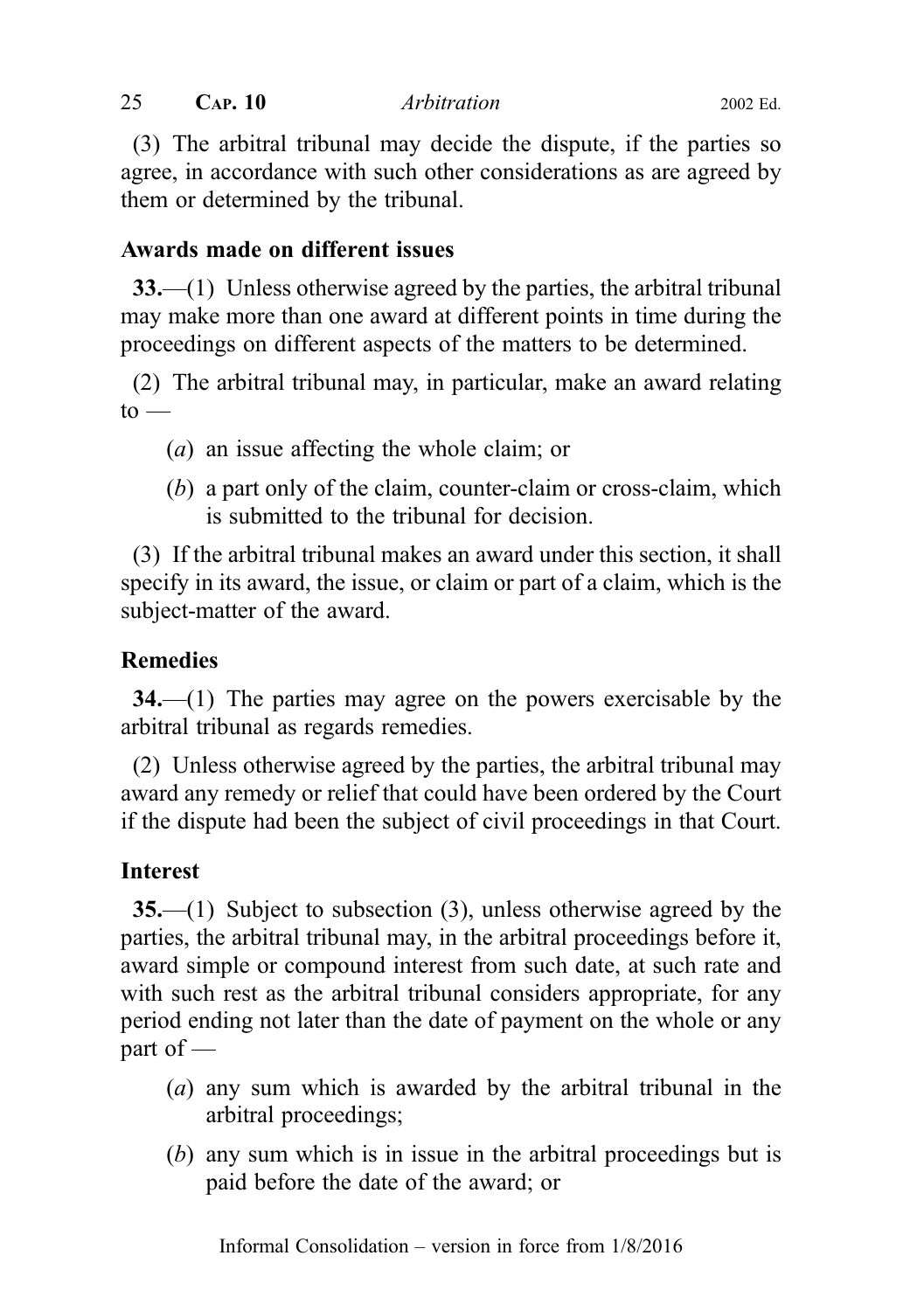(3) The arbitral tribunal may decide the dispute, if the parties so agree, in accordance with such other considerations as are agreed by them or determined by the tribunal.

# Awards made on different issues

33.—(1) Unless otherwise agreed by the parties, the arbitral tribunal may make more than one award at different points in time during the proceedings on different aspects of the matters to be determined.

(2) The arbitral tribunal may, in particular, make an award relating  $to -$ 

- (a) an issue affecting the whole claim; or
- (b) a part only of the claim, counter-claim or cross-claim, which is submitted to the tribunal for decision.

(3) If the arbitral tribunal makes an award under this section, it shall specify in its award, the issue, or claim or part of a claim, which is the subject-matter of the award.

# **Remedies**

34.—(1) The parties may agree on the powers exercisable by the arbitral tribunal as regards remedies.

(2) Unless otherwise agreed by the parties, the arbitral tribunal may award any remedy or relief that could have been ordered by the Court if the dispute had been the subject of civil proceedings in that Court.

# Interest

35.—(1) Subject to subsection (3), unless otherwise agreed by the parties, the arbitral tribunal may, in the arbitral proceedings before it, award simple or compound interest from such date, at such rate and with such rest as the arbitral tribunal considers appropriate, for any period ending not later than the date of payment on the whole or any part of —

- (a) any sum which is awarded by the arbitral tribunal in the arbitral proceedings;
- (b) any sum which is in issue in the arbitral proceedings but is paid before the date of the award; or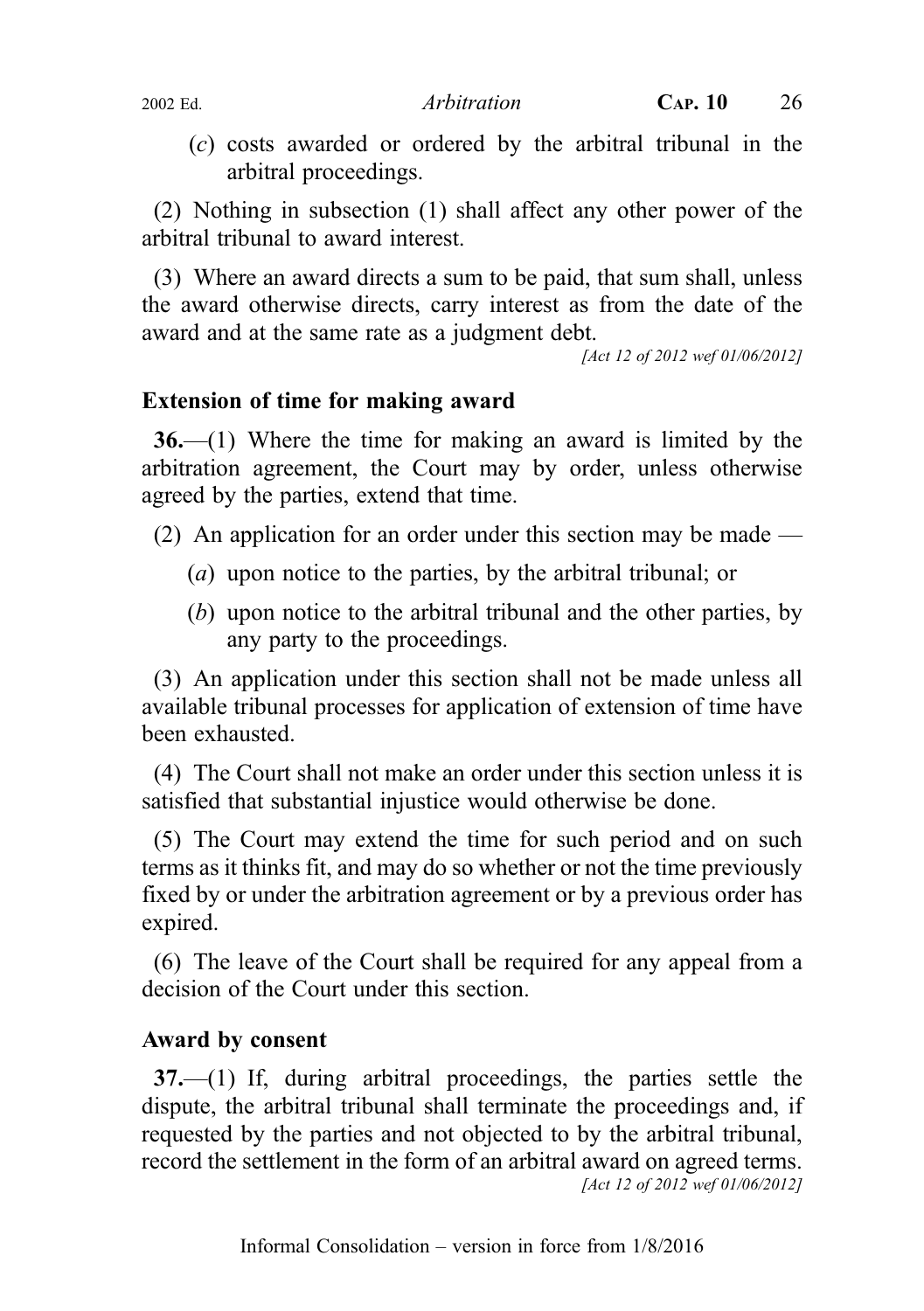(c) costs awarded or ordered by the arbitral tribunal in the arbitral proceedings.

(2) Nothing in subsection (1) shall affect any other power of the arbitral tribunal to award interest.

(3) Where an award directs a sum to be paid, that sum shall, unless the award otherwise directs, carry interest as from the date of the award and at the same rate as a judgment debt.

[Act 12 of 2012 wef 01/06/2012]

#### Extension of time for making award

36.—(1) Where the time for making an award is limited by the arbitration agreement, the Court may by order, unless otherwise agreed by the parties, extend that time.

(2) An application for an order under this section may be made —

- (a) upon notice to the parties, by the arbitral tribunal; or
- (b) upon notice to the arbitral tribunal and the other parties, by any party to the proceedings.

(3) An application under this section shall not be made unless all available tribunal processes for application of extension of time have been exhausted.

(4) The Court shall not make an order under this section unless it is satisfied that substantial injustice would otherwise be done.

(5) The Court may extend the time for such period and on such terms as it thinks fit, and may do so whether or not the time previously fixed by or under the arbitration agreement or by a previous order has expired.

(6) The leave of the Court shall be required for any appeal from a decision of the Court under this section.

#### Award by consent

37.—(1) If, during arbitral proceedings, the parties settle the dispute, the arbitral tribunal shall terminate the proceedings and, if requested by the parties and not objected to by the arbitral tribunal, record the settlement in the form of an arbitral award on agreed terms. [Act 12 of 2012 wef 01/06/2012]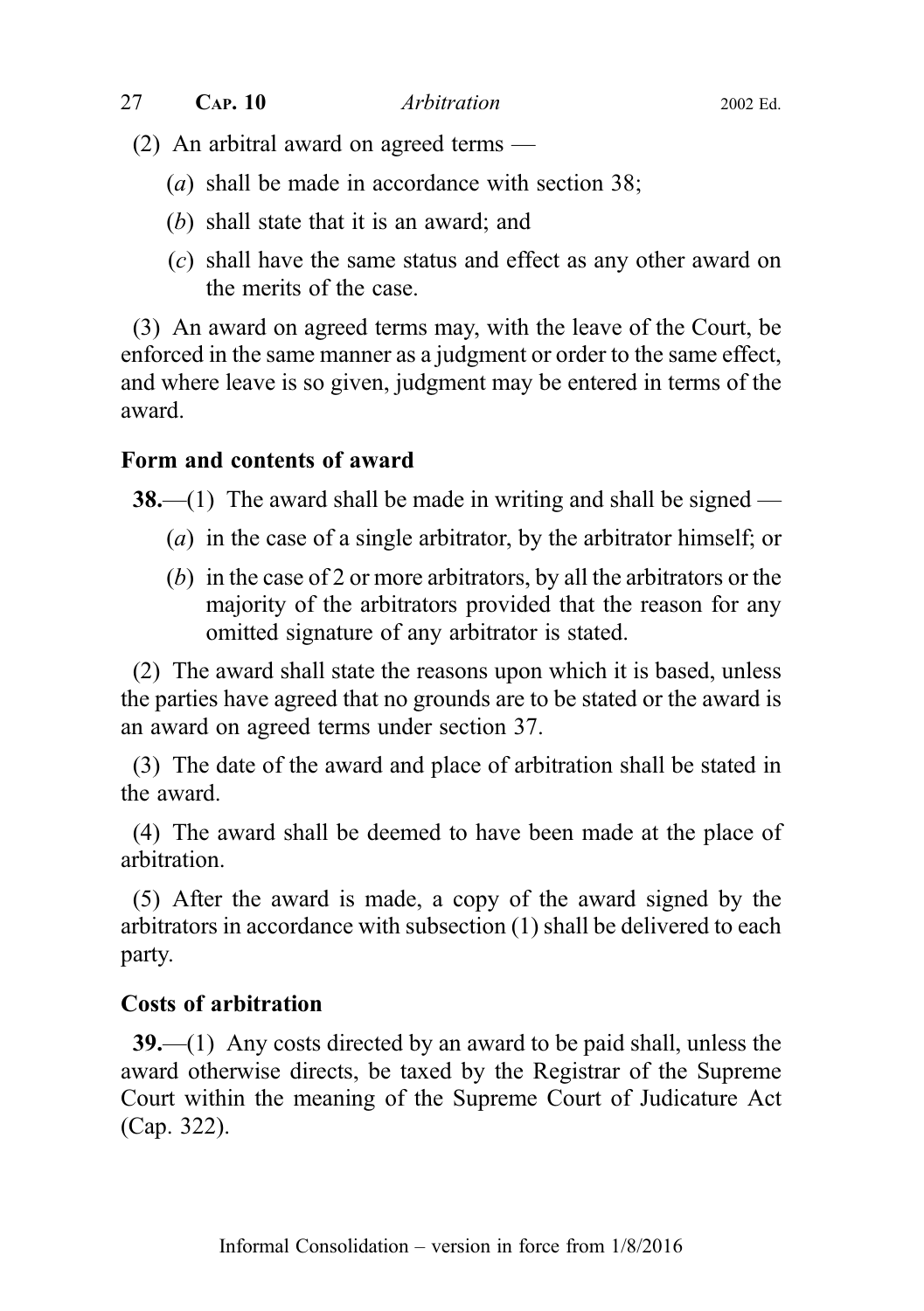- (2) An arbitral award on agreed terms
	- (a) shall be made in accordance with section 38;
	- (b) shall state that it is an award; and
	- (c) shall have the same status and effect as any other award on the merits of the case.

(3) An award on agreed terms may, with the leave of the Court, be enforced in the same manner as a judgment or order to the same effect, and where leave is so given, judgment may be entered in terms of the award.

#### Form and contents of award

**38.**—(1) The award shall be made in writing and shall be signed —

- (a) in the case of a single arbitrator, by the arbitrator himself; or
- (b) in the case of 2 or more arbitrators, by all the arbitrators or the majority of the arbitrators provided that the reason for any omitted signature of any arbitrator is stated.

(2) The award shall state the reasons upon which it is based, unless the parties have agreed that no grounds are to be stated or the award is an award on agreed terms under section 37.

(3) The date of the award and place of arbitration shall be stated in the award.

(4) The award shall be deemed to have been made at the place of arbitration.

(5) After the award is made, a copy of the award signed by the arbitrators in accordance with subsection (1) shall be delivered to each party.

#### Costs of arbitration

39.—(1) Any costs directed by an award to be paid shall, unless the award otherwise directs, be taxed by the Registrar of the Supreme Court within the meaning of the Supreme Court of Judicature Act (Cap. 322).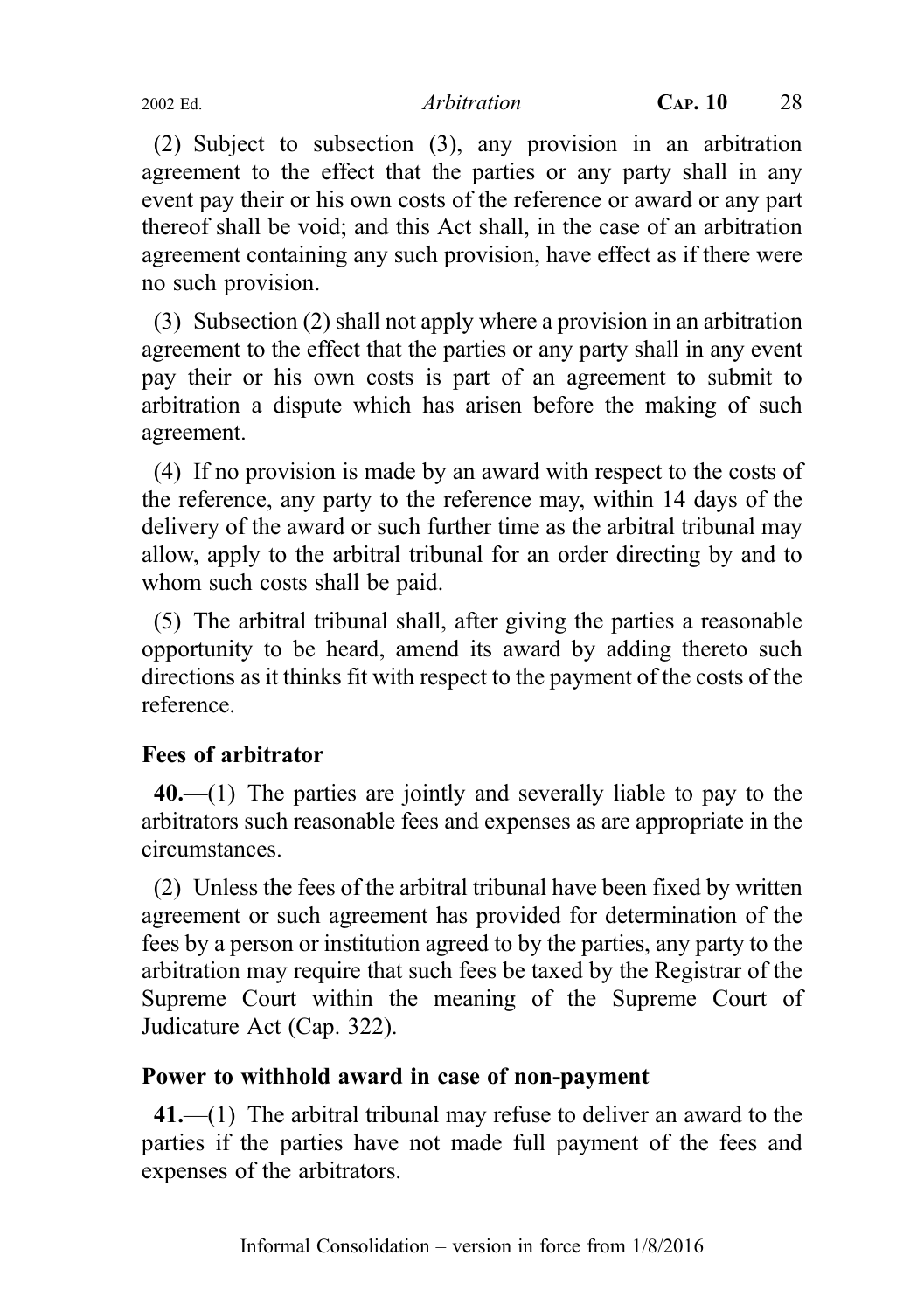(2) Subject to subsection (3), any provision in an arbitration agreement to the effect that the parties or any party shall in any event pay their or his own costs of the reference or award or any part thereof shall be void; and this Act shall, in the case of an arbitration agreement containing any such provision, have effect as if there were no such provision.

(3) Subsection (2) shall not apply where a provision in an arbitration agreement to the effect that the parties or any party shall in any event pay their or his own costs is part of an agreement to submit to arbitration a dispute which has arisen before the making of such agreement.

(4) If no provision is made by an award with respect to the costs of the reference, any party to the reference may, within 14 days of the delivery of the award or such further time as the arbitral tribunal may allow, apply to the arbitral tribunal for an order directing by and to whom such costs shall be paid.

(5) The arbitral tribunal shall, after giving the parties a reasonable opportunity to be heard, amend its award by adding thereto such directions as it thinks fit with respect to the payment of the costs of the reference.

# Fees of arbitrator

40.—(1) The parties are jointly and severally liable to pay to the arbitrators such reasonable fees and expenses as are appropriate in the circumstances.

(2) Unless the fees of the arbitral tribunal have been fixed by written agreement or such agreement has provided for determination of the fees by a person or institution agreed to by the parties, any party to the arbitration may require that such fees be taxed by the Registrar of the Supreme Court within the meaning of the Supreme Court of Judicature Act (Cap. 322).

# Power to withhold award in case of non-payment

41.—(1) The arbitral tribunal may refuse to deliver an award to the parties if the parties have not made full payment of the fees and expenses of the arbitrators.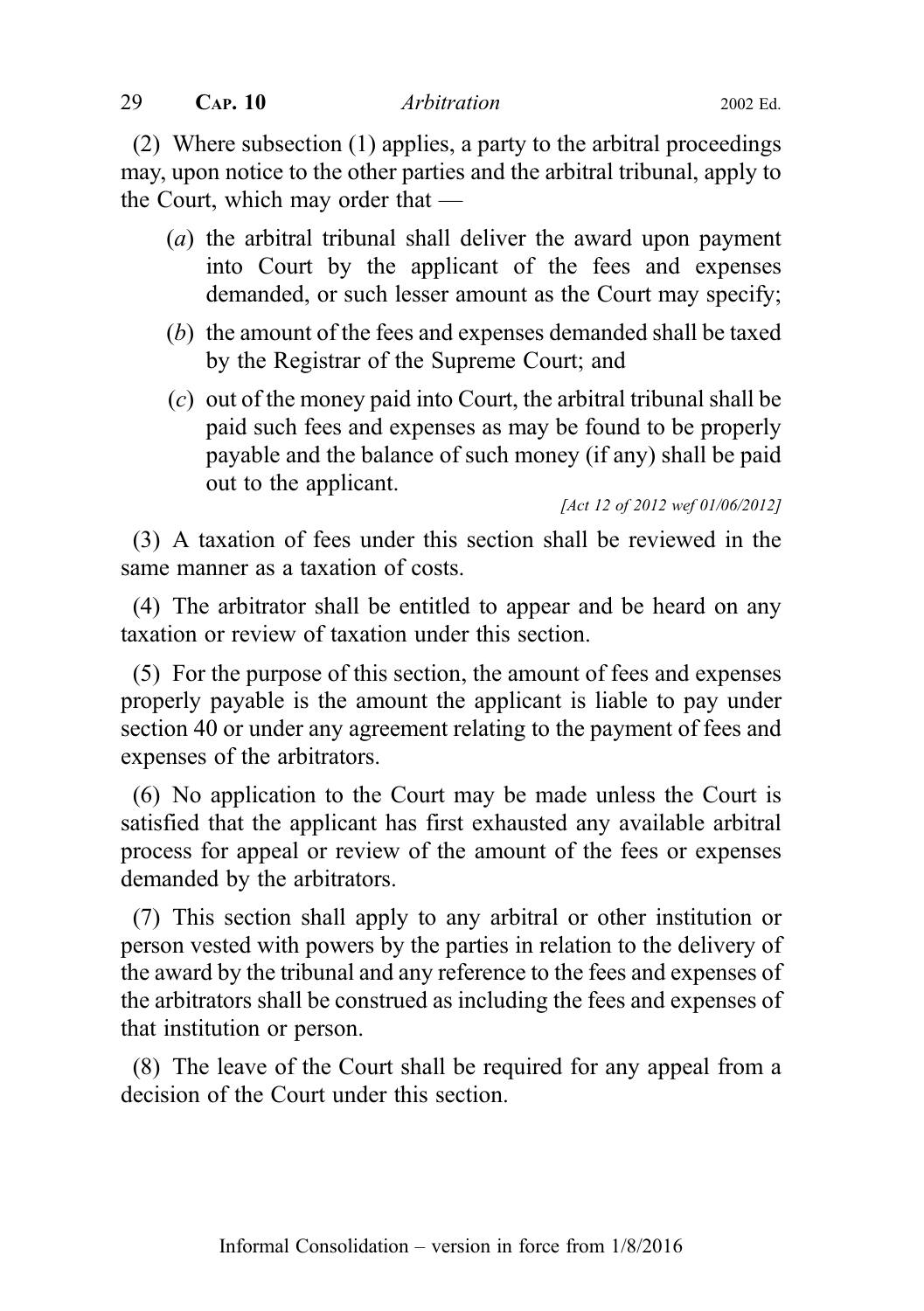(2) Where subsection (1) applies, a party to the arbitral proceedings may, upon notice to the other parties and the arbitral tribunal, apply to the Court, which may order that —

- (a) the arbitral tribunal shall deliver the award upon payment into Court by the applicant of the fees and expenses demanded, or such lesser amount as the Court may specify;
- (b) the amount of the fees and expenses demanded shall be taxed by the Registrar of the Supreme Court; and
- (c) out of the money paid into Court, the arbitral tribunal shall be paid such fees and expenses as may be found to be properly payable and the balance of such money (if any) shall be paid out to the applicant.

[Act 12 of 2012 wef 01/06/2012]

(3) A taxation of fees under this section shall be reviewed in the same manner as a taxation of costs.

(4) The arbitrator shall be entitled to appear and be heard on any taxation or review of taxation under this section.

(5) For the purpose of this section, the amount of fees and expenses properly payable is the amount the applicant is liable to pay under section 40 or under any agreement relating to the payment of fees and expenses of the arbitrators.

(6) No application to the Court may be made unless the Court is satisfied that the applicant has first exhausted any available arbitral process for appeal or review of the amount of the fees or expenses demanded by the arbitrators.

(7) This section shall apply to any arbitral or other institution or person vested with powers by the parties in relation to the delivery of the award by the tribunal and any reference to the fees and expenses of the arbitrators shall be construed as including the fees and expenses of that institution or person.

(8) The leave of the Court shall be required for any appeal from a decision of the Court under this section.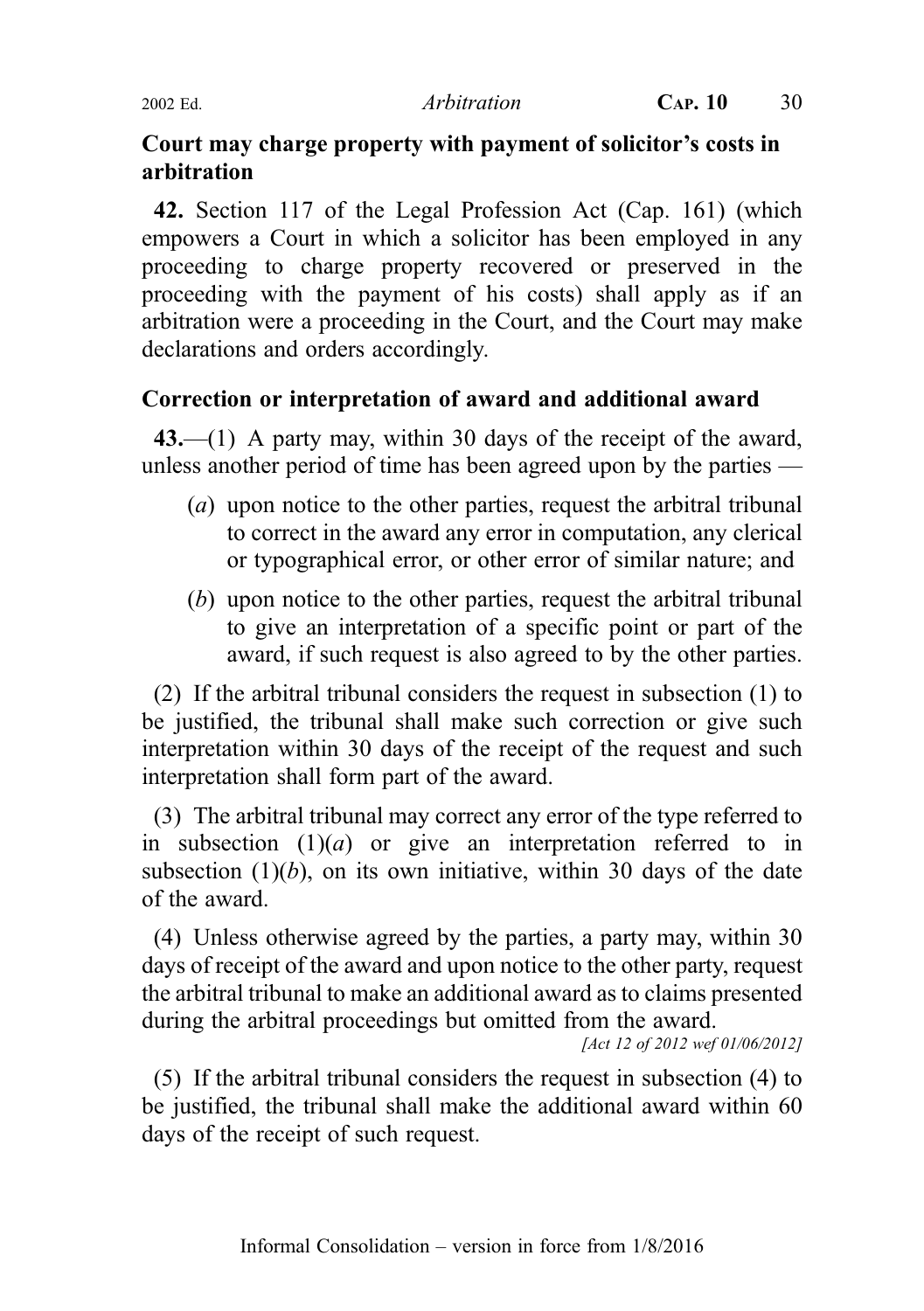#### Court may charge property with payment of solicitor's costs in arbitration

42. Section 117 of the Legal Profession Act (Cap. 161) (which empowers a Court in which a solicitor has been employed in any proceeding to charge property recovered or preserved in the proceeding with the payment of his costs) shall apply as if an arbitration were a proceeding in the Court, and the Court may make declarations and orders accordingly.

# Correction or interpretation of award and additional award

43.—(1) A party may, within 30 days of the receipt of the award, unless another period of time has been agreed upon by the parties —

- (a) upon notice to the other parties, request the arbitral tribunal to correct in the award any error in computation, any clerical or typographical error, or other error of similar nature; and
- (b) upon notice to the other parties, request the arbitral tribunal to give an interpretation of a specific point or part of the award, if such request is also agreed to by the other parties.

(2) If the arbitral tribunal considers the request in subsection (1) to be justified, the tribunal shall make such correction or give such interpretation within 30 days of the receipt of the request and such interpretation shall form part of the award.

(3) The arbitral tribunal may correct any error of the type referred to in subsection  $(1)(a)$  or give an interpretation referred to in subsection  $(1)(b)$ , on its own initiative, within 30 days of the date of the award.

(4) Unless otherwise agreed by the parties, a party may, within 30 days of receipt of the award and upon notice to the other party, request the arbitral tribunal to make an additional award as to claims presented during the arbitral proceedings but omitted from the award.

[Act 12 of 2012 wef 01/06/2012]

(5) If the arbitral tribunal considers the request in subsection (4) to be justified, the tribunal shall make the additional award within 60 days of the receipt of such request.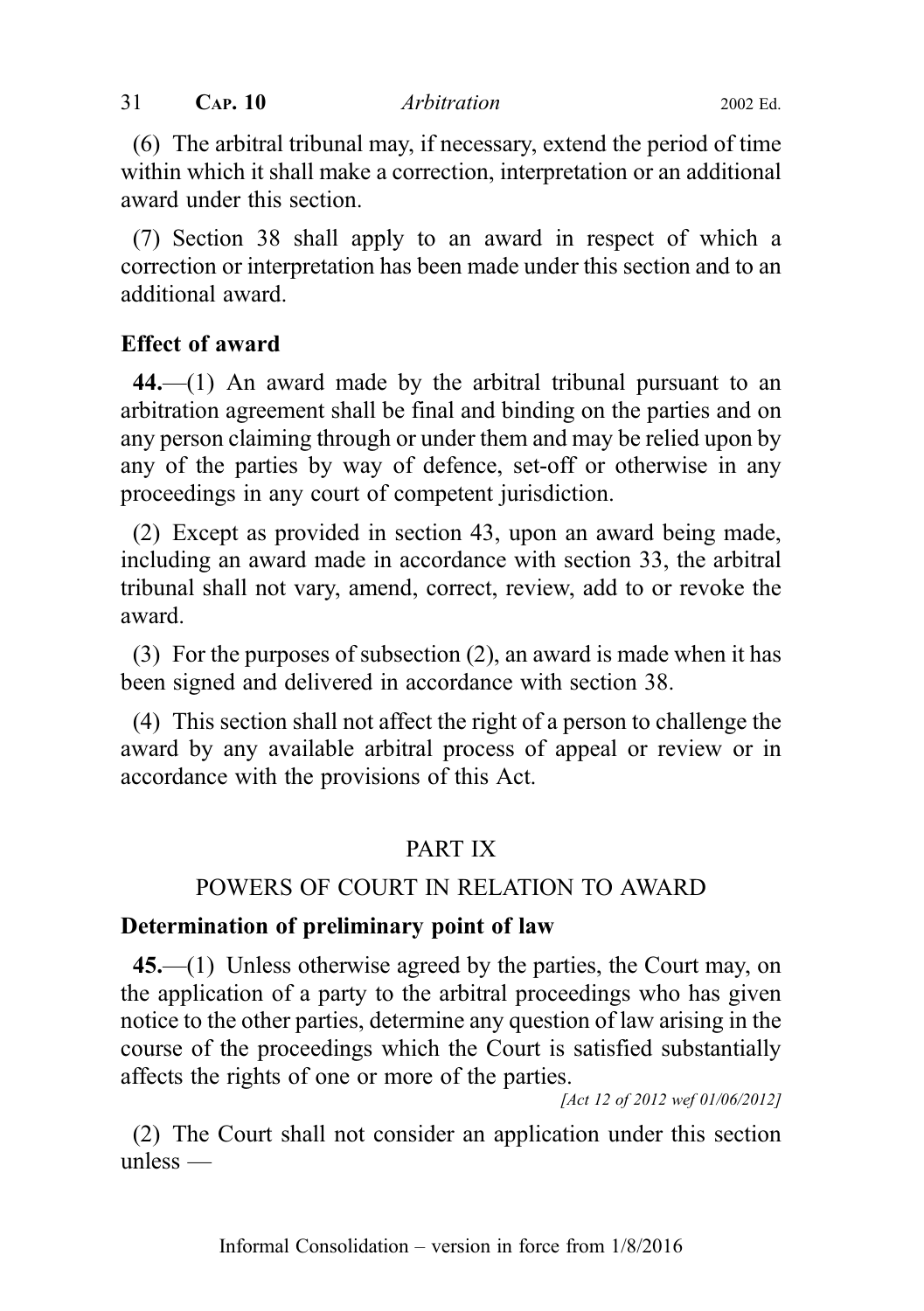(6) The arbitral tribunal may, if necessary, extend the period of time within which it shall make a correction, interpretation or an additional award under this section.

(7) Section 38 shall apply to an award in respect of which a correction or interpretation has been made under this section and to an additional award.

#### Effect of award

44.—(1) An award made by the arbitral tribunal pursuant to an arbitration agreement shall be final and binding on the parties and on any person claiming through or under them and may be relied upon by any of the parties by way of defence, set-off or otherwise in any proceedings in any court of competent jurisdiction.

(2) Except as provided in section 43, upon an award being made, including an award made in accordance with section 33, the arbitral tribunal shall not vary, amend, correct, review, add to or revoke the award.

(3) For the purposes of subsection (2), an award is made when it has been signed and delivered in accordance with section 38.

(4) This section shall not affect the right of a person to challenge the award by any available arbitral process of appeal or review or in accordance with the provisions of this Act.

# PART IX

#### POWERS OF COURT IN RELATION TO AWARD

#### Determination of preliminary point of law

45.—(1) Unless otherwise agreed by the parties, the Court may, on the application of a party to the arbitral proceedings who has given notice to the other parties, determine any question of law arising in the course of the proceedings which the Court is satisfied substantially affects the rights of one or more of the parties.

[Act 12 of 2012 wef 01/06/2012]

(2) The Court shall not consider an application under this section unless —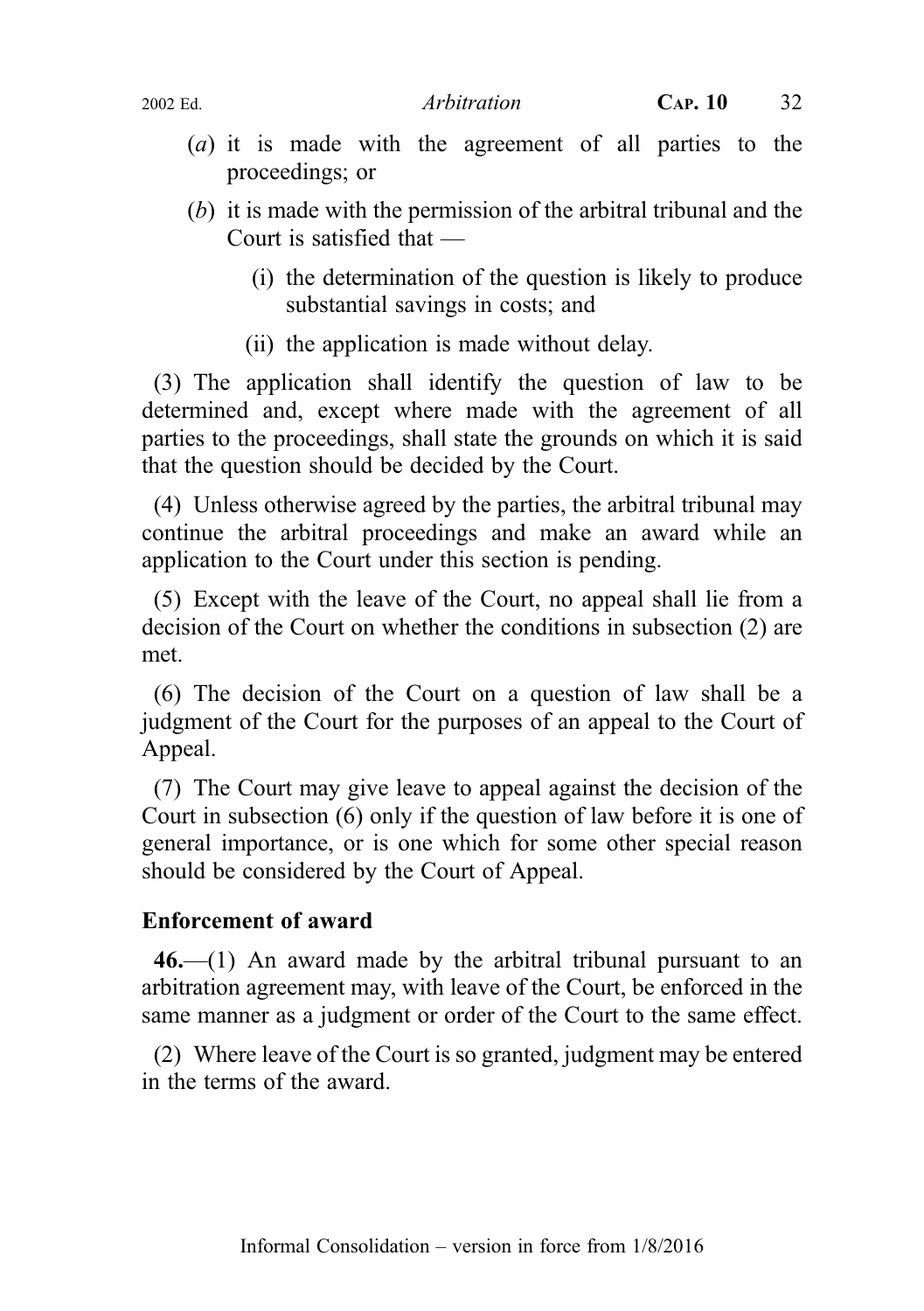- - (a) it is made with the agreement of all parties to the proceedings; or
	- (b) it is made with the permission of the arbitral tribunal and the Court is satisfied that —
		- (i) the determination of the question is likely to produce substantial savings in costs; and
		- (ii) the application is made without delay.

(3) The application shall identify the question of law to be determined and, except where made with the agreement of all parties to the proceedings, shall state the grounds on which it is said that the question should be decided by the Court.

(4) Unless otherwise agreed by the parties, the arbitral tribunal may continue the arbitral proceedings and make an award while an application to the Court under this section is pending.

(5) Except with the leave of the Court, no appeal shall lie from a decision of the Court on whether the conditions in subsection (2) are met.

(6) The decision of the Court on a question of law shall be a judgment of the Court for the purposes of an appeal to the Court of Appeal.

(7) The Court may give leave to appeal against the decision of the Court in subsection (6) only if the question of law before it is one of general importance, or is one which for some other special reason should be considered by the Court of Appeal.

# Enforcement of award

 $46$ —(1) An award made by the arbitral tribunal pursuant to an arbitration agreement may, with leave of the Court, be enforced in the same manner as a judgment or order of the Court to the same effect.

(2) Where leave of the Court is so granted, judgment may be entered in the terms of the award.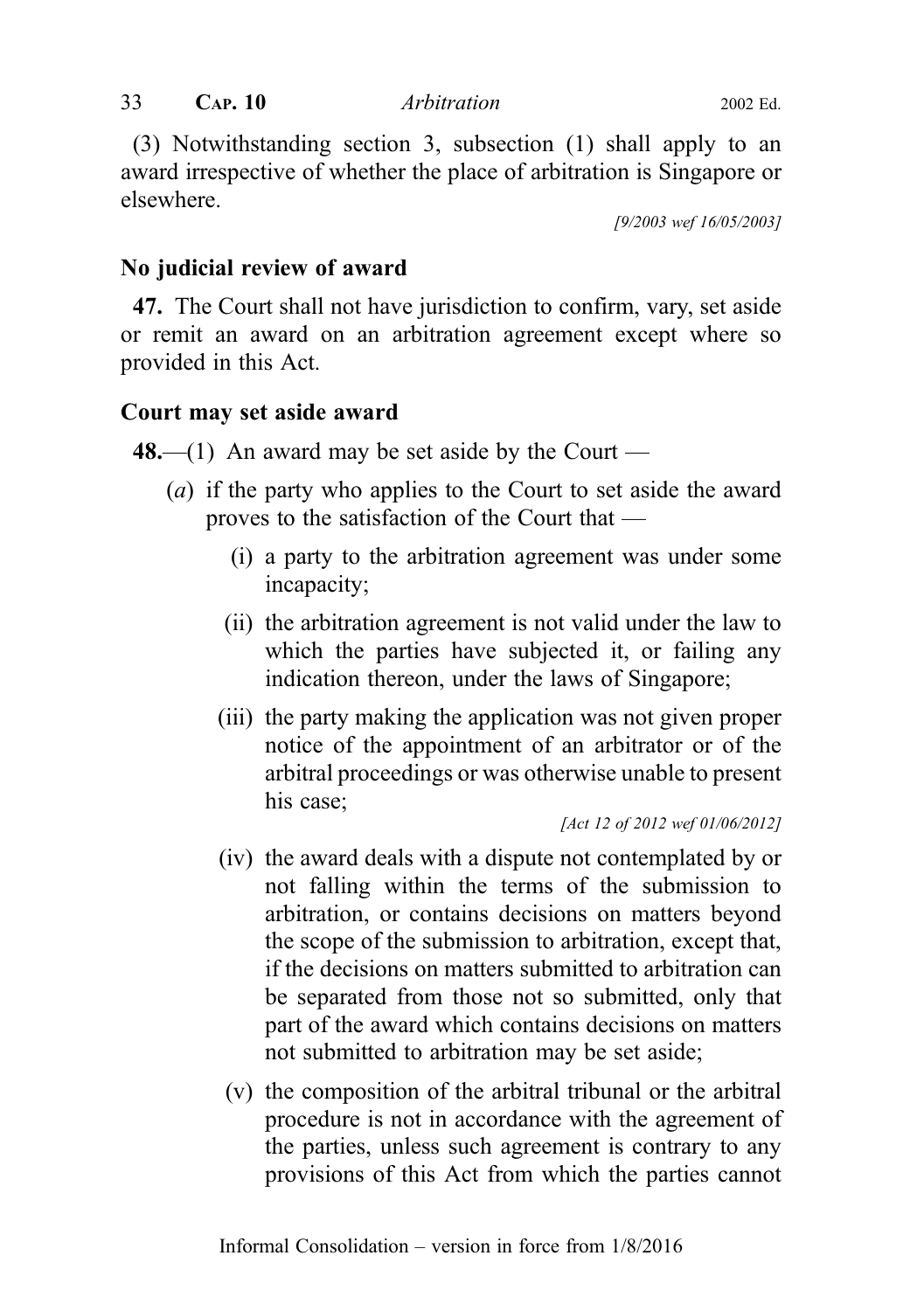(3) Notwithstanding section 3, subsection (1) shall apply to an award irrespective of whether the place of arbitration is Singapore or elsewhere.

[9/2003 wef 16/05/2003]

#### No judicial review of award

47. The Court shall not have jurisdiction to confirm, vary, set aside or remit an award on an arbitration agreement except where so provided in this Act.

#### Court may set aside award

**48.—(1)** An award may be set aside by the Court —

- (a) if the party who applies to the Court to set aside the award proves to the satisfaction of the Court that —
	- (i) a party to the arbitration agreement was under some incapacity;
	- (ii) the arbitration agreement is not valid under the law to which the parties have subjected it, or failing any indication thereon, under the laws of Singapore;
	- (iii) the party making the application was not given proper notice of the appointment of an arbitrator or of the arbitral proceedings or was otherwise unable to present his case;

[Act 12 of 2012 wef 01/06/2012]

- (iv) the award deals with a dispute not contemplated by or not falling within the terms of the submission to arbitration, or contains decisions on matters beyond the scope of the submission to arbitration, except that, if the decisions on matters submitted to arbitration can be separated from those not so submitted, only that part of the award which contains decisions on matters not submitted to arbitration may be set aside;
- (v) the composition of the arbitral tribunal or the arbitral procedure is not in accordance with the agreement of the parties, unless such agreement is contrary to any provisions of this Act from which the parties cannot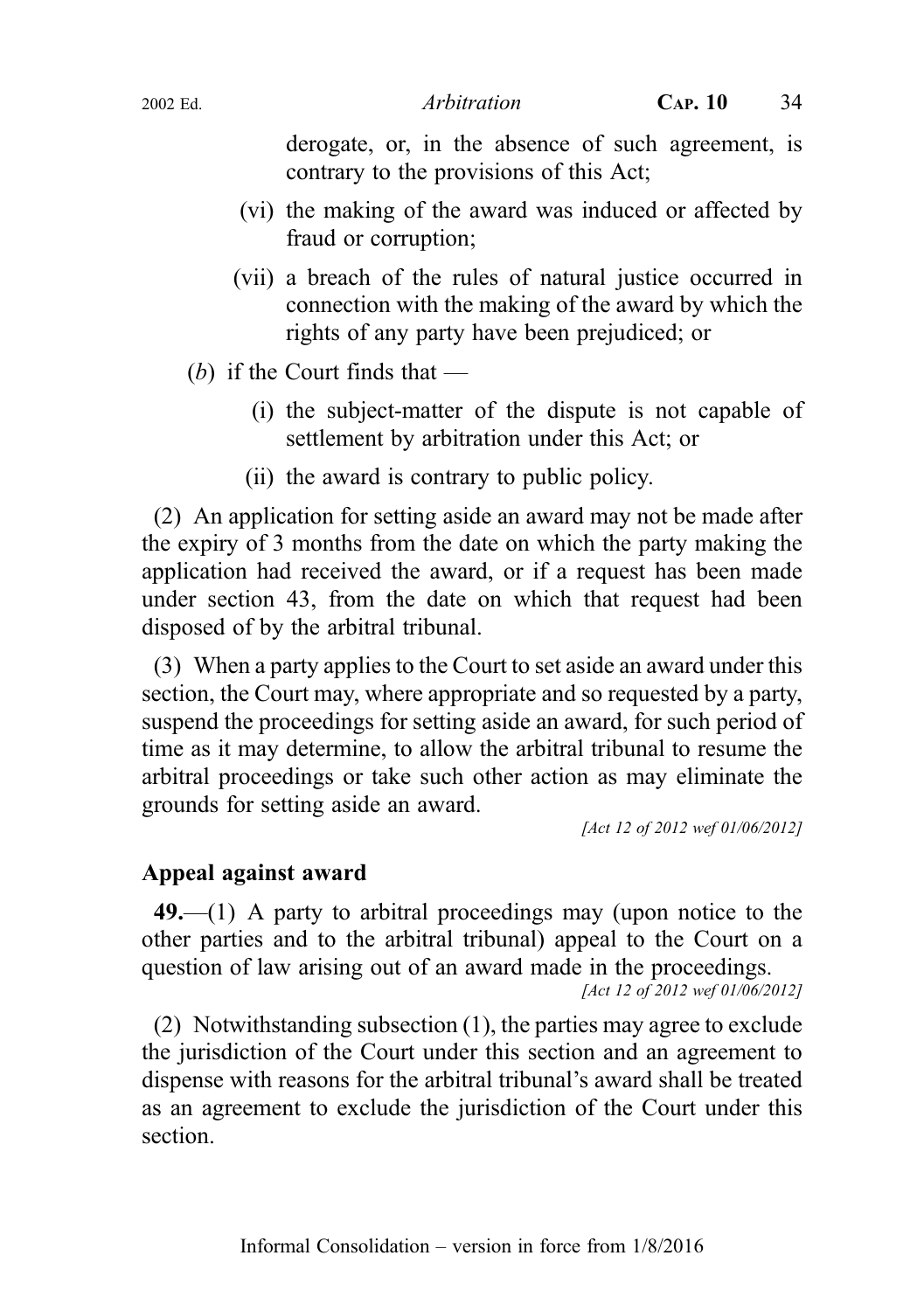derogate, or, in the absence of such agreement, is contrary to the provisions of this Act;

- (vi) the making of the award was induced or affected by fraud or corruption;
- (vii) a breach of the rules of natural justice occurred in connection with the making of the award by which the rights of any party have been prejudiced; or
- (b) if the Court finds that  $-$ 
	- (i) the subject-matter of the dispute is not capable of settlement by arbitration under this Act; or
	- (ii) the award is contrary to public policy.

(2) An application for setting aside an award may not be made after the expiry of 3 months from the date on which the party making the application had received the award, or if a request has been made under section 43, from the date on which that request had been disposed of by the arbitral tribunal.

(3) When a party applies to the Court to set aside an award under this section, the Court may, where appropriate and so requested by a party, suspend the proceedings for setting aside an award, for such period of time as it may determine, to allow the arbitral tribunal to resume the arbitral proceedings or take such other action as may eliminate the grounds for setting aside an award.

[Act 12 of 2012 wef 01/06/2012]

#### Appeal against award

49.—(1) A party to arbitral proceedings may (upon notice to the other parties and to the arbitral tribunal) appeal to the Court on a question of law arising out of an award made in the proceedings.

[Act 12 of 2012 wef 01/06/2012]

(2) Notwithstanding subsection (1), the parties may agree to exclude the jurisdiction of the Court under this section and an agreement to dispense with reasons for the arbitral tribunal's award shall be treated as an agreement to exclude the jurisdiction of the Court under this section.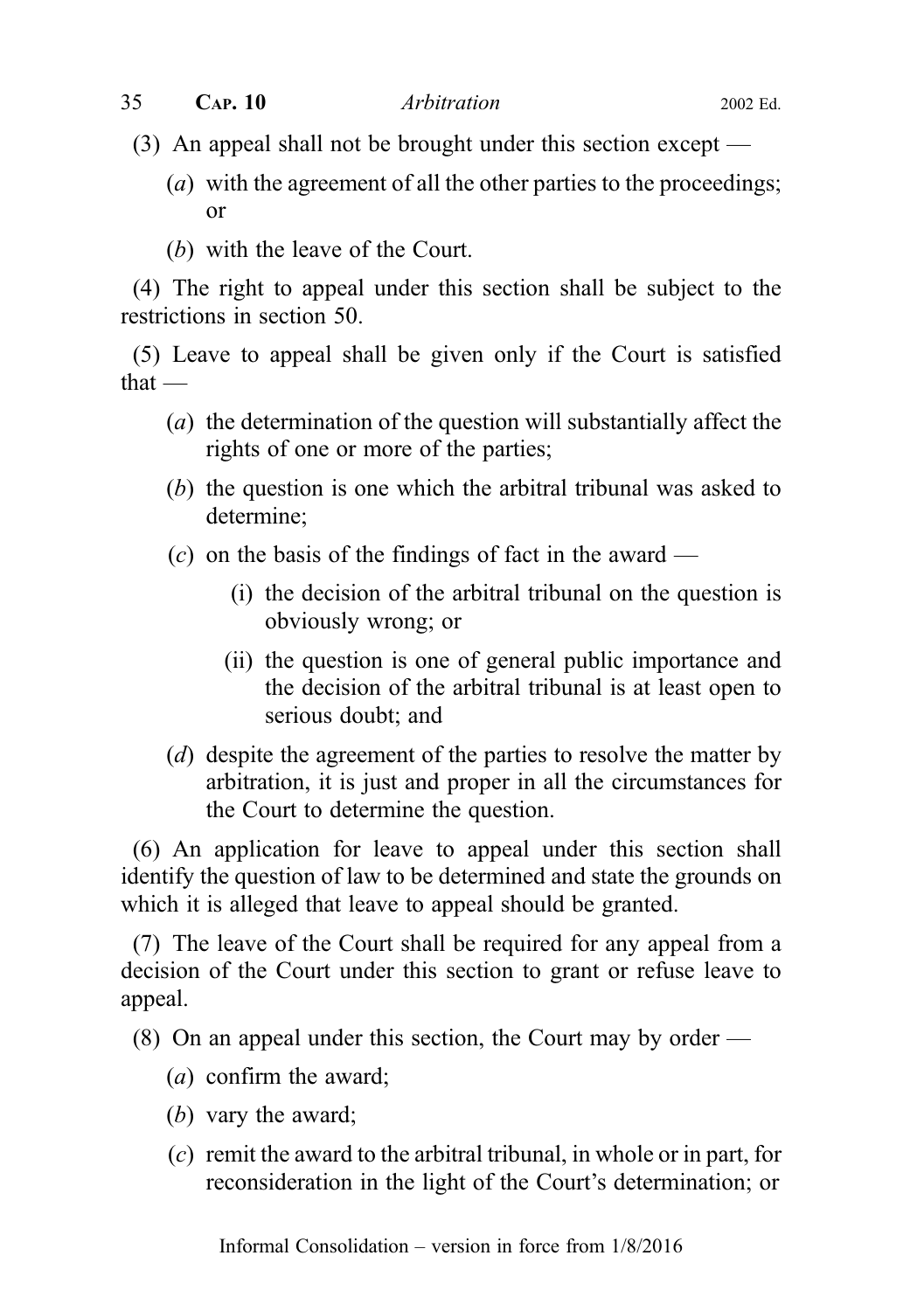- (3) An appeal shall not be brought under this section except
	- $(a)$  with the agreement of all the other parties to the proceedings; or
	- (b) with the leave of the Court.

(4) The right to appeal under this section shall be subject to the restrictions in section 50.

(5) Leave to appeal shall be given only if the Court is satisfied that $-$ 

- (a) the determination of the question will substantially affect the rights of one or more of the parties;
- (b) the question is one which the arbitral tribunal was asked to determine;
- (c) on the basis of the findings of fact in the award
	- (i) the decision of the arbitral tribunal on the question is obviously wrong; or
	- (ii) the question is one of general public importance and the decision of the arbitral tribunal is at least open to serious doubt; and
- (d) despite the agreement of the parties to resolve the matter by arbitration, it is just and proper in all the circumstances for the Court to determine the question.

(6) An application for leave to appeal under this section shall identify the question of law to be determined and state the grounds on which it is alleged that leave to appeal should be granted.

(7) The leave of the Court shall be required for any appeal from a decision of the Court under this section to grant or refuse leave to appeal.

(8) On an appeal under this section, the Court may by order —

- (a) confirm the award;
- (b) vary the award;
- (c) remit the award to the arbitral tribunal, in whole or in part, for reconsideration in the light of the Court's determination; or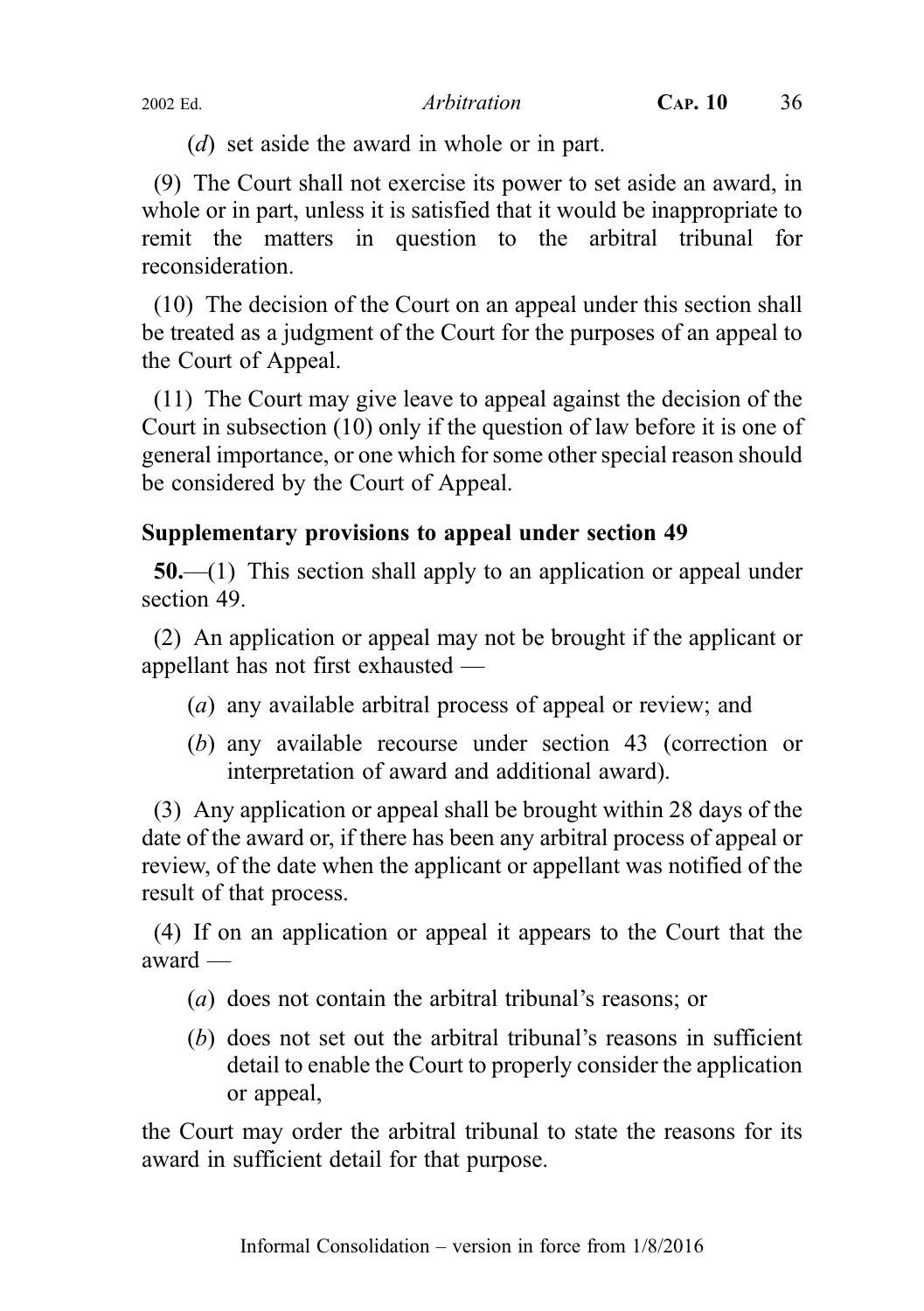(d) set aside the award in whole or in part.

(9) The Court shall not exercise its power to set aside an award, in whole or in part, unless it is satisfied that it would be inappropriate to remit the matters in question to the arbitral tribunal for reconsideration.

(10) The decision of the Court on an appeal under this section shall be treated as a judgment of the Court for the purposes of an appeal to the Court of Appeal.

(11) The Court may give leave to appeal against the decision of the Court in subsection (10) only if the question of law before it is one of general importance, or one which for some other special reason should be considered by the Court of Appeal.

# Supplementary provisions to appeal under section 49

50.—(1) This section shall apply to an application or appeal under section 49.

(2) An application or appeal may not be brought if the applicant or appellant has not first exhausted —

- (a) any available arbitral process of appeal or review; and
- (b) any available recourse under section 43 (correction or interpretation of award and additional award).

(3) Any application or appeal shall be brought within 28 days of the date of the award or, if there has been any arbitral process of appeal or review, of the date when the applicant or appellant was notified of the result of that process.

(4) If on an application or appeal it appears to the Court that the award —

- (a) does not contain the arbitral tribunal's reasons; or
- (b) does not set out the arbitral tribunal's reasons in sufficient detail to enable the Court to properly consider the application or appeal,

the Court may order the arbitral tribunal to state the reasons for its award in sufficient detail for that purpose.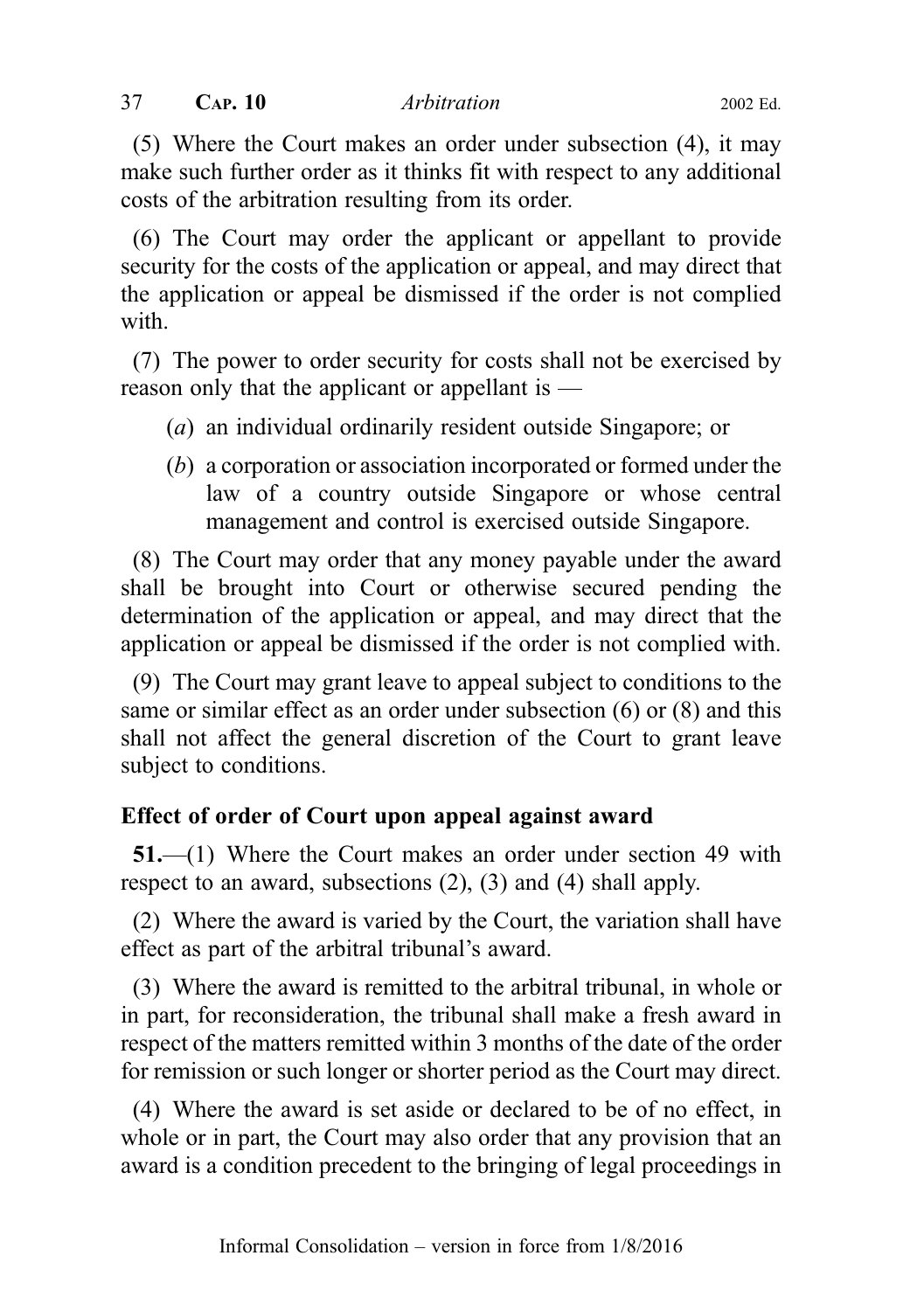(5) Where the Court makes an order under subsection (4), it may make such further order as it thinks fit with respect to any additional costs of the arbitration resulting from its order.

(6) The Court may order the applicant or appellant to provide security for the costs of the application or appeal, and may direct that the application or appeal be dismissed if the order is not complied with.

(7) The power to order security for costs shall not be exercised by reason only that the applicant or appellant is —

- (a) an individual ordinarily resident outside Singapore; or
- (b) a corporation or association incorporated or formed under the law of a country outside Singapore or whose central management and control is exercised outside Singapore.

(8) The Court may order that any money payable under the award shall be brought into Court or otherwise secured pending the determination of the application or appeal, and may direct that the application or appeal be dismissed if the order is not complied with.

(9) The Court may grant leave to appeal subject to conditions to the same or similar effect as an order under subsection (6) or (8) and this shall not affect the general discretion of the Court to grant leave subject to conditions.

# Effect of order of Court upon appeal against award

51.—(1) Where the Court makes an order under section 49 with respect to an award, subsections (2), (3) and (4) shall apply.

(2) Where the award is varied by the Court, the variation shall have effect as part of the arbitral tribunal's award.

(3) Where the award is remitted to the arbitral tribunal, in whole or in part, for reconsideration, the tribunal shall make a fresh award in respect of the matters remitted within 3 months of the date of the order for remission or such longer or shorter period as the Court may direct.

(4) Where the award is set aside or declared to be of no effect, in whole or in part, the Court may also order that any provision that an award is a condition precedent to the bringing of legal proceedings in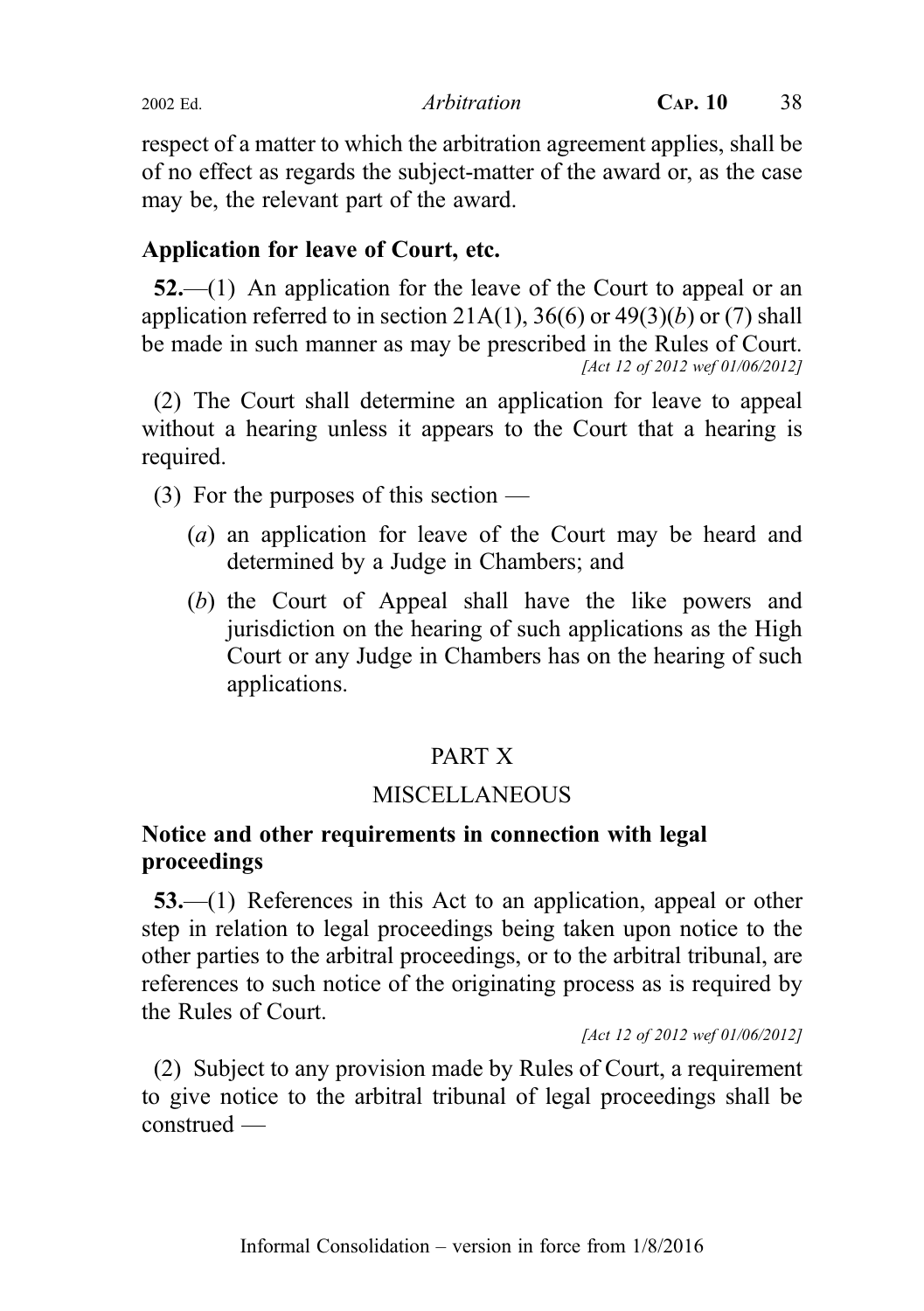respect of a matter to which the arbitration agreement applies, shall be of no effect as regards the subject-matter of the award or, as the case may be, the relevant part of the award.

# Application for leave of Court, etc.

52.—(1) An application for the leave of the Court to appeal or an application referred to in section 21A(1), 36(6) or 49(3)(b) or (7) shall be made in such manner as may be prescribed in the Rules of Court. [Act 12 of 2012 wef 01/06/2012]

(2) The Court shall determine an application for leave to appeal without a hearing unless it appears to the Court that a hearing is required.

(3) For the purposes of this section —

- (a) an application for leave of the Court may be heard and determined by a Judge in Chambers; and
- (b) the Court of Appeal shall have the like powers and jurisdiction on the hearing of such applications as the High Court or any Judge in Chambers has on the hearing of such applications.

# PART X

# **MISCELLANEOUS**

# Notice and other requirements in connection with legal proceedings

53.—(1) References in this Act to an application, appeal or other step in relation to legal proceedings being taken upon notice to the other parties to the arbitral proceedings, or to the arbitral tribunal, are references to such notice of the originating process as is required by the Rules of Court.

[Act 12 of 2012 wef 01/06/2012]

(2) Subject to any provision made by Rules of Court, a requirement to give notice to the arbitral tribunal of legal proceedings shall be construed —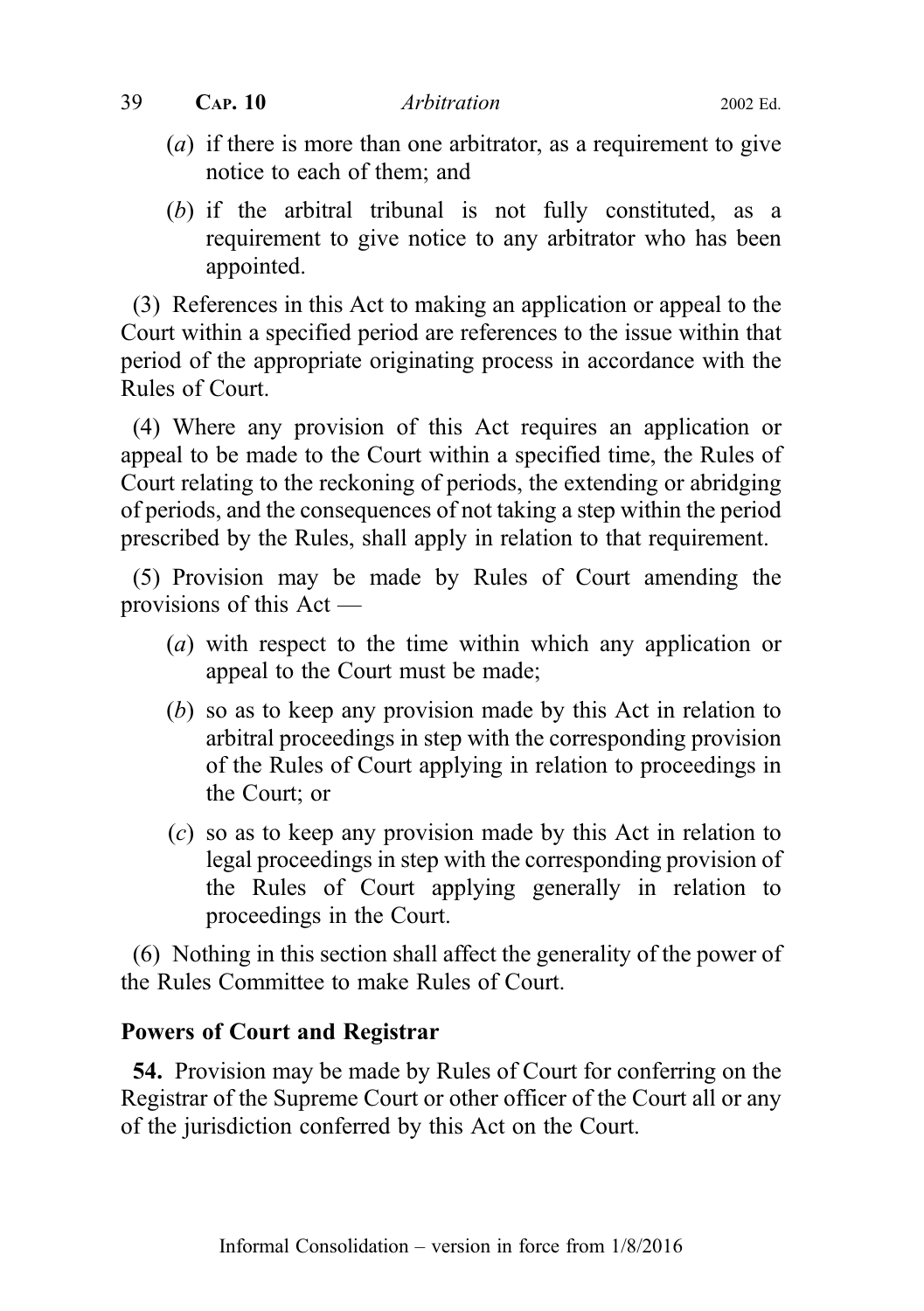- (a) if there is more than one arbitrator, as a requirement to give notice to each of them; and
- (b) if the arbitral tribunal is not fully constituted, as a requirement to give notice to any arbitrator who has been appointed.

(3) References in this Act to making an application or appeal to the Court within a specified period are references to the issue within that period of the appropriate originating process in accordance with the Rules of Court.

(4) Where any provision of this Act requires an application or appeal to be made to the Court within a specified time, the Rules of Court relating to the reckoning of periods, the extending or abridging of periods, and the consequences of not taking a step within the period prescribed by the Rules, shall apply in relation to that requirement.

(5) Provision may be made by Rules of Court amending the provisions of this Act —

- (a) with respect to the time within which any application or appeal to the Court must be made;
- (b) so as to keep any provision made by this Act in relation to arbitral proceedings in step with the corresponding provision of the Rules of Court applying in relation to proceedings in the Court; or
- (c) so as to keep any provision made by this Act in relation to legal proceedings in step with the corresponding provision of the Rules of Court applying generally in relation to proceedings in the Court.

(6) Nothing in this section shall affect the generality of the power of the Rules Committee to make Rules of Court.

#### Powers of Court and Registrar

54. Provision may be made by Rules of Court for conferring on the Registrar of the Supreme Court or other officer of the Court all or any of the jurisdiction conferred by this Act on the Court.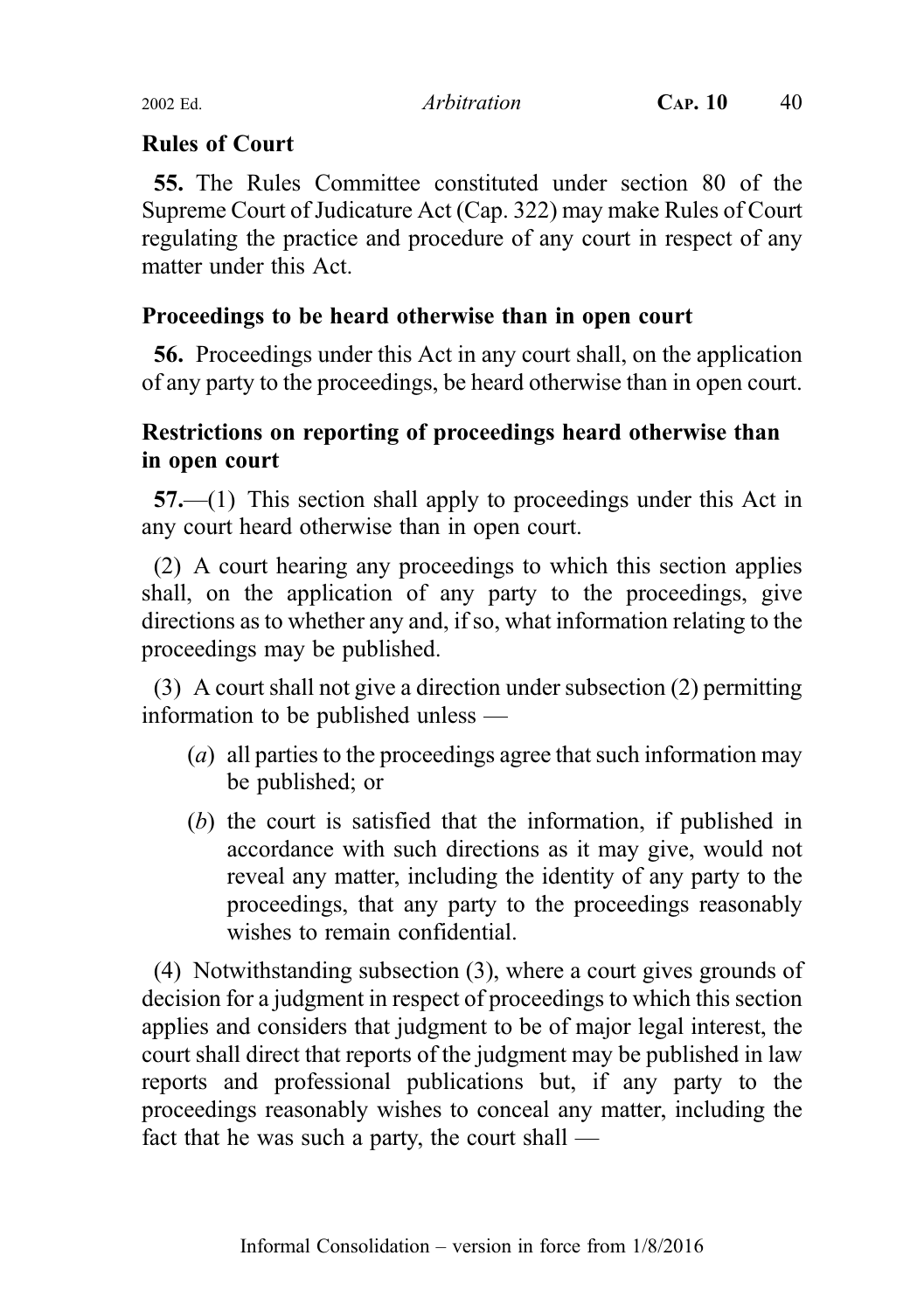# Rules of Court

55. The Rules Committee constituted under section 80 of the Supreme Court of Judicature Act (Cap. 322) may make Rules of Court regulating the practice and procedure of any court in respect of any matter under this Act.

# Proceedings to be heard otherwise than in open court

56. Proceedings under this Act in any court shall, on the application of any party to the proceedings, be heard otherwise than in open court.

# Restrictions on reporting of proceedings heard otherwise than in open court

57.—(1) This section shall apply to proceedings under this Act in any court heard otherwise than in open court.

(2) A court hearing any proceedings to which this section applies shall, on the application of any party to the proceedings, give directions as to whether any and, if so, what information relating to the proceedings may be published.

(3) A court shall not give a direction under subsection (2) permitting information to be published unless —

- (a) all parties to the proceedings agree that such information may be published; or
- (b) the court is satisfied that the information, if published in accordance with such directions as it may give, would not reveal any matter, including the identity of any party to the proceedings, that any party to the proceedings reasonably wishes to remain confidential.

(4) Notwithstanding subsection (3), where a court gives grounds of decision for a judgment in respect of proceedings to which this section applies and considers that judgment to be of major legal interest, the court shall direct that reports of the judgment may be published in law reports and professional publications but, if any party to the proceedings reasonably wishes to conceal any matter, including the fact that he was such a party, the court shall —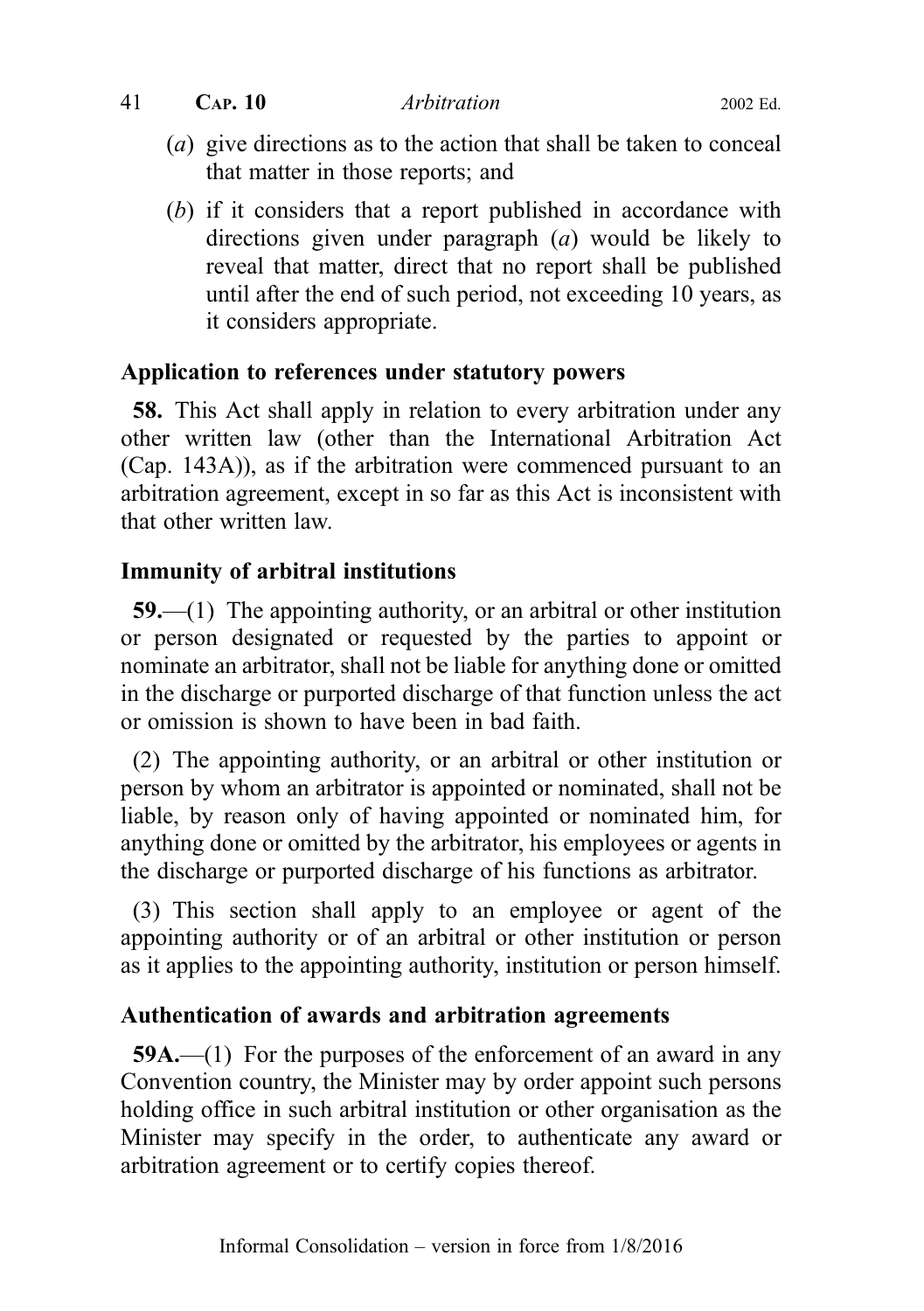41 **C<sub>AP</sub>, 10** *Arbitration* 2002 Ed.

- (a) give directions as to the action that shall be taken to conceal that matter in those reports; and
- (b) if it considers that a report published in accordance with directions given under paragraph (a) would be likely to reveal that matter, direct that no report shall be published until after the end of such period, not exceeding 10 years, as it considers appropriate.

#### Application to references under statutory powers

58. This Act shall apply in relation to every arbitration under any other written law (other than the International Arbitration Act (Cap. 143A)), as if the arbitration were commenced pursuant to an arbitration agreement, except in so far as this Act is inconsistent with that other written law.

#### Immunity of arbitral institutions

59.—(1) The appointing authority, or an arbitral or other institution or person designated or requested by the parties to appoint or nominate an arbitrator, shall not be liable for anything done or omitted in the discharge or purported discharge of that function unless the act or omission is shown to have been in bad faith.

(2) The appointing authority, or an arbitral or other institution or person by whom an arbitrator is appointed or nominated, shall not be liable, by reason only of having appointed or nominated him, for anything done or omitted by the arbitrator, his employees or agents in the discharge or purported discharge of his functions as arbitrator.

(3) This section shall apply to an employee or agent of the appointing authority or of an arbitral or other institution or person as it applies to the appointing authority, institution or person himself.

#### Authentication of awards and arbitration agreements

 $59A$ .—(1) For the purposes of the enforcement of an award in any Convention country, the Minister may by order appoint such persons holding office in such arbitral institution or other organisation as the Minister may specify in the order, to authenticate any award or arbitration agreement or to certify copies thereof.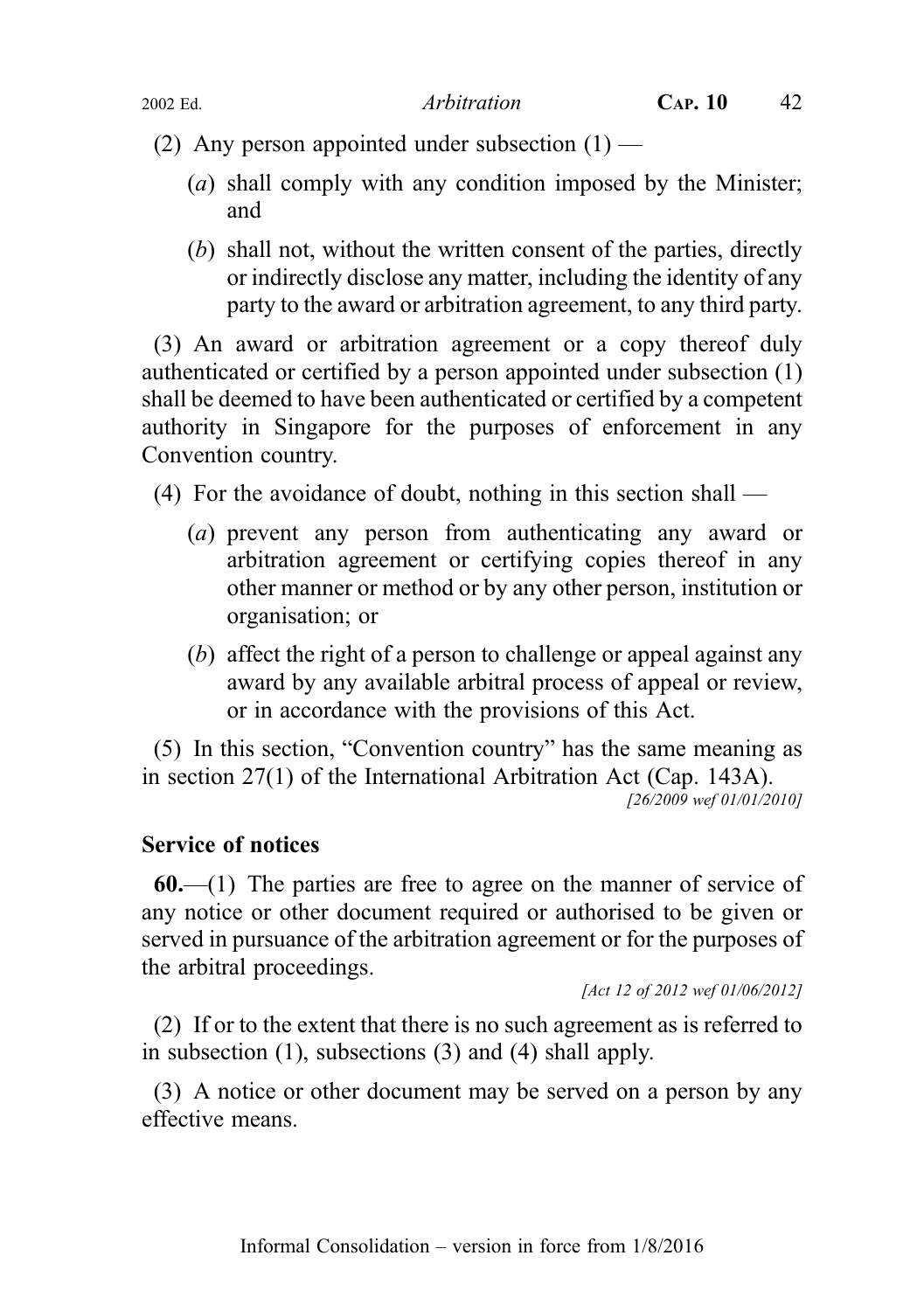- (2) Any person appointed under subsection  $(1)$ 
	- (a) shall comply with any condition imposed by the Minister; and
	- (b) shall not, without the written consent of the parties, directly or indirectly disclose any matter, including the identity of any party to the award or arbitration agreement, to any third party.

(3) An award or arbitration agreement or a copy thereof duly authenticated or certified by a person appointed under subsection (1) shall be deemed to have been authenticated or certified by a competent authority in Singapore for the purposes of enforcement in any Convention country.

(4) For the avoidance of doubt, nothing in this section shall —

- (a) prevent any person from authenticating any award or arbitration agreement or certifying copies thereof in any other manner or method or by any other person, institution or organisation; or
- (b) affect the right of a person to challenge or appeal against any award by any available arbitral process of appeal or review, or in accordance with the provisions of this Act.

(5) In this section, "Convention country" has the same meaning as in section 27(1) of the International Arbitration Act (Cap. 143A).

[26/2009 wef 01/01/2010]

#### Service of notices

 $60$ —(1) The parties are free to agree on the manner of service of any notice or other document required or authorised to be given or served in pursuance of the arbitration agreement or for the purposes of the arbitral proceedings.

[Act 12 of 2012 wef 01/06/2012]

(2) If or to the extent that there is no such agreement as is referred to in subsection (1), subsections (3) and (4) shall apply.

(3) A notice or other document may be served on a person by any effective means.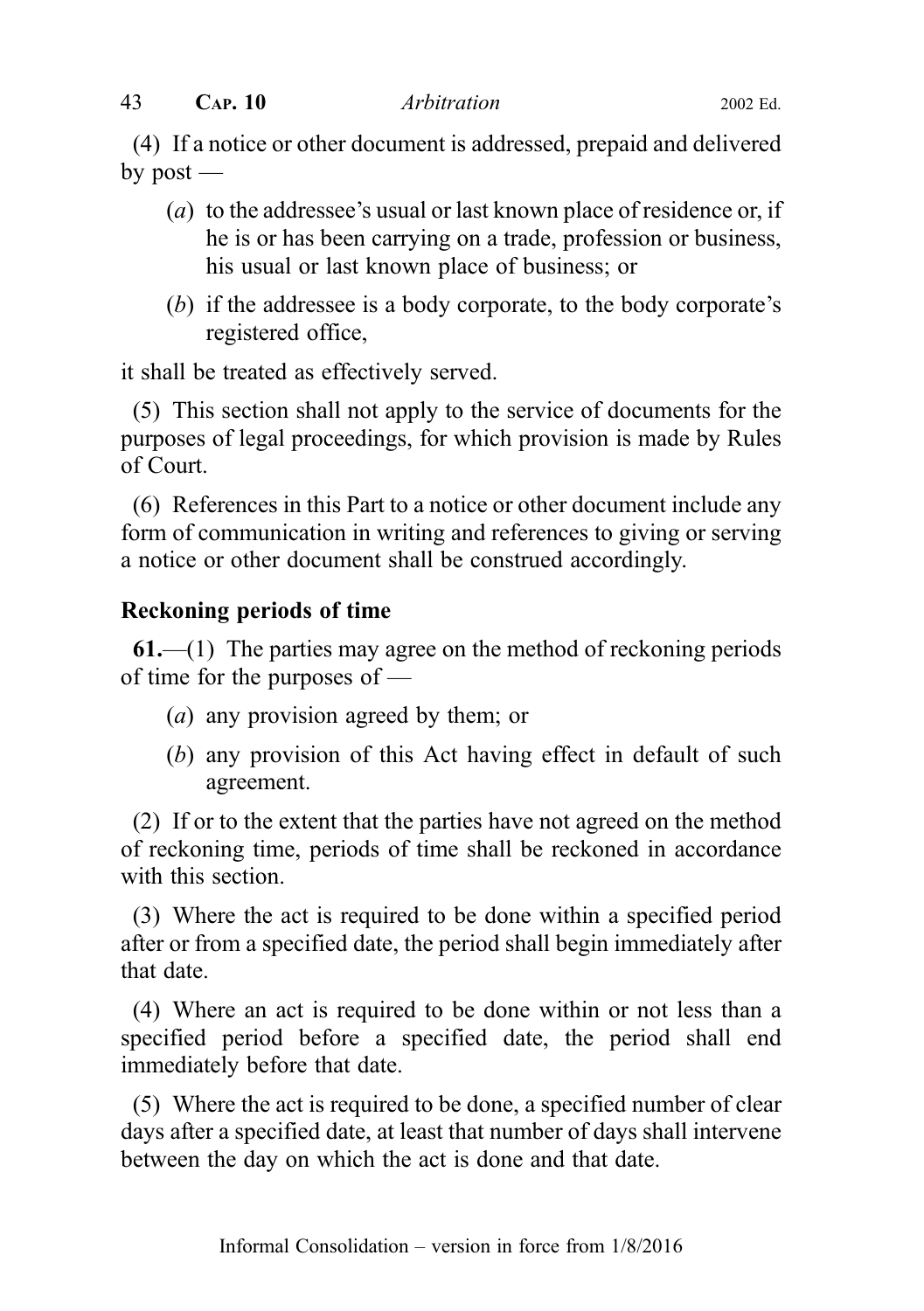(4) If a notice or other document is addressed, prepaid and delivered by post  $-$ 

- (a) to the addressee's usual or last known place of residence or, if he is or has been carrying on a trade, profession or business, his usual or last known place of business; or
- (b) if the addressee is a body corporate, to the body corporate's registered office,

it shall be treated as effectively served.

(5) This section shall not apply to the service of documents for the purposes of legal proceedings, for which provision is made by Rules of Court.

(6) References in this Part to a notice or other document include any form of communication in writing and references to giving or serving a notice or other document shall be construed accordingly.

#### Reckoning periods of time

 $61$ ,—(1) The parties may agree on the method of reckoning periods of time for the purposes of —

- (a) any provision agreed by them; or
- (b) any provision of this Act having effect in default of such agreement.

(2) If or to the extent that the parties have not agreed on the method of reckoning time, periods of time shall be reckoned in accordance with this section.

(3) Where the act is required to be done within a specified period after or from a specified date, the period shall begin immediately after that date.

(4) Where an act is required to be done within or not less than a specified period before a specified date, the period shall end immediately before that date.

(5) Where the act is required to be done, a specified number of clear days after a specified date, at least that number of days shall intervene between the day on which the act is done and that date.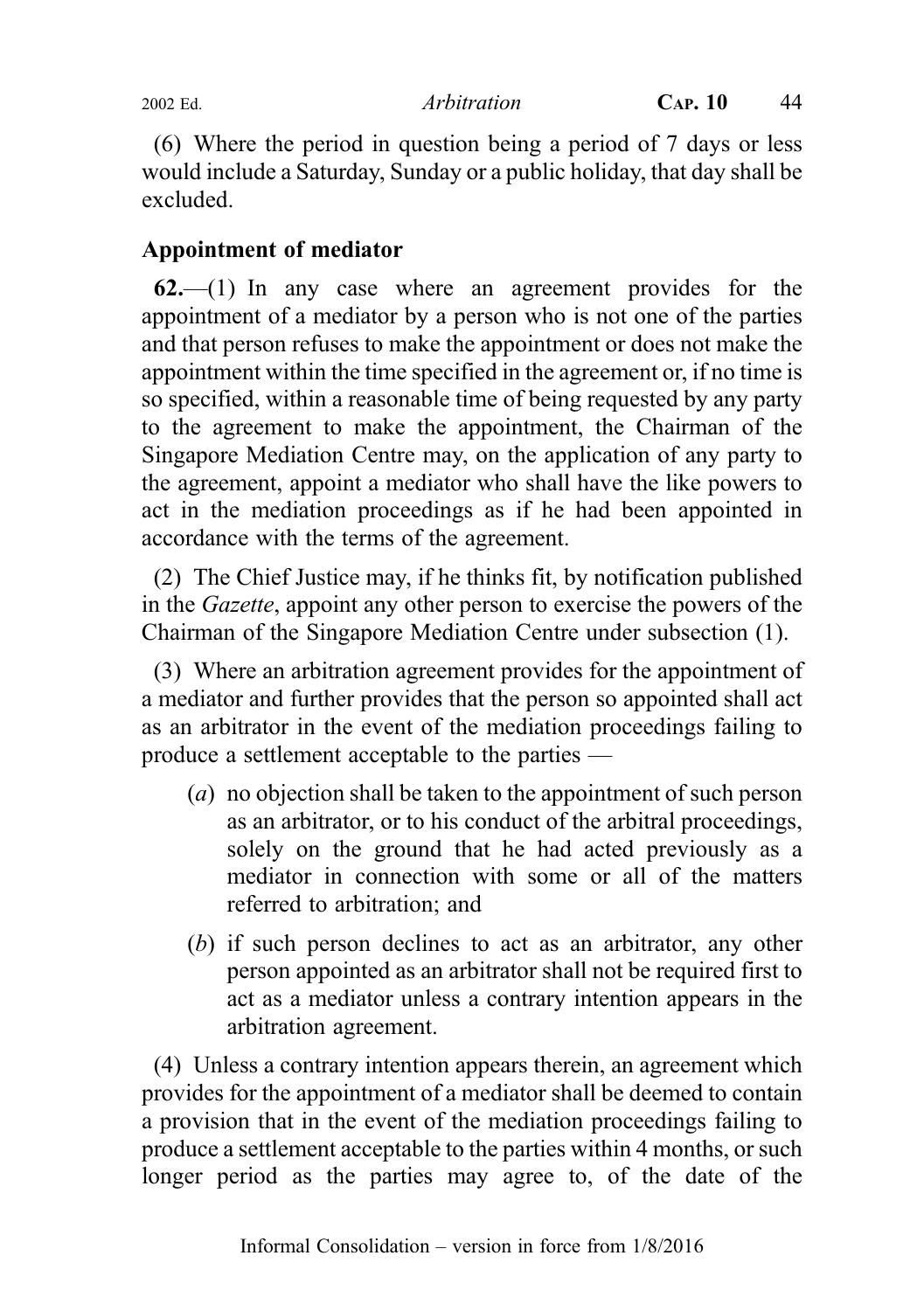(6) Where the period in question being a period of 7 days or less would include a Saturday, Sunday or a public holiday, that day shall be excluded.

### Appointment of mediator

 $62$ ,  $-(1)$  In any case where an agreement provides for the appointment of a mediator by a person who is not one of the parties and that person refuses to make the appointment or does not make the appointment within the time specified in the agreement or, if no time is so specified, within a reasonable time of being requested by any party to the agreement to make the appointment, the Chairman of the Singapore Mediation Centre may, on the application of any party to the agreement, appoint a mediator who shall have the like powers to act in the mediation proceedings as if he had been appointed in accordance with the terms of the agreement.

(2) The Chief Justice may, if he thinks fit, by notification published in the Gazette, appoint any other person to exercise the powers of the Chairman of the Singapore Mediation Centre under subsection (1).

(3) Where an arbitration agreement provides for the appointment of a mediator and further provides that the person so appointed shall act as an arbitrator in the event of the mediation proceedings failing to produce a settlement acceptable to the parties —

- (a) no objection shall be taken to the appointment of such person as an arbitrator, or to his conduct of the arbitral proceedings, solely on the ground that he had acted previously as a mediator in connection with some or all of the matters referred to arbitration; and
- (b) if such person declines to act as an arbitrator, any other person appointed as an arbitrator shall not be required first to act as a mediator unless a contrary intention appears in the arbitration agreement.

(4) Unless a contrary intention appears therein, an agreement which provides for the appointment of a mediator shall be deemed to contain a provision that in the event of the mediation proceedings failing to produce a settlement acceptable to the parties within 4 months, or such longer period as the parties may agree to, of the date of the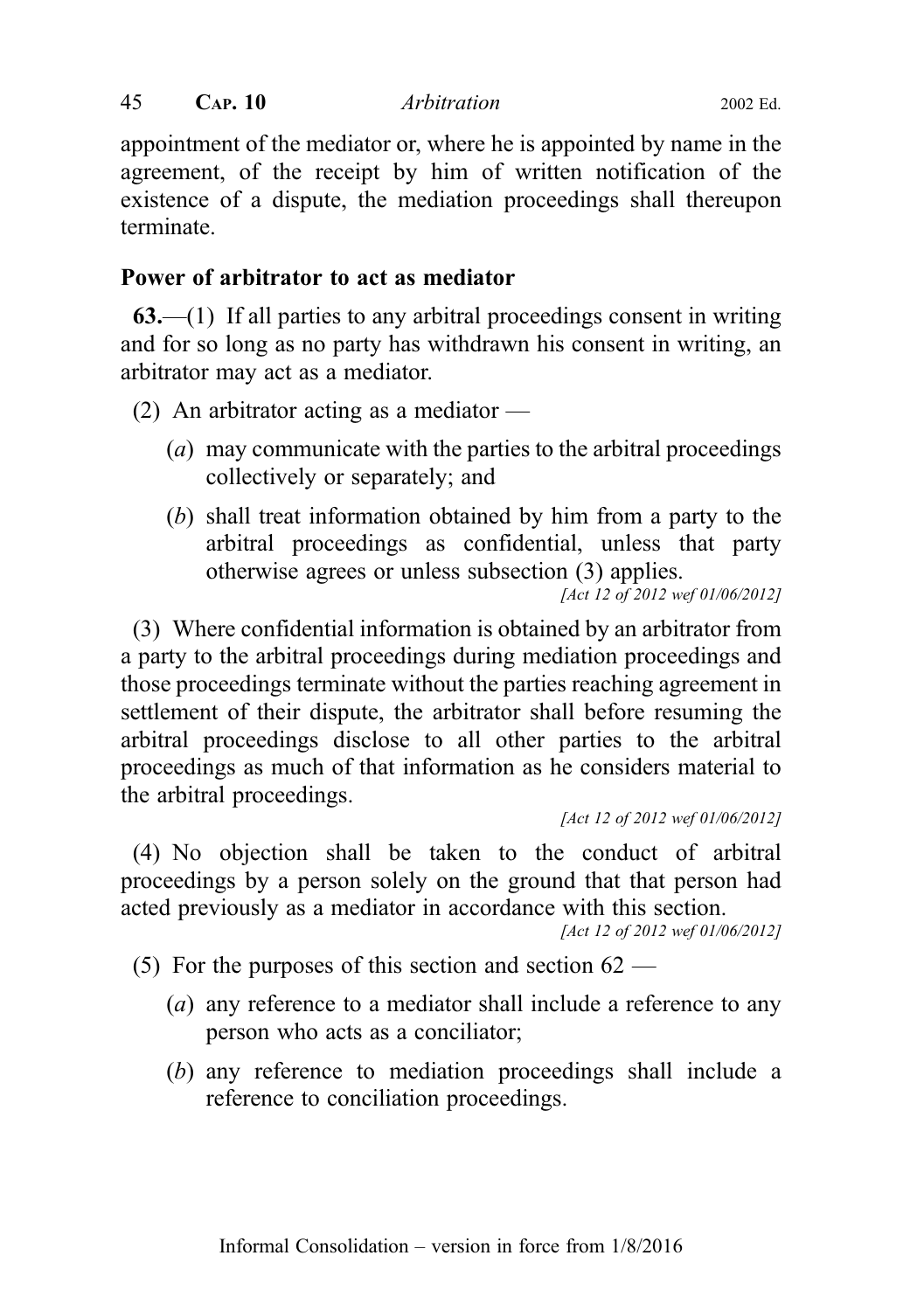appointment of the mediator or, where he is appointed by name in the agreement, of the receipt by him of written notification of the existence of a dispute, the mediation proceedings shall thereupon terminate.

#### Power of arbitrator to act as mediator

63.—(1) If all parties to any arbitral proceedings consent in writing and for so long as no party has withdrawn his consent in writing, an arbitrator may act as a mediator.

(2) An arbitrator acting as a mediator  $-$ 

- (a) may communicate with the parties to the arbitral proceedings collectively or separately; and
- (b) shall treat information obtained by him from a party to the arbitral proceedings as confidential, unless that party otherwise agrees or unless subsection (3) applies.

[Act 12 of 2012 wef 01/06/2012]

(3) Where confidential information is obtained by an arbitrator from a party to the arbitral proceedings during mediation proceedings and those proceedings terminate without the parties reaching agreement in settlement of their dispute, the arbitrator shall before resuming the arbitral proceedings disclose to all other parties to the arbitral proceedings as much of that information as he considers material to the arbitral proceedings.

[Act 12 of 2012 wef 01/06/2012]

(4) No objection shall be taken to the conduct of arbitral proceedings by a person solely on the ground that that person had acted previously as a mediator in accordance with this section.

[Act 12 of 2012 wef 01/06/2012]

(5) For the purposes of this section and section  $62 -$ 

- (a) any reference to a mediator shall include a reference to any person who acts as a conciliator;
- (b) any reference to mediation proceedings shall include a reference to conciliation proceedings.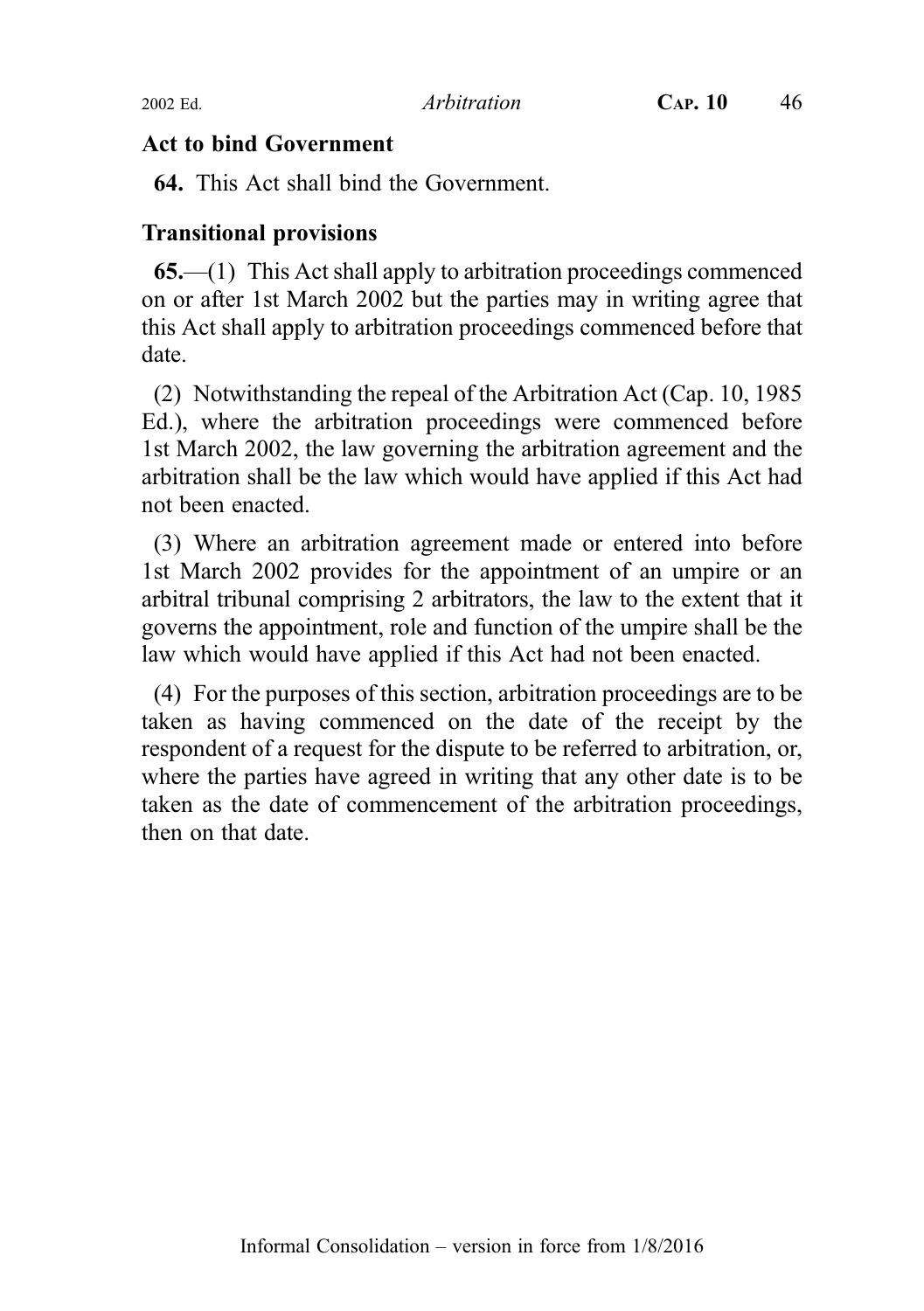#### Act to bind Government

64. This Act shall bind the Government.

# Transitional provisions

65.—(1) This Act shall apply to arbitration proceedings commenced on or after 1st March 2002 but the parties may in writing agree that this Act shall apply to arbitration proceedings commenced before that date.

(2) Notwithstanding the repeal of the Arbitration Act (Cap. 10, 1985 Ed.), where the arbitration proceedings were commenced before 1st March 2002, the law governing the arbitration agreement and the arbitration shall be the law which would have applied if this Act had not been enacted.

(3) Where an arbitration agreement made or entered into before 1st March 2002 provides for the appointment of an umpire or an arbitral tribunal comprising 2 arbitrators, the law to the extent that it governs the appointment, role and function of the umpire shall be the law which would have applied if this Act had not been enacted.

(4) For the purposes of this section, arbitration proceedings are to be taken as having commenced on the date of the receipt by the respondent of a request for the dispute to be referred to arbitration, or, where the parties have agreed in writing that any other date is to be taken as the date of commencement of the arbitration proceedings, then on that date.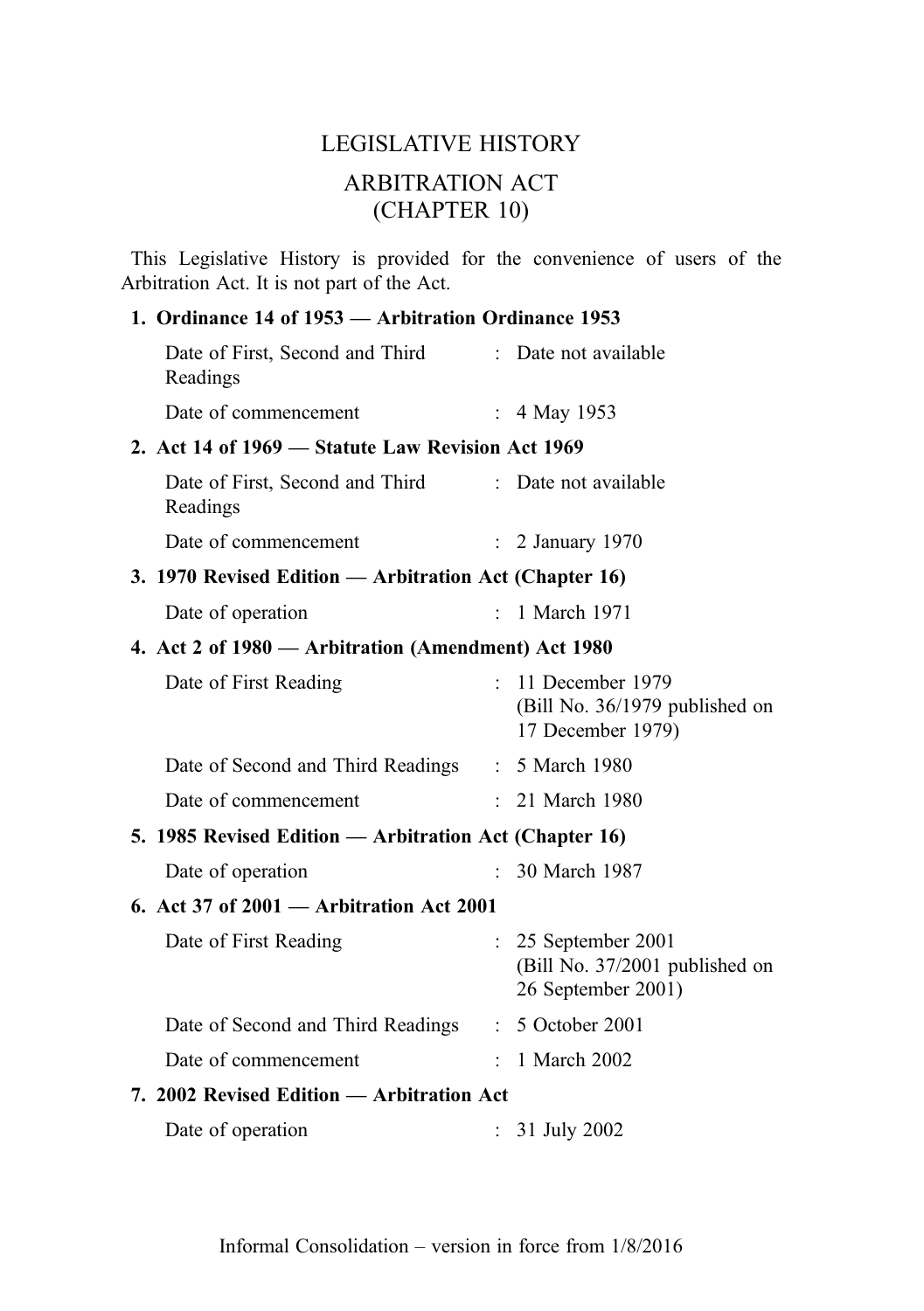# LEGISLATIVE HISTORY ARBITRATION ACT (CHAPTER 10)

This Legislative History is provided for the convenience of users of the Arbitration Act. It is not part of the Act.

#### 1. Ordinance 14 of 1953 — Arbitration Ordinance 1953

|                                                        | Date of First, Second and Third : Date not available<br>Readings |    |                                                                             |  |  |
|--------------------------------------------------------|------------------------------------------------------------------|----|-----------------------------------------------------------------------------|--|--|
|                                                        | Date of commencement                                             |    | : $4$ May 1953                                                              |  |  |
|                                                        | 2. Act 14 of 1969 - Statute Law Revision Act 1969                |    |                                                                             |  |  |
|                                                        | Date of First, Second and Third<br>Readings                      |    | : Date not available                                                        |  |  |
|                                                        | Date of commencement                                             |    | $\therefore$ 2 January 1970                                                 |  |  |
|                                                        | 3. 1970 Revised Edition - Arbitration Act (Chapter 16)           |    |                                                                             |  |  |
|                                                        | Date of operation                                                |    | : 1 March 1971                                                              |  |  |
| 4. Act 2 of 1980 - Arbitration (Amendment) Act 1980    |                                                                  |    |                                                                             |  |  |
|                                                        | Date of First Reading                                            |    | : 11 December 1979<br>(Bill No. 36/1979 published on<br>17 December 1979)   |  |  |
|                                                        | Date of Second and Third Readings : 5 March 1980                 |    |                                                                             |  |  |
|                                                        | Date of commencement                                             |    | : 21 March 1980                                                             |  |  |
| 5. 1985 Revised Edition — Arbitration Act (Chapter 16) |                                                                  |    |                                                                             |  |  |
|                                                        | Date of operation                                                | ÷. | 30 March 1987                                                               |  |  |
|                                                        | 6. Act 37 of $2001$ — Arbitration Act 2001                       |    |                                                                             |  |  |
|                                                        | Date of First Reading                                            |    | : 25 September 2001<br>(Bill No. 37/2001 published on<br>26 September 2001) |  |  |
|                                                        | Date of Second and Third Readings : 5 October 2001               |    |                                                                             |  |  |
|                                                        | Date of commencement                                             |    | $: 1$ March 2002                                                            |  |  |
| 7. 2002 Revised Edition - Arbitration Act              |                                                                  |    |                                                                             |  |  |
|                                                        | Date of operation                                                |    | 31 July 2002                                                                |  |  |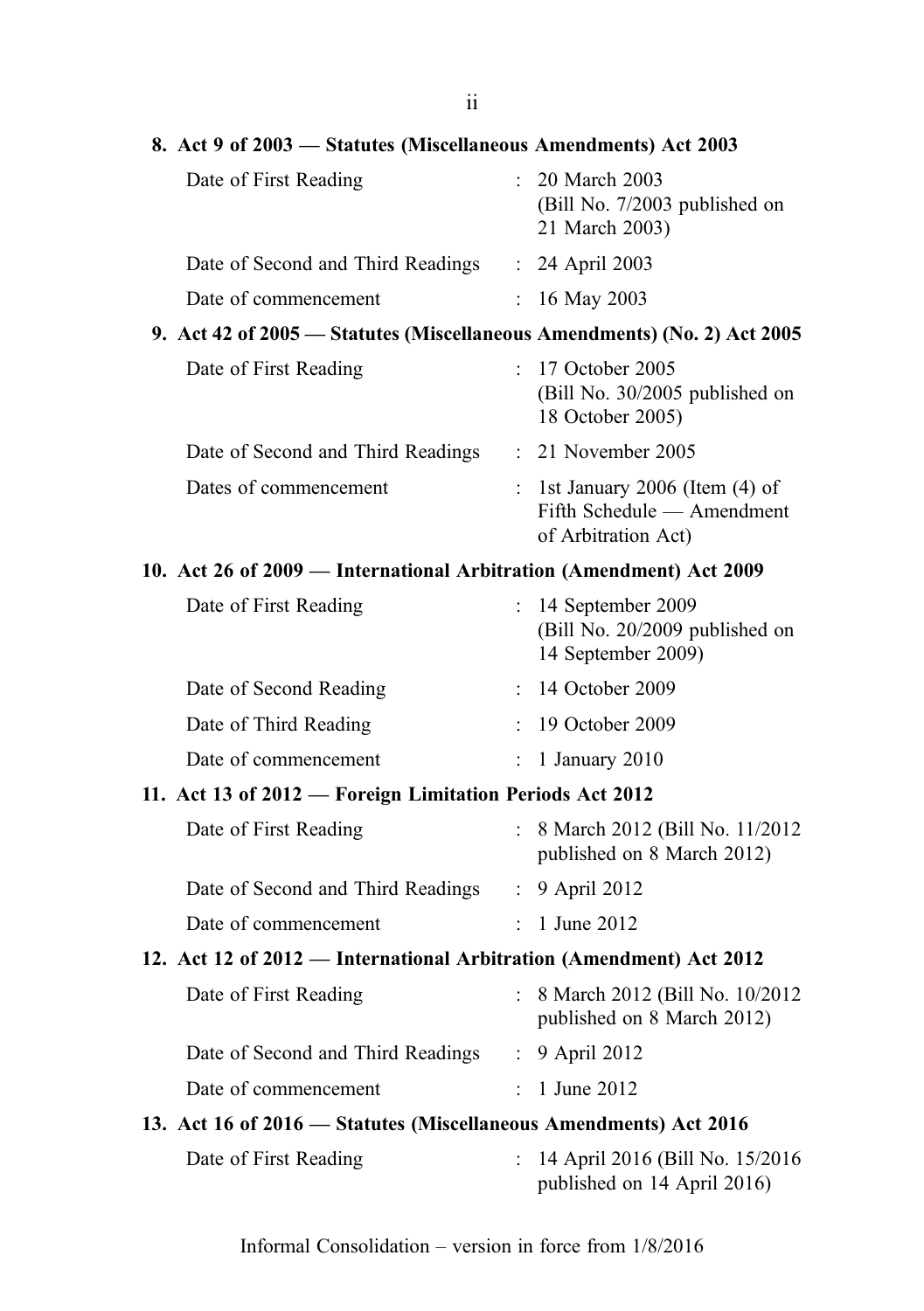| 8. Act 9 of 2003 - Statutes (Miscellaneous Amendments) Act 2003          |                           |                                                                                        |
|--------------------------------------------------------------------------|---------------------------|----------------------------------------------------------------------------------------|
| Date of First Reading                                                    |                           | : 20 March 2003<br>(Bill No. 7/2003 published on<br>21 March 2003)                     |
| Date of Second and Third Readings                                        |                           | : 24 April 2003                                                                        |
| Date of commencement                                                     |                           | : $16$ May 2003                                                                        |
| 9. Act 42 of 2005 – Statutes (Miscellaneous Amendments) (No. 2) Act 2005 |                           |                                                                                        |
| Date of First Reading                                                    |                           | : 17 October 2005<br>(Bill No. 30/2005 published on<br>18 October 2005)                |
| Date of Second and Third Readings                                        |                           | : 21 November 2005                                                                     |
| Dates of commencement                                                    |                           | : 1st January 2006 (Item $(4)$ of<br>Fifth Schedule - Amendment<br>of Arbitration Act) |
| 10. Act 26 of 2009 - International Arbitration (Amendment) Act 2009      |                           |                                                                                        |
| Date of First Reading                                                    |                           | $: 14$ September 2009<br>(Bill No. 20/2009 published on<br>14 September 2009)          |
| Date of Second Reading                                                   |                           | : 14 October 2009                                                                      |
| Date of Third Reading                                                    |                           | 19 October 2009                                                                        |
| Date of commencement                                                     | $\ddot{\phantom{0}}$      | 1 January 2010                                                                         |
| 11. Act 13 of 2012 - Foreign Limitation Periods Act 2012                 |                           |                                                                                        |
| Date of First Reading                                                    | $\ddot{\phantom{0}}$      | 8 March 2012 (Bill No. 11/2012)<br>published on 8 March 2012)                          |
| Date of Second and Third Readings                                        |                           | $\therefore$ 9 April 2012                                                              |
| Date of commencement                                                     |                           | 1 June 2012                                                                            |
| 12. Act 12 of 2012 - International Arbitration (Amendment) Act 2012      |                           |                                                                                        |
| Date of First Reading                                                    |                           | 8 March 2012 (Bill No. 10/2012)<br>published on 8 March 2012)                          |
| Date of Second and Third Readings                                        | $\mathbb{R}^{\mathbb{Z}}$ | 9 April 2012                                                                           |
| Date of commencement                                                     |                           | 1 June 2012                                                                            |
| 13. Act 16 of 2016 - Statutes (Miscellaneous Amendments) Act 2016        |                           |                                                                                        |
| Date of First Reading                                                    |                           | 14 April 2016 (Bill No. 15/2016)<br>published on 14 April 2016)                        |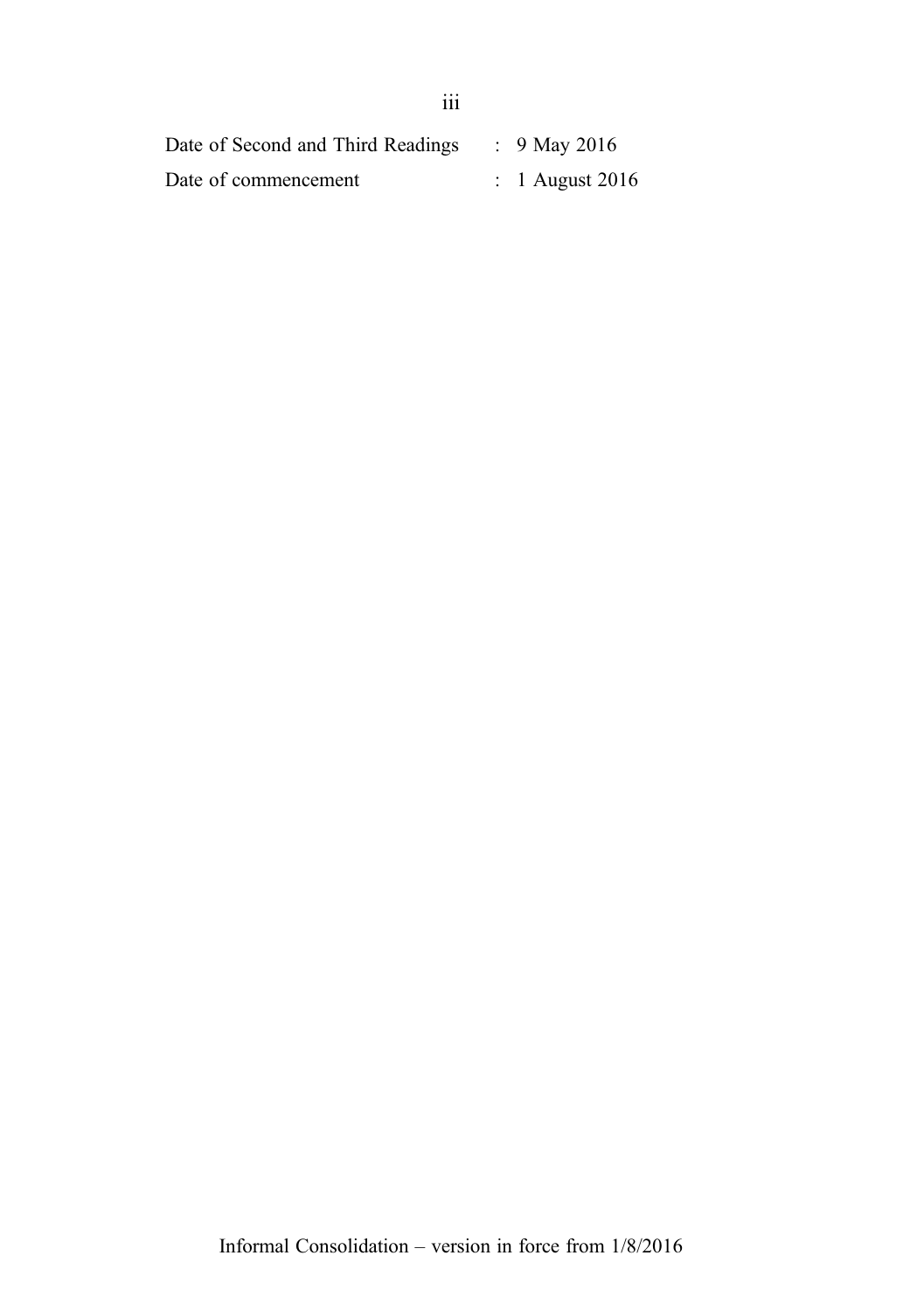| Date of Second and Third Readings | : $9$ May 2016             |
|-----------------------------------|----------------------------|
| Date of commencement              | $\therefore$ 1 August 2016 |